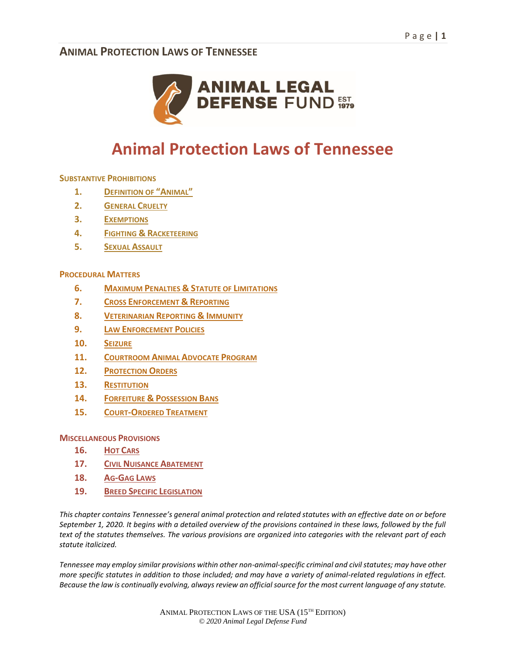

# **Animal Protection Laws of Tennessee**

**SUBSTANTIVE PROHIBITIONS** 

- **1. DEFINITION OF "ANIMAL"**
- **2. GENERAL CRUELTY**
- **3. EXEMPTIONS**
- **4. FIGHTING & RACKETEERING**
- **5. SEXUAL ASSAULT**

#### **PROCEDURAL MATTERS**

- **6. MAXIMUM PENALTIES & STATUTE OF LIMITATIONS**
- **7. CROSS ENFORCEMENT & REPORTING**
- **8. VETERINARIAN REPORTING & IMMUNITY**
- **9. LAW ENFORCEMENT POLICIES**
- **10. SEIZURE**
- **11. COURTROOM ANIMAL ADVOCATE PROGRAM**
- **12. PROTECTION ORDERS**
- **13. RESTITUTION**
- **14. FORFEITURE & POSSESSION BANS**
- **15. COURT-ORDERED TREATMENT**

**MISCELLANEOUS PROVISIONS** 

- **16. HOT CARS**
- **17. CIVIL NUISANCE ABATEMENT**
- **18. AG-GAG LAWS**
- **19. BREED SPECIFIC LEGISLATION**

*This chapter contains Tennessee's general animal protection and related statutes with an effective date on or before September 1, 2020. It begins with a detailed overview of the provisions contained in these laws, followed by the full text of the statutes themselves. The various provisions are organized into categories with the relevant part of each statute italicized.* 

*Tennessee may employ similar provisions within other non-animal-specific criminal and civil statutes; may have other more specific statutes in addition to those included; and may have a variety of animal-related regulations in effect. Because the law is continually evolving, always review an official source for the most current language of any statute.*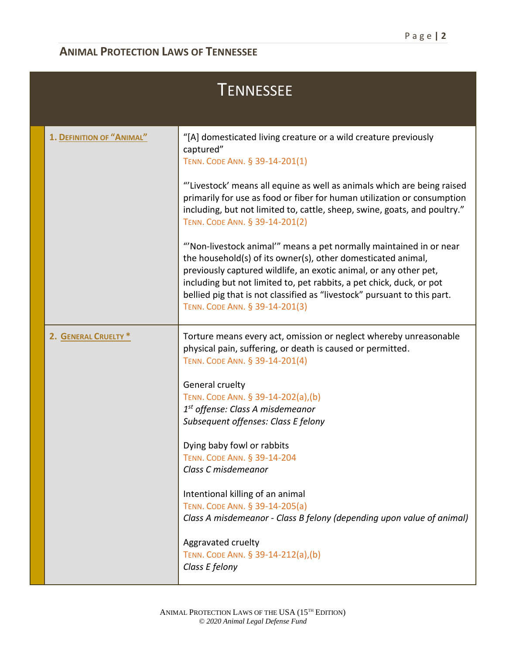| <b>TENNESSEE</b>          |                                                                                                                                                                                                                                                                                                                                                                                              |  |
|---------------------------|----------------------------------------------------------------------------------------------------------------------------------------------------------------------------------------------------------------------------------------------------------------------------------------------------------------------------------------------------------------------------------------------|--|
| 1. DEFINITION OF "ANIMAL" | "[A] domesticated living creature or a wild creature previously<br>captured"<br>TENN. CODE ANN. § 39-14-201(1)                                                                                                                                                                                                                                                                               |  |
|                           | "'Livestock' means all equine as well as animals which are being raised<br>primarily for use as food or fiber for human utilization or consumption<br>including, but not limited to, cattle, sheep, swine, goats, and poultry."<br>TENN. CODE ANN. § 39-14-201(2)                                                                                                                            |  |
|                           | "Non-livestock animal" means a pet normally maintained in or near<br>the household(s) of its owner(s), other domesticated animal,<br>previously captured wildlife, an exotic animal, or any other pet,<br>including but not limited to, pet rabbits, a pet chick, duck, or pot<br>bellied pig that is not classified as "livestock" pursuant to this part.<br>TENN. CODE ANN. § 39-14-201(3) |  |
| 2. GENERAL CRUELTY *      | Torture means every act, omission or neglect whereby unreasonable<br>physical pain, suffering, or death is caused or permitted.<br>TENN. CODE ANN. § 39-14-201(4)                                                                                                                                                                                                                            |  |
|                           | General cruelty<br>TENN. CODE ANN. § 39-14-202(a),(b)<br>1st offense: Class A misdemeanor<br>Subsequent offenses: Class E felony                                                                                                                                                                                                                                                             |  |
|                           | Dying baby fowl or rabbits<br>TENN. CODE ANN. § 39-14-204<br>Class C misdemeanor                                                                                                                                                                                                                                                                                                             |  |
|                           | Intentional killing of an animal<br>TENN. CODE ANN. § 39-14-205(a)<br>Class A misdemeanor - Class B felony (depending upon value of animal)                                                                                                                                                                                                                                                  |  |
|                           | Aggravated cruelty<br>TENN. CODE ANN. § 39-14-212(a),(b)<br>Class E felony                                                                                                                                                                                                                                                                                                                   |  |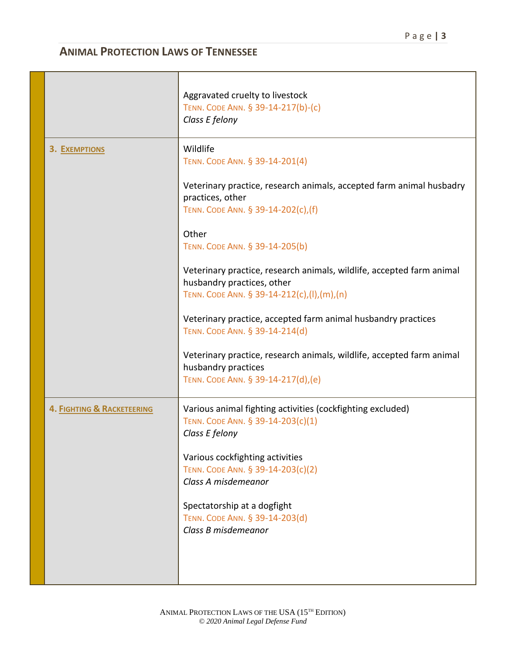|                            | Aggravated cruelty to livestock<br>TENN. CODE ANN. § 39-14-217(b)-(c)<br>Class E felony                                                           |
|----------------------------|---------------------------------------------------------------------------------------------------------------------------------------------------|
| <b>3. EXEMPTIONS</b>       | Wildlife<br>TENN. CODE ANN. § 39-14-201(4)                                                                                                        |
|                            | Veterinary practice, research animals, accepted farm animal husbadry<br>practices, other<br>TENN. CODE ANN. § 39-14-202(c),(f)                    |
|                            | Other<br>TENN. CODE ANN. § 39-14-205(b)                                                                                                           |
|                            | Veterinary practice, research animals, wildlife, accepted farm animal<br>husbandry practices, other<br>TENN. CODE ANN. § 39-14-212(c),(l),(m),(n) |
|                            | Veterinary practice, accepted farm animal husbandry practices<br>TENN. CODE ANN. § 39-14-214(d)                                                   |
|                            | Veterinary practice, research animals, wildlife, accepted farm animal<br>husbandry practices<br>TENN. CODE ANN. § 39-14-217(d),(e)                |
| 4. FIGHTING & RACKETEERING | Various animal fighting activities (cockfighting excluded)<br>TENN. CODE ANN. § 39-14-203(c)(1)<br>Class E felony                                 |
|                            | Various cockfighting activities<br>TENN. CODE ANN. § 39-14-203(c)(2)<br>Class A misdemeanor                                                       |
|                            | Spectatorship at a dogfight<br>TENN. CODE ANN. § 39-14-203(d)<br>Class B misdemeanor                                                              |
|                            |                                                                                                                                                   |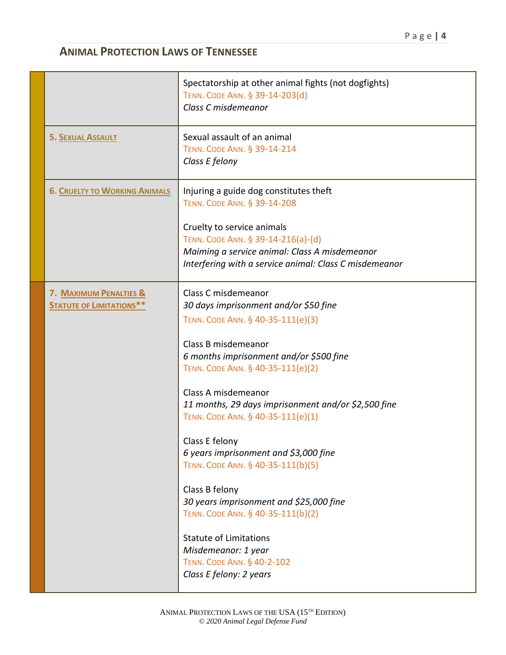|                                                           | Spectatorship at other animal fights (not dogfights)<br>TENN. CODE ANN. § 39-14-203(d)<br>Class C misdemeanor                                                                                                                                                                                                                                                                                                                                                                                                                                                                                                                                  |
|-----------------------------------------------------------|------------------------------------------------------------------------------------------------------------------------------------------------------------------------------------------------------------------------------------------------------------------------------------------------------------------------------------------------------------------------------------------------------------------------------------------------------------------------------------------------------------------------------------------------------------------------------------------------------------------------------------------------|
| <b>5. SEXUAL ASSAULT</b>                                  | Sexual assault of an animal<br>TENN. CODE ANN. § 39-14-214<br>Class E felony                                                                                                                                                                                                                                                                                                                                                                                                                                                                                                                                                                   |
| <b>6. CRUELTY TO WORKING ANIMALS</b>                      | Injuring a guide dog constitutes theft<br>TENN. CODE ANN. § 39-14-208<br>Cruelty to service animals<br>TENN. CODE ANN. § 39-14-216(a)-(d)<br>Maiming a service animal: Class A misdemeanor<br>Interfering with a service animal: Class C misdemeanor                                                                                                                                                                                                                                                                                                                                                                                           |
| 7. MAXIMUM PENALTIES &<br><b>STATUTE OF LIMITATIONS**</b> | Class C misdemeanor<br>30 days imprisonment and/or \$50 fine<br>TENN. CODE ANN. § 40-35-111(e)(3)<br>Class B misdemeanor<br>6 months imprisonment and/or \$500 fine<br>TENN. CODE ANN. § 40-35-111(e)(2)<br>Class A misdemeanor<br>11 months, 29 days imprisonment and/or \$2,500 fine<br>TENN. CODE ANN. § 40-35-111(e)(1)<br>Class E felony<br>6 years imprisonment and \$3,000 fine<br>TENN. CODE ANN. § 40-35-111(b)(5)<br>Class B felony<br>30 years imprisonment and \$25,000 fine<br>TENN. CODE ANN. § 40-35-111(b)(2)<br><b>Statute of Limitations</b><br>Misdemeanor: 1 year<br>TENN. CODE ANN. § 40-2-102<br>Class E felony: 2 years |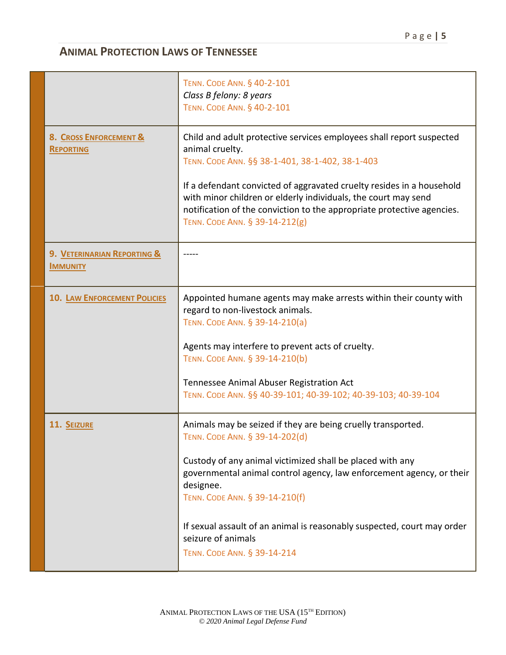|                                                | TENN. CODE ANN. § 40-2-101<br>Class B felony: 8 years<br>TENN. CODE ANN. § 40-2-101                                                                                                                                                                 |
|------------------------------------------------|-----------------------------------------------------------------------------------------------------------------------------------------------------------------------------------------------------------------------------------------------------|
| 8. CROSS ENFORCEMENT &<br><b>REPORTING</b>     | Child and adult protective services employees shall report suspected<br>animal cruelty.<br>TENN. CODE ANN. §§ 38-1-401, 38-1-402, 38-1-403                                                                                                          |
|                                                | If a defendant convicted of aggravated cruelty resides in a household<br>with minor children or elderly individuals, the court may send<br>notification of the conviction to the appropriate protective agencies.<br>TENN. CODE ANN. § 39-14-212(g) |
| 9. VETERINARIAN REPORTING &<br><b>IMMUNITY</b> |                                                                                                                                                                                                                                                     |
| <b>10. LAW ENFORCEMENT POLICIES</b>            | Appointed humane agents may make arrests within their county with<br>regard to non-livestock animals.<br>TENN. CODE ANN. § 39-14-210(a)                                                                                                             |
|                                                | Agents may interfere to prevent acts of cruelty.<br>TENN. CODE ANN. § 39-14-210(b)                                                                                                                                                                  |
|                                                | Tennessee Animal Abuser Registration Act<br>TENN. CODE ANN. §§ 40-39-101; 40-39-102; 40-39-103; 40-39-104                                                                                                                                           |
| 11. SEIZURE                                    | Animals may be seized if they are being cruelly transported.<br>TENN. CODE ANN. § 39-14-202(d)                                                                                                                                                      |
|                                                | Custody of any animal victimized shall be placed with any<br>governmental animal control agency, law enforcement agency, or their<br>designee.<br>TENN. CODE ANN. § 39-14-210(f)                                                                    |
|                                                | If sexual assault of an animal is reasonably suspected, court may order<br>seizure of animals<br>TENN. CODE ANN. § 39-14-214                                                                                                                        |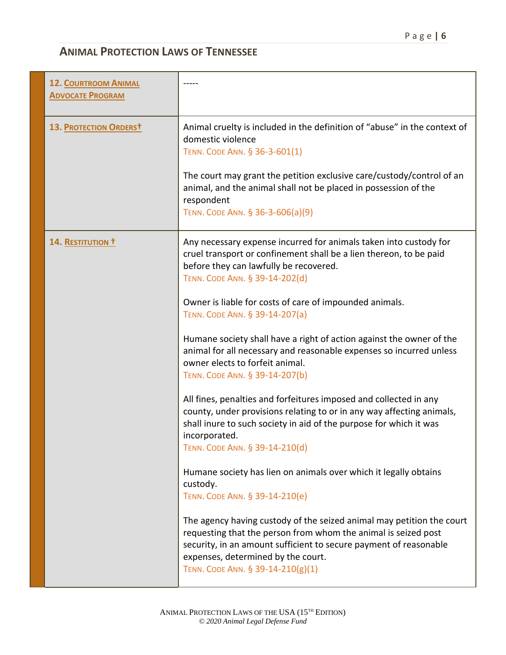| <b>12. COURTROOM ANIMAL</b><br><b>ADVOCATE PROGRAM</b> |                                                                                                                                                                                                                                                                                         |
|--------------------------------------------------------|-----------------------------------------------------------------------------------------------------------------------------------------------------------------------------------------------------------------------------------------------------------------------------------------|
| 13. PROTECTION ORDERST                                 | Animal cruelty is included in the definition of "abuse" in the context of<br>domestic violence<br>TENN. CODE ANN. § 36-3-601(1)                                                                                                                                                         |
|                                                        | The court may grant the petition exclusive care/custody/control of an<br>animal, and the animal shall not be placed in possession of the<br>respondent<br>TENN. CODE ANN. § 36-3-606(a)(9)                                                                                              |
| 14. RESTITUTION T                                      | Any necessary expense incurred for animals taken into custody for<br>cruel transport or confinement shall be a lien thereon, to be paid<br>before they can lawfully be recovered.<br>TENN. CODE ANN. § 39-14-202(d)                                                                     |
|                                                        | Owner is liable for costs of care of impounded animals.<br>TENN. CODE ANN. § 39-14-207(a)                                                                                                                                                                                               |
|                                                        | Humane society shall have a right of action against the owner of the<br>animal for all necessary and reasonable expenses so incurred unless<br>owner elects to forfeit animal.<br>TENN. CODE ANN. § 39-14-207(b)                                                                        |
|                                                        | All fines, penalties and forfeitures imposed and collected in any<br>county, under provisions relating to or in any way affecting animals,<br>shall inure to such society in aid of the purpose for which it was<br>incorporated.<br>TENN. CODE ANN. § 39-14-210(d)                     |
|                                                        | Humane society has lien on animals over which it legally obtains<br>custody.<br>TENN. CODE ANN. § 39-14-210(e)                                                                                                                                                                          |
|                                                        | The agency having custody of the seized animal may petition the court<br>requesting that the person from whom the animal is seized post<br>security, in an amount sufficient to secure payment of reasonable<br>expenses, determined by the court.<br>TENN. CODE ANN. § 39-14-210(g)(1) |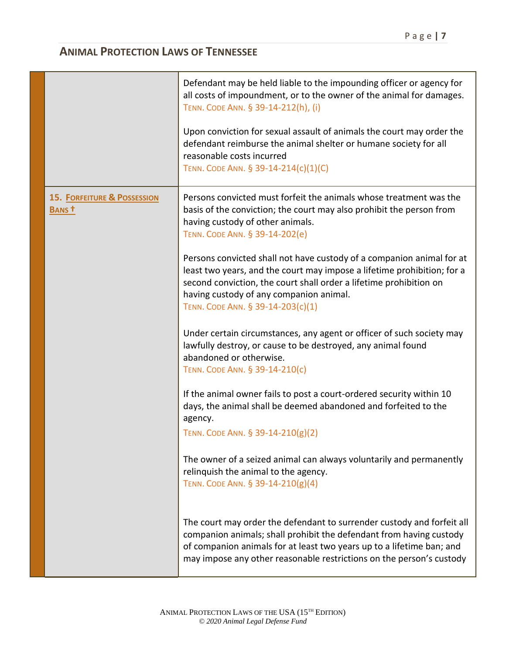|                                                  | Defendant may be held liable to the impounding officer or agency for<br>all costs of impoundment, or to the owner of the animal for damages.<br>TENN. CODE ANN. § 39-14-212(h), (i)<br>Upon conviction for sexual assault of animals the court may order the<br>defendant reimburse the animal shelter or humane society for all<br>reasonable costs incurred<br>TENN. CODE ANN. § 39-14-214(c)(1)(C) |
|--------------------------------------------------|-------------------------------------------------------------------------------------------------------------------------------------------------------------------------------------------------------------------------------------------------------------------------------------------------------------------------------------------------------------------------------------------------------|
| <b>15. FORFEITURE &amp; POSSESSION</b><br>BANS t | Persons convicted must forfeit the animals whose treatment was the<br>basis of the conviction; the court may also prohibit the person from<br>having custody of other animals.<br>TENN. CODE ANN. § 39-14-202(e)<br>Persons convicted shall not have custody of a companion animal for at                                                                                                             |
|                                                  | least two years, and the court may impose a lifetime prohibition; for a<br>second conviction, the court shall order a lifetime prohibition on<br>having custody of any companion animal.<br>TENN. CODE ANN. § 39-14-203(c)(1)                                                                                                                                                                         |
|                                                  | Under certain circumstances, any agent or officer of such society may<br>lawfully destroy, or cause to be destroyed, any animal found<br>abandoned or otherwise.<br>TENN. CODE ANN. § 39-14-210(c)                                                                                                                                                                                                    |
|                                                  | If the animal owner fails to post a court-ordered security within 10<br>days, the animal shall be deemed abandoned and forfeited to the<br>agency.<br>TENN. CODE ANN. § 39-14-210(g)(2)                                                                                                                                                                                                               |
|                                                  | The owner of a seized animal can always voluntarily and permanently<br>relinquish the animal to the agency.<br>TENN. CODE ANN. § 39-14-210(g)(4)                                                                                                                                                                                                                                                      |
|                                                  | The court may order the defendant to surrender custody and forfeit all<br>companion animals; shall prohibit the defendant from having custody<br>of companion animals for at least two years up to a lifetime ban; and<br>may impose any other reasonable restrictions on the person's custody                                                                                                        |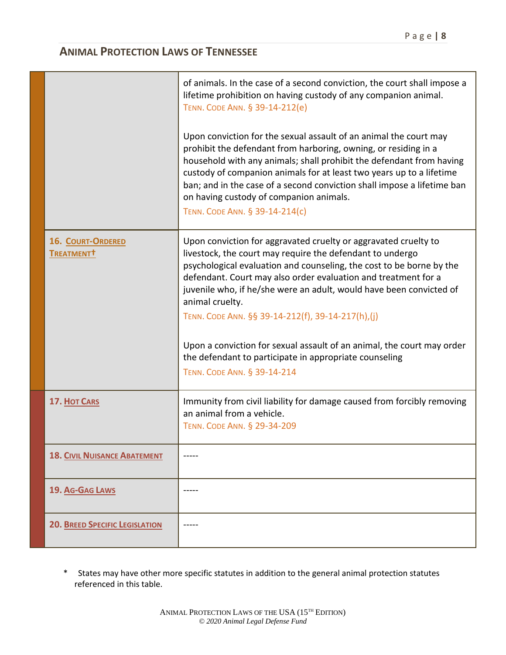|                                             | of animals. In the case of a second conviction, the court shall impose a<br>lifetime prohibition on having custody of any companion animal.<br>TENN. CODE ANN. § 39-14-212(e)                                                                                                                                                                                                                                                                                                                                                                                                            |
|---------------------------------------------|------------------------------------------------------------------------------------------------------------------------------------------------------------------------------------------------------------------------------------------------------------------------------------------------------------------------------------------------------------------------------------------------------------------------------------------------------------------------------------------------------------------------------------------------------------------------------------------|
|                                             | Upon conviction for the sexual assault of an animal the court may<br>prohibit the defendant from harboring, owning, or residing in a<br>household with any animals; shall prohibit the defendant from having<br>custody of companion animals for at least two years up to a lifetime<br>ban; and in the case of a second conviction shall impose a lifetime ban<br>on having custody of companion animals.<br>TENN. CODE ANN. § 39-14-214(c)                                                                                                                                             |
| 16. COURT-ORDERED<br>TREATMENT <sup>†</sup> | Upon conviction for aggravated cruelty or aggravated cruelty to<br>livestock, the court may require the defendant to undergo<br>psychological evaluation and counseling, the cost to be borne by the<br>defendant. Court may also order evaluation and treatment for a<br>juvenile who, if he/she were an adult, would have been convicted of<br>animal cruelty.<br>TENN. CODE ANN. §§ 39-14-212(f), 39-14-217(h),(j)<br>Upon a conviction for sexual assault of an animal, the court may order<br>the defendant to participate in appropriate counseling<br>TENN. CODE ANN. § 39-14-214 |
| <b>17. HOT CARS</b>                         | Immunity from civil liability for damage caused from forcibly removing<br>an animal from a vehicle.<br>TENN. CODE ANN. § 29-34-209                                                                                                                                                                                                                                                                                                                                                                                                                                                       |
| <b>18. CIVIL NUISANCE ABATEMENT</b>         |                                                                                                                                                                                                                                                                                                                                                                                                                                                                                                                                                                                          |
| 19. AG-GAG LAWS                             |                                                                                                                                                                                                                                                                                                                                                                                                                                                                                                                                                                                          |
| <b>20. BREED SPECIFIC LEGISLATION</b>       |                                                                                                                                                                                                                                                                                                                                                                                                                                                                                                                                                                                          |

\* States may have other more specific statutes in addition to the general animal protection statutes referenced in this table.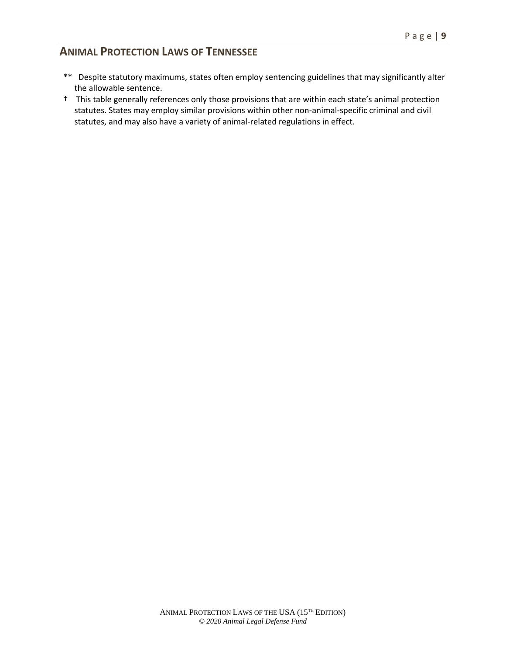- \*\* Despite statutory maximums, states often employ sentencing guidelines that may significantly alter the allowable sentence.
- † This table generally references only those provisions that are within each state's animal protection statutes. States may employ similar provisions within other non-animal-specific criminal and civil statutes, and may also have a variety of animal-related regulations in effect.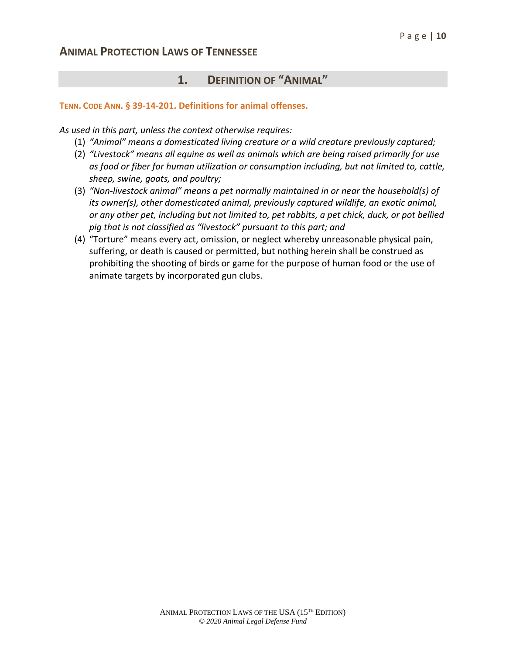# **1. DEFINITION OF "ANIMAL"**

#### **TENN. CODE ANN. § 39-14-201. Definitions for animal offenses.**

*As used in this part, unless the context otherwise requires:*

- (1) *"Animal" means a domesticated living creature or a wild creature previously captured;*
- (2) *"Livestock" means all equine as well as animals which are being raised primarily for use as food or fiber for human utilization or consumption including, but not limited to, cattle, sheep, swine, goats, and poultry;*
- (3) *"Non-livestock animal" means a pet normally maintained in or near the household(s) of its owner(s), other domesticated animal, previously captured wildlife, an exotic animal, or any other pet, including but not limited to, pet rabbits, a pet chick, duck, or pot bellied pig that is not classified as "livestock" pursuant to this part; and*
- (4) "Torture" means every act, omission, or neglect whereby unreasonable physical pain, suffering, or death is caused or permitted, but nothing herein shall be construed as prohibiting the shooting of birds or game for the purpose of human food or the use of animate targets by incorporated gun clubs.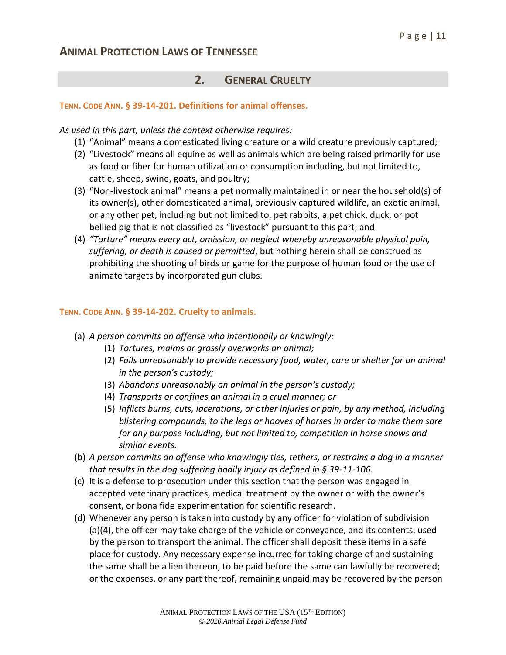### **2. GENERAL CRUELTY**

#### **TENN. CODE ANN. § 39-14-201. Definitions for animal offenses.**

*As used in this part, unless the context otherwise requires:*

- (1) "Animal" means a domesticated living creature or a wild creature previously captured;
- (2) "Livestock" means all equine as well as animals which are being raised primarily for use as food or fiber for human utilization or consumption including, but not limited to, cattle, sheep, swine, goats, and poultry;
- (3) "Non-livestock animal" means a pet normally maintained in or near the household(s) of its owner(s), other domesticated animal, previously captured wildlife, an exotic animal, or any other pet, including but not limited to, pet rabbits, a pet chick, duck, or pot bellied pig that is not classified as "livestock" pursuant to this part; and
- (4) *"Torture" means every act, omission, or neglect whereby unreasonable physical pain, suffering, or death is caused or permitted*, but nothing herein shall be construed as prohibiting the shooting of birds or game for the purpose of human food or the use of animate targets by incorporated gun clubs.

#### **TENN. CODE ANN. § 39-14-202. Cruelty to animals.**

- (a) *A person commits an offense who intentionally or knowingly:*
	- (1) *Tortures, maims or grossly overworks an animal;*
	- (2) *Fails unreasonably to provide necessary food, water, care or shelter for an animal in the person's custody;*
	- (3) *Abandons unreasonably an animal in the person's custody;*
	- (4) *Transports or confines an animal in a cruel manner; or*
	- (5) *Inflicts burns, cuts, lacerations, or other injuries or pain, by any method, including blistering compounds, to the legs or hooves of horses in order to make them sore for any purpose including, but not limited to, competition in horse shows and similar events.*
- (b) *A person commits an offense who knowingly ties, tethers, or restrains a dog in a manner that results in the dog suffering bodily injury as defined in § 39-11-106.*
- (c) It is a defense to prosecution under this section that the person was engaged in accepted veterinary practices, medical treatment by the owner or with the owner's consent, or bona fide experimentation for scientific research.
- (d) Whenever any person is taken into custody by any officer for violation of subdivision (a)(4), the officer may take charge of the vehicle or conveyance, and its contents, used by the person to transport the animal. The officer shall deposit these items in a safe place for custody. Any necessary expense incurred for taking charge of and sustaining the same shall be a lien thereon, to be paid before the same can lawfully be recovered; or the expenses, or any part thereof, remaining unpaid may be recovered by the person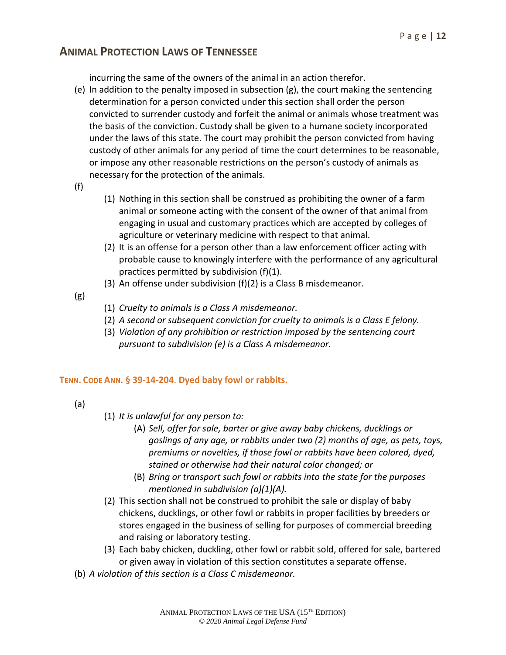incurring the same of the owners of the animal in an action therefor.

- (e) In addition to the penalty imposed in subsection (g), the court making the sentencing determination for a person convicted under this section shall order the person convicted to surrender custody and forfeit the animal or animals whose treatment was the basis of the conviction. Custody shall be given to a humane society incorporated under the laws of this state. The court may prohibit the person convicted from having custody of other animals for any period of time the court determines to be reasonable, or impose any other reasonable restrictions on the person's custody of animals as necessary for the protection of the animals.
- (f)
- (1) Nothing in this section shall be construed as prohibiting the owner of a farm animal or someone acting with the consent of the owner of that animal from engaging in usual and customary practices which are accepted by colleges of agriculture or veterinary medicine with respect to that animal.
- (2) It is an offense for a person other than a law enforcement officer acting with probable cause to knowingly interfere with the performance of any agricultural practices permitted by subdivision (f)(1).
- (3) An offense under subdivision (f)(2) is a Class B misdemeanor.
- (g)
- (1) *Cruelty to animals is a Class A misdemeanor.*
- (2) *A second or subsequent conviction for cruelty to animals is a Class E felony.*
- (3) *Violation of any prohibition or restriction imposed by the sentencing court pursuant to subdivision (e) is a Class A misdemeanor.*

#### **TENN. CODE ANN. § 39-14-204**. **Dyed baby fowl or rabbits.**

- (a)
- (1) *It is unlawful for any person to:*
	- (A) *Sell, offer for sale, barter or give away baby chickens, ducklings or goslings of any age, or rabbits under two (2) months of age, as pets, toys, premiums or novelties, if those fowl or rabbits have been colored, dyed, stained or otherwise had their natural color changed; or*
	- (B) *Bring or transport such fowl or rabbits into the state for the purposes mentioned in subdivision (a)(1)(A).*
- (2) This section shall not be construed to prohibit the sale or display of baby chickens, ducklings, or other fowl or rabbits in proper facilities by breeders or stores engaged in the business of selling for purposes of commercial breeding and raising or laboratory testing.
- (3) Each baby chicken, duckling, other fowl or rabbit sold, offered for sale, bartered or given away in violation of this section constitutes a separate offense.
- (b) *A violation of this section is a Class C misdemeanor.*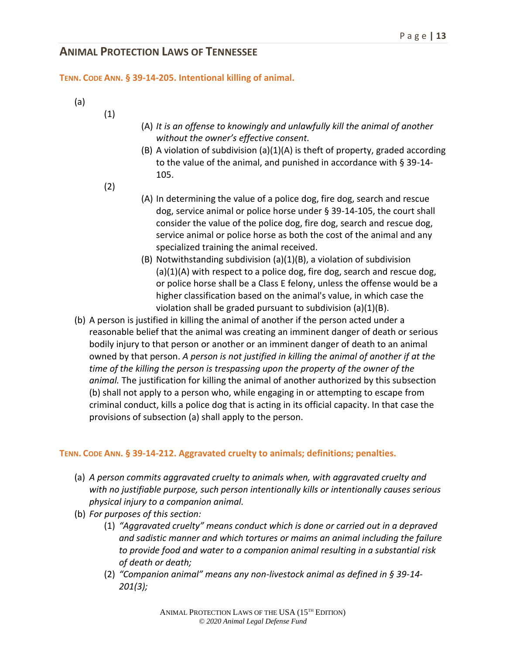**TENN. CODE ANN. § 39-14-205. Intentional killing of animal.**

- (a)
- (A) *It is an offense to knowingly and unlawfully kill the animal of another without the owner's effective consent.*
- (B) A violation of subdivision (a)(1)(A) is theft of property, graded according to the value of the animal, and punished in accordance with § 39-14- 105.
- (2)

(1)

- (A) In determining the value of a police dog, fire dog, search and rescue dog, service animal or police horse under § 39-14-105, the court shall consider the value of the police dog, fire dog, search and rescue dog, service animal or police horse as both the cost of the animal and any specialized training the animal received.
- (B) Notwithstanding subdivision (a)(1)(B), a violation of subdivision (a)(1)(A) with respect to a police dog, fire dog, search and rescue dog, or police horse shall be a Class E felony, unless the offense would be a higher classification based on the animal's value, in which case the violation shall be graded pursuant to subdivision (a)(1)(B).
- (b) A person is justified in killing the animal of another if the person acted under a reasonable belief that the animal was creating an imminent danger of death or serious bodily injury to that person or another or an imminent danger of death to an animal owned by that person. *A person is not justified in killing the animal of another if at the time of the killing the person is trespassing upon the property of the owner of the animal.* The justification for killing the animal of another authorized by this subsection (b) shall not apply to a person who, while engaging in or attempting to escape from criminal conduct, kills a police dog that is acting in its official capacity. In that case the provisions of subsection (a) shall apply to the person.

#### **TENN. CODE ANN. § 39-14-212. Aggravated cruelty to animals; definitions; penalties.**

- (a) *A person commits aggravated cruelty to animals when, with aggravated cruelty and with no justifiable purpose, such person intentionally kills or intentionally causes serious physical injury to a companion animal.*
- (b) *For purposes of this section:*
	- (1) *"Aggravated cruelty" means conduct which is done or carried out in a depraved and sadistic manner and which tortures or maims an animal including the failure to provide food and water to a companion animal resulting in a substantial risk of death or death;*
	- (2) *"Companion animal" means any non-livestock animal as defined in § 39-14- 201(3);*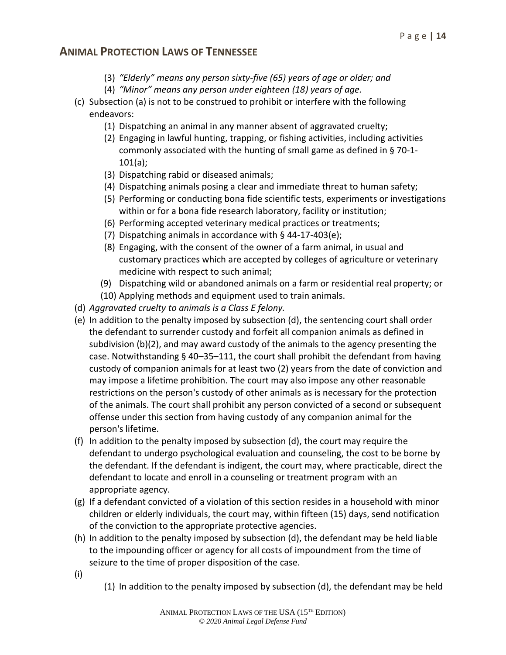- (3) *"Elderly" means any person sixty-five (65) years of age or older; and*
- (4) *"Minor" means any person under eighteen (18) years of age.*
- (c) Subsection (a) is not to be construed to prohibit or interfere with the following endeavors:
	- (1) Dispatching an animal in any manner absent of aggravated cruelty;
	- (2) Engaging in lawful hunting, trapping, or fishing activities, including activities commonly associated with the hunting of small game as defined in § 70-1- 101(a);
	- (3) Dispatching rabid or diseased animals;
	- (4) Dispatching animals posing a clear and immediate threat to human safety;
	- (5) Performing or conducting bona fide scientific tests, experiments or investigations within or for a bona fide research laboratory, facility or institution;
	- (6) Performing accepted veterinary medical practices or treatments;
	- (7) Dispatching animals in accordance with § 44-17-403(e);
	- (8) Engaging, with the consent of the owner of a farm animal, in usual and customary practices which are accepted by colleges of agriculture or veterinary medicine with respect to such animal;
	- (9) Dispatching wild or abandoned animals on a farm or residential real property; or
	- (10) Applying methods and equipment used to train animals.
- (d) *Aggravated cruelty to animals is a Class E felony.*
- (e) In addition to the penalty imposed by subsection (d), the sentencing court shall order the defendant to surrender custody and forfeit all companion animals as defined in subdivision (b)(2), and may award custody of the animals to the agency presenting the case. Notwithstanding § 40–35–111, the court shall prohibit the defendant from having custody of companion animals for at least two (2) years from the date of conviction and may impose a lifetime prohibition. The court may also impose any other reasonable restrictions on the person's custody of other animals as is necessary for the protection of the animals. The court shall prohibit any person convicted of a second or subsequent offense under this section from having custody of any companion animal for the person's lifetime.
- (f) In addition to the penalty imposed by subsection (d), the court may require the defendant to undergo psychological evaluation and counseling, the cost to be borne by the defendant. If the defendant is indigent, the court may, where practicable, direct the defendant to locate and enroll in a counseling or treatment program with an appropriate agency.
- (g) If a defendant convicted of a violation of this section resides in a household with minor children or elderly individuals, the court may, within fifteen (15) days, send notification of the conviction to the appropriate protective agencies.
- (h) In addition to the penalty imposed by subsection (d), the defendant may be held liable to the impounding officer or agency for all costs of impoundment from the time of seizure to the time of proper disposition of the case.
- (i)
- (1) In addition to the penalty imposed by subsection (d), the defendant may be held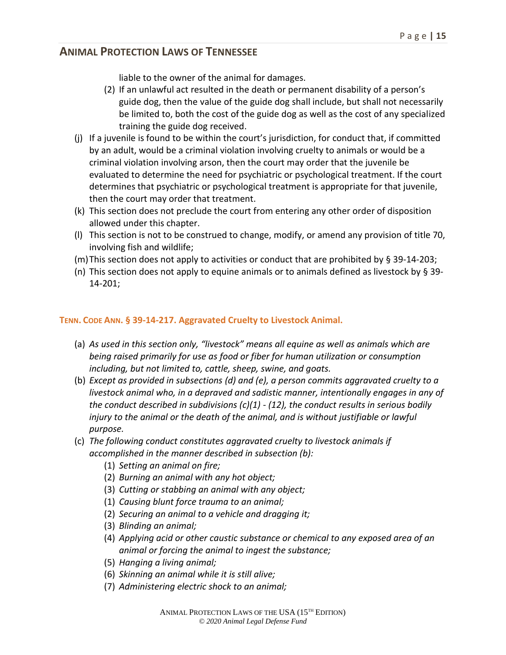liable to the owner of the animal for damages.

- (2) If an unlawful act resulted in the death or permanent disability of a person's guide dog, then the value of the guide dog shall include, but shall not necessarily be limited to, both the cost of the guide dog as well as the cost of any specialized training the guide dog received.
- (j) If a juvenile is found to be within the court's jurisdiction, for conduct that, if committed by an adult, would be a criminal violation involving cruelty to animals or would be a criminal violation involving arson, then the court may order that the juvenile be evaluated to determine the need for psychiatric or psychological treatment. If the court determines that psychiatric or psychological treatment is appropriate for that juvenile, then the court may order that treatment.
- (k) This section does not preclude the court from entering any other order of disposition allowed under this chapter.
- (l) This section is not to be construed to change, modify, or amend any provision of title 70, involving fish and wildlife;
- (m)This section does not apply to activities or conduct that are prohibited by § 39-14-203;
- (n) This section does not apply to equine animals or to animals defined as livestock by  $\S 39$ -14-201;

#### **TENN. CODE ANN. § 39-14-217. Aggravated Cruelty to Livestock Animal.**

- (a) *As used in this section only, "livestock" means all equine as well as animals which are being raised primarily for use as food or fiber for human utilization or consumption including, but not limited to, cattle, sheep, swine, and goats.*
- (b) *Except as provided in subsections (d) and (e), a person commits aggravated cruelty to a livestock animal who, in a depraved and sadistic manner, intentionally engages in any of the conduct described in subdivisions (c)(1) - (12), the conduct results in serious bodily injury to the animal or the death of the animal, and is without justifiable or lawful purpose.*
- (c) *The following conduct constitutes aggravated cruelty to livestock animals if accomplished in the manner described in subsection (b):*
	- (1) *Setting an animal on fire;*
	- (2) *Burning an animal with any hot object;*
	- (3) *Cutting or stabbing an animal with any object;*
	- (1) *Causing blunt force trauma to an animal;*
	- (2) *Securing an animal to a vehicle and dragging it;*
	- (3) *Blinding an animal;*
	- (4) *Applying acid or other caustic substance or chemical to any exposed area of an animal or forcing the animal to ingest the substance;*
	- (5) *Hanging a living animal;*
	- (6) *Skinning an animal while it is still alive;*
	- (7) *Administering electric shock to an animal;*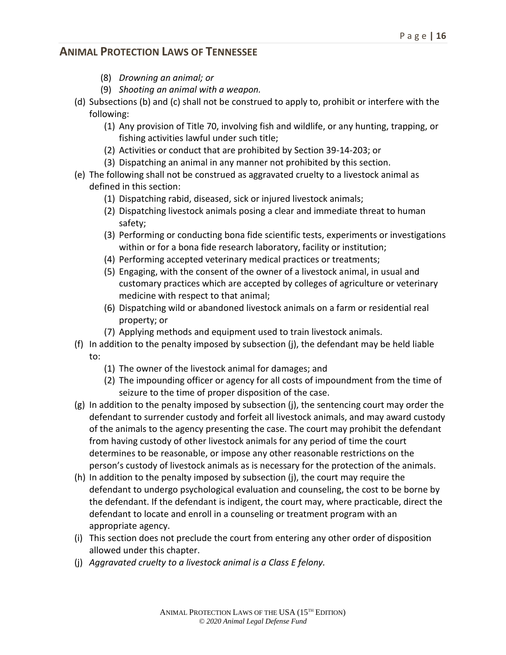- (8) *Drowning an animal; or*
- (9) *Shooting an animal with a weapon.*
- (d) Subsections (b) and (c) shall not be construed to apply to, prohibit or interfere with the following:
	- (1) Any provision of Title 70, involving fish and wildlife, or any hunting, trapping, or fishing activities lawful under such title;
	- (2) Activities or conduct that are prohibited by Section 39-14-203; or
	- (3) Dispatching an animal in any manner not prohibited by this section.
- (e) The following shall not be construed as aggravated cruelty to a livestock animal as defined in this section:
	- (1) Dispatching rabid, diseased, sick or injured livestock animals;
	- (2) Dispatching livestock animals posing a clear and immediate threat to human safety;
	- (3) Performing or conducting bona fide scientific tests, experiments or investigations within or for a bona fide research laboratory, facility or institution;
	- (4) Performing accepted veterinary medical practices or treatments;
	- (5) Engaging, with the consent of the owner of a livestock animal, in usual and customary practices which are accepted by colleges of agriculture or veterinary medicine with respect to that animal;
	- (6) Dispatching wild or abandoned livestock animals on a farm or residential real property; or
	- (7) Applying methods and equipment used to train livestock animals.
- (f) In addition to the penalty imposed by subsection (j), the defendant may be held liable to:
	- (1) The owner of the livestock animal for damages; and
	- (2) The impounding officer or agency for all costs of impoundment from the time of seizure to the time of proper disposition of the case.
- (g) In addition to the penalty imposed by subsection (j), the sentencing court may order the defendant to surrender custody and forfeit all livestock animals, and may award custody of the animals to the agency presenting the case. The court may prohibit the defendant from having custody of other livestock animals for any period of time the court determines to be reasonable, or impose any other reasonable restrictions on the person's custody of livestock animals as is necessary for the protection of the animals.
- (h) In addition to the penalty imposed by subsection (j), the court may require the defendant to undergo psychological evaluation and counseling, the cost to be borne by the defendant. If the defendant is indigent, the court may, where practicable, direct the defendant to locate and enroll in a counseling or treatment program with an appropriate agency.
- (i) This section does not preclude the court from entering any other order of disposition allowed under this chapter.
- (j) *Aggravated cruelty to a livestock animal is a Class E felony.*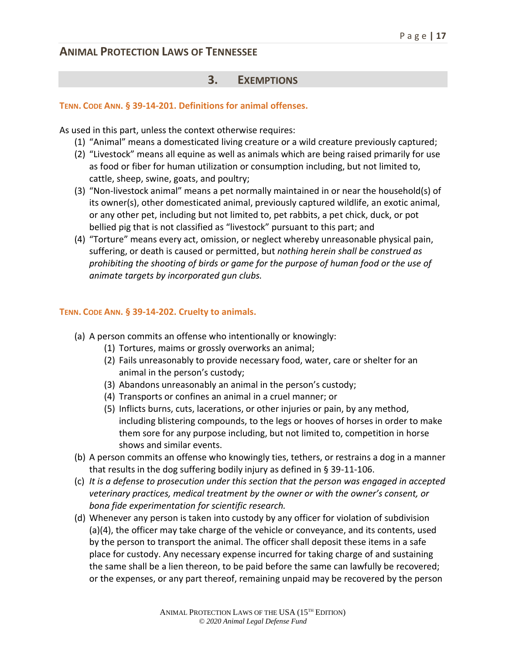#### **3. EXEMPTIONS**

#### **TENN. CODE ANN. § 39-14-201. Definitions for animal offenses.**

As used in this part, unless the context otherwise requires:

- (1) "Animal" means a domesticated living creature or a wild creature previously captured;
- (2) "Livestock" means all equine as well as animals which are being raised primarily for use as food or fiber for human utilization or consumption including, but not limited to, cattle, sheep, swine, goats, and poultry;
- (3) "Non-livestock animal" means a pet normally maintained in or near the household(s) of its owner(s), other domesticated animal, previously captured wildlife, an exotic animal, or any other pet, including but not limited to, pet rabbits, a pet chick, duck, or pot bellied pig that is not classified as "livestock" pursuant to this part; and
- (4) "Torture" means every act, omission, or neglect whereby unreasonable physical pain, suffering, or death is caused or permitted, but *nothing herein shall be construed as prohibiting the shooting of birds or game for the purpose of human food or the use of animate targets by incorporated gun clubs.*

#### **TENN. CODE ANN. § 39-14-202. Cruelty to animals.**

- (a) A person commits an offense who intentionally or knowingly:
	- (1) Tortures, maims or grossly overworks an animal;
	- (2) Fails unreasonably to provide necessary food, water, care or shelter for an animal in the person's custody;
	- (3) Abandons unreasonably an animal in the person's custody;
	- (4) Transports or confines an animal in a cruel manner; or
	- (5) Inflicts burns, cuts, lacerations, or other injuries or pain, by any method, including blistering compounds, to the legs or hooves of horses in order to make them sore for any purpose including, but not limited to, competition in horse shows and similar events.
- (b) A person commits an offense who knowingly ties, tethers, or restrains a dog in a manner that results in the dog suffering bodily injury as defined in § 39-11-106.
- (c) *It is a defense to prosecution under this section that the person was engaged in accepted veterinary practices, medical treatment by the owner or with the owner's consent, or bona fide experimentation for scientific research.*
- (d) Whenever any person is taken into custody by any officer for violation of subdivision (a)(4), the officer may take charge of the vehicle or conveyance, and its contents, used by the person to transport the animal. The officer shall deposit these items in a safe place for custody. Any necessary expense incurred for taking charge of and sustaining the same shall be a lien thereon, to be paid before the same can lawfully be recovered; or the expenses, or any part thereof, remaining unpaid may be recovered by the person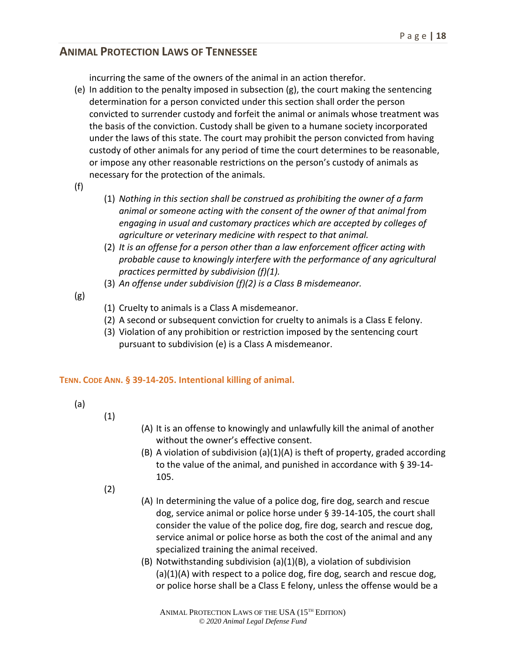incurring the same of the owners of the animal in an action therefor.

- (e) In addition to the penalty imposed in subsection (g), the court making the sentencing determination for a person convicted under this section shall order the person convicted to surrender custody and forfeit the animal or animals whose treatment was the basis of the conviction. Custody shall be given to a humane society incorporated under the laws of this state. The court may prohibit the person convicted from having custody of other animals for any period of time the court determines to be reasonable, or impose any other reasonable restrictions on the person's custody of animals as necessary for the protection of the animals.
- (f)
- (1) *Nothing in this section shall be construed as prohibiting the owner of a farm animal or someone acting with the consent of the owner of that animal from engaging in usual and customary practices which are accepted by colleges of agriculture or veterinary medicine with respect to that animal.*
- (2) *It is an offense for a person other than a law enforcement officer acting with probable cause to knowingly interfere with the performance of any agricultural practices permitted by subdivision (f)(1).*
- (3) *An offense under subdivision (f)(2) is a Class B misdemeanor.*
- (g)
- (1) Cruelty to animals is a Class A misdemeanor.
- (2) A second or subsequent conviction for cruelty to animals is a Class E felony.
- (3) Violation of any prohibition or restriction imposed by the sentencing court pursuant to subdivision (e) is a Class A misdemeanor.

#### **TENN. CODE ANN. § 39-14-205. Intentional killing of animal.**

(a)

- (1)
- (A) It is an offense to knowingly and unlawfully kill the animal of another without the owner's effective consent.
- (B) A violation of subdivision (a)(1)(A) is theft of property, graded according to the value of the animal, and punished in accordance with § 39-14- 105.
- (2)
- (A) In determining the value of a police dog, fire dog, search and rescue dog, service animal or police horse under § 39-14-105, the court shall consider the value of the police dog, fire dog, search and rescue dog, service animal or police horse as both the cost of the animal and any specialized training the animal received.
- (B) Notwithstanding subdivision (a)(1)(B), a violation of subdivision (a)(1)(A) with respect to a police dog, fire dog, search and rescue dog, or police horse shall be a Class E felony, unless the offense would be a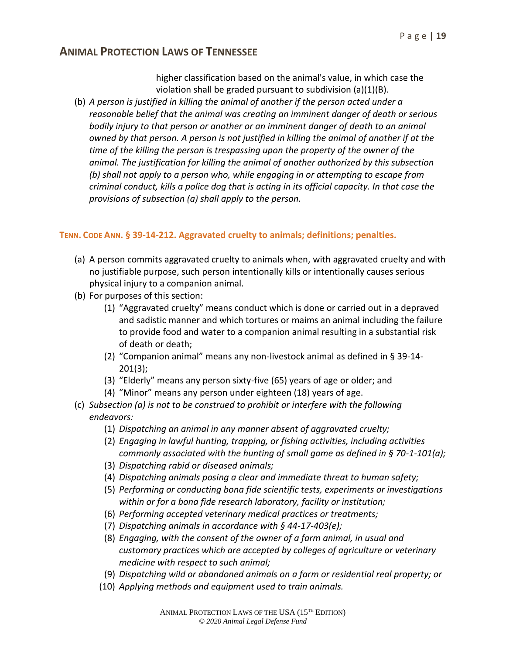higher classification based on the animal's value, in which case the violation shall be graded pursuant to subdivision (a)(1)(B).

(b) *A person is justified in killing the animal of another if the person acted under a reasonable belief that the animal was creating an imminent danger of death or serious bodily injury to that person or another or an imminent danger of death to an animal owned by that person. A person is not justified in killing the animal of another if at the time of the killing the person is trespassing upon the property of the owner of the animal. The justification for killing the animal of another authorized by this subsection (b) shall not apply to a person who, while engaging in or attempting to escape from criminal conduct, kills a police dog that is acting in its official capacity. In that case the provisions of subsection (a) shall apply to the person.*

#### **TENN. CODE ANN. § 39-14-212. Aggravated cruelty to animals; definitions; penalties.**

- (a) A person commits aggravated cruelty to animals when, with aggravated cruelty and with no justifiable purpose, such person intentionally kills or intentionally causes serious physical injury to a companion animal.
- (b) For purposes of this section:
	- (1) "Aggravated cruelty" means conduct which is done or carried out in a depraved and sadistic manner and which tortures or maims an animal including the failure to provide food and water to a companion animal resulting in a substantial risk of death or death;
	- (2) "Companion animal" means any non-livestock animal as defined in § 39-14- 201(3);
	- (3) "Elderly" means any person sixty-five (65) years of age or older; and
	- (4) "Minor" means any person under eighteen (18) years of age.
- (c) *Subsection (a) is not to be construed to prohibit or interfere with the following endeavors:*
	- (1) *Dispatching an animal in any manner absent of aggravated cruelty;*
	- (2) *Engaging in lawful hunting, trapping, or fishing activities, including activities commonly associated with the hunting of small game as defined in § 70-1-101(a);*
	- (3) *Dispatching rabid or diseased animals;*
	- (4) *Dispatching animals posing a clear and immediate threat to human safety;*
	- (5) *Performing or conducting bona fide scientific tests, experiments or investigations within or for a bona fide research laboratory, facility or institution;*
	- (6) *Performing accepted veterinary medical practices or treatments;*
	- (7) *Dispatching animals in accordance with § 44-17-403(e);*
	- (8) *Engaging, with the consent of the owner of a farm animal, in usual and customary practices which are accepted by colleges of agriculture or veterinary medicine with respect to such animal;*
	- (9) *Dispatching wild or abandoned animals on a farm or residential real property; or*
	- (10) *Applying methods and equipment used to train animals.*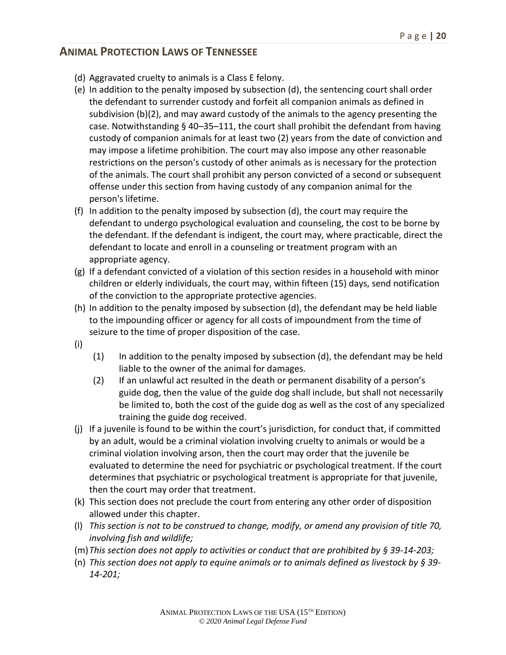- (d) Aggravated cruelty to animals is a Class E felony.
- (e) In addition to the penalty imposed by subsection (d), the sentencing court shall order the defendant to surrender custody and forfeit all companion animals as defined in subdivision (b)(2), and may award custody of the animals to the agency presenting the case. Notwithstanding § 40–35–111, the court shall prohibit the defendant from having custody of companion animals for at least two (2) years from the date of conviction and may impose a lifetime prohibition. The court may also impose any other reasonable restrictions on the person's custody of other animals as is necessary for the protection of the animals. The court shall prohibit any person convicted of a second or subsequent offense under this section from having custody of any companion animal for the person's lifetime.
- (f) In addition to the penalty imposed by subsection (d), the court may require the defendant to undergo psychological evaluation and counseling, the cost to be borne by the defendant. If the defendant is indigent, the court may, where practicable, direct the defendant to locate and enroll in a counseling or treatment program with an appropriate agency.
- (g) If a defendant convicted of a violation of this section resides in a household with minor children or elderly individuals, the court may, within fifteen (15) days, send notification of the conviction to the appropriate protective agencies.
- (h) In addition to the penalty imposed by subsection (d), the defendant may be held liable to the impounding officer or agency for all costs of impoundment from the time of seizure to the time of proper disposition of the case.
- (i)
- $(1)$  In addition to the penalty imposed by subsection (d), the defendant may be held liable to the owner of the animal for damages.
- (2) If an unlawful act resulted in the death or permanent disability of a person's guide dog, then the value of the guide dog shall include, but shall not necessarily be limited to, both the cost of the guide dog as well as the cost of any specialized training the guide dog received.
- (j) If a juvenile is found to be within the court's jurisdiction, for conduct that, if committed by an adult, would be a criminal violation involving cruelty to animals or would be a criminal violation involving arson, then the court may order that the juvenile be evaluated to determine the need for psychiatric or psychological treatment. If the court determines that psychiatric or psychological treatment is appropriate for that juvenile, then the court may order that treatment.
- (k) This section does not preclude the court from entering any other order of disposition allowed under this chapter.
- (l) *This section is not to be construed to change, modify, or amend any provision of title 70, involving fish and wildlife;*
- (m)*This section does not apply to activities or conduct that are prohibited by § 39-14-203;*
- (n) *This section does not apply to equine animals or to animals defined as livestock by § 39- 14-201;*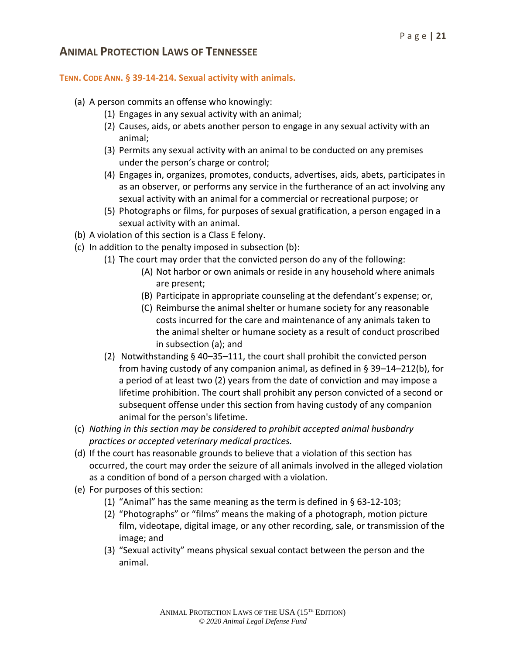#### **TENN. CODE ANN. § 39-14-214. Sexual activity with animals.**

- (a) A person commits an offense who knowingly:
	- (1) Engages in any sexual activity with an animal;
	- (2) Causes, aids, or abets another person to engage in any sexual activity with an animal;
	- (3) Permits any sexual activity with an animal to be conducted on any premises under the person's charge or control;
	- (4) Engages in, organizes, promotes, conducts, advertises, aids, abets, participates in as an observer, or performs any service in the furtherance of an act involving any sexual activity with an animal for a commercial or recreational purpose; or
	- (5) Photographs or films, for purposes of sexual gratification, a person engaged in a sexual activity with an animal.
- (b) A violation of this section is a Class E felony.
- (c) In addition to the penalty imposed in subsection (b):
	- (1) The court may order that the convicted person do any of the following:
		- (A) Not harbor or own animals or reside in any household where animals are present;
		- (B) Participate in appropriate counseling at the defendant's expense; or,
		- (C) Reimburse the animal shelter or humane society for any reasonable costs incurred for the care and maintenance of any animals taken to the animal shelter or humane society as a result of conduct proscribed in subsection (a); and
	- (2) Notwithstanding § 40–35–111, the court shall prohibit the convicted person from having custody of any companion animal, as defined in § 39–14–212(b), for a period of at least two (2) years from the date of conviction and may impose a lifetime prohibition. The court shall prohibit any person convicted of a second or subsequent offense under this section from having custody of any companion animal for the person's lifetime.
- (c) *Nothing in this section may be considered to prohibit accepted animal husbandry practices or accepted veterinary medical practices.*
- (d) If the court has reasonable grounds to believe that a violation of this section has occurred, the court may order the seizure of all animals involved in the alleged violation as a condition of bond of a person charged with a violation.
- (e) For purposes of this section:
	- (1) "Animal" has the same meaning as the term is defined in § 63-12-103;
	- (2) "Photographs" or "films" means the making of a photograph, motion picture film, videotape, digital image, or any other recording, sale, or transmission of the image; and
	- (3) "Sexual activity" means physical sexual contact between the person and the animal.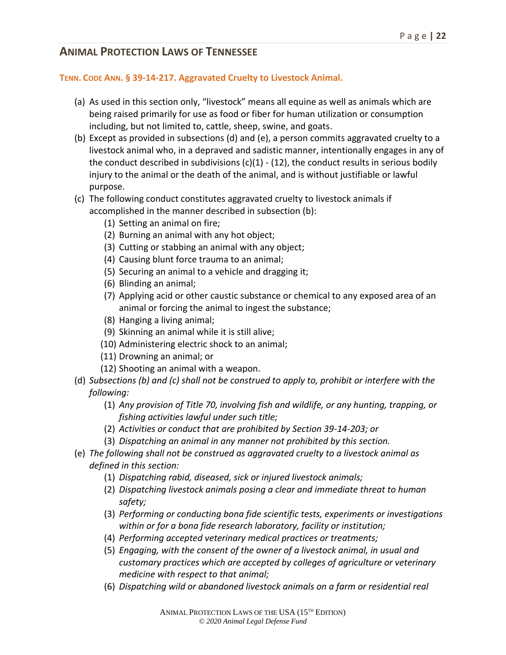#### **TENN. CODE ANN. § 39-14-217. Aggravated Cruelty to Livestock Animal.**

- (a) As used in this section only, "livestock" means all equine as well as animals which are being raised primarily for use as food or fiber for human utilization or consumption including, but not limited to, cattle, sheep, swine, and goats.
- (b) Except as provided in subsections (d) and (e), a person commits aggravated cruelty to a livestock animal who, in a depraved and sadistic manner, intentionally engages in any of the conduct described in subdivisions  $(c)(1) - (12)$ , the conduct results in serious bodily injury to the animal or the death of the animal, and is without justifiable or lawful purpose.
- (c) The following conduct constitutes aggravated cruelty to livestock animals if accomplished in the manner described in subsection (b):
	- (1) Setting an animal on fire;
	- (2) Burning an animal with any hot object;
	- (3) Cutting or stabbing an animal with any object;
	- (4) Causing blunt force trauma to an animal;
	- (5) Securing an animal to a vehicle and dragging it;
	- (6) Blinding an animal;
	- (7) Applying acid or other caustic substance or chemical to any exposed area of an animal or forcing the animal to ingest the substance;
	- (8) Hanging a living animal;
	- (9) Skinning an animal while it is still alive;
	- (10) Administering electric shock to an animal;
	- (11) Drowning an animal; or
	- (12) Shooting an animal with a weapon.
- (d) *Subsections (b) and (c) shall not be construed to apply to, prohibit or interfere with the following:*
	- (1) *Any provision of Title 70, involving fish and wildlife, or any hunting, trapping, or fishing activities lawful under such title;*
	- (2) *Activities or conduct that are prohibited by Section 39-14-203; or*
	- (3) *Dispatching an animal in any manner not prohibited by this section.*
- (e) *The following shall not be construed as aggravated cruelty to a livestock animal as defined in this section:*
	- (1) *Dispatching rabid, diseased, sick or injured livestock animals;*
	- (2) *Dispatching livestock animals posing a clear and immediate threat to human safety;*
	- (3) *Performing or conducting bona fide scientific tests, experiments or investigations within or for a bona fide research laboratory, facility or institution;*
	- (4) *Performing accepted veterinary medical practices or treatments;*
	- (5) *Engaging, with the consent of the owner of a livestock animal, in usual and customary practices which are accepted by colleges of agriculture or veterinary medicine with respect to that animal;*
	- (6) *Dispatching wild or abandoned livestock animals on a farm or residential real*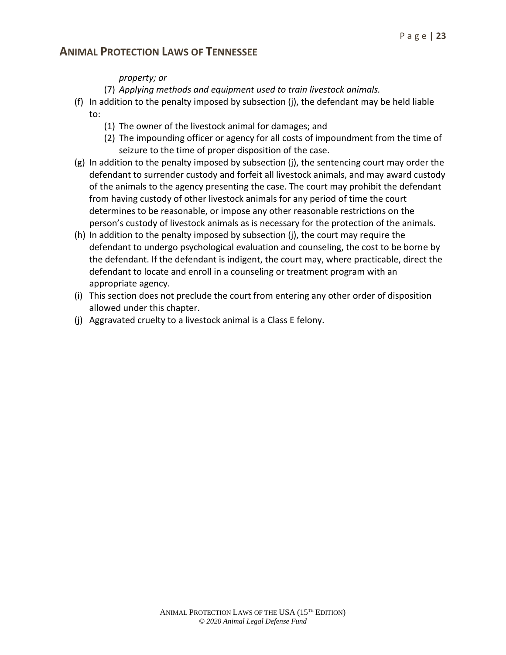#### *property; or*

- (7) *Applying methods and equipment used to train livestock animals.*
- (f) In addition to the penalty imposed by subsection (j), the defendant may be held liable to:
	- (1) The owner of the livestock animal for damages; and
	- (2) The impounding officer or agency for all costs of impoundment from the time of seizure to the time of proper disposition of the case.
- (g) In addition to the penalty imposed by subsection (j), the sentencing court may order the defendant to surrender custody and forfeit all livestock animals, and may award custody of the animals to the agency presenting the case. The court may prohibit the defendant from having custody of other livestock animals for any period of time the court determines to be reasonable, or impose any other reasonable restrictions on the person's custody of livestock animals as is necessary for the protection of the animals.
- (h) In addition to the penalty imposed by subsection (j), the court may require the defendant to undergo psychological evaluation and counseling, the cost to be borne by the defendant. If the defendant is indigent, the court may, where practicable, direct the defendant to locate and enroll in a counseling or treatment program with an appropriate agency.
- (i) This section does not preclude the court from entering any other order of disposition allowed under this chapter.
- (j) Aggravated cruelty to a livestock animal is a Class E felony.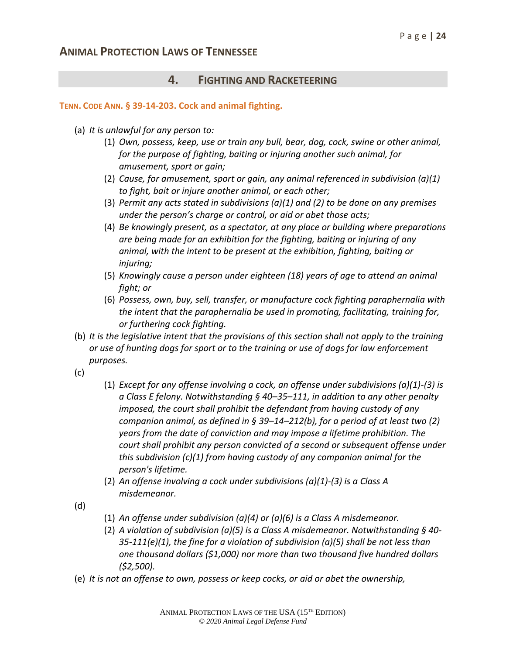### **4. FIGHTING AND RACKETEERING**

#### **TENN. CODE ANN. § 39-14-203. Cock and animal fighting.**

- (a) *It is unlawful for any person to:*
	- (1) *Own, possess, keep, use or train any bull, bear, dog, cock, swine or other animal, for the purpose of fighting, baiting or injuring another such animal, for amusement, sport or gain;*
	- (2) *Cause, for amusement, sport or gain, any animal referenced in subdivision (a)(1) to fight, bait or injure another animal, or each other;*
	- (3) *Permit any acts stated in subdivisions (a)(1) and (2) to be done on any premises under the person's charge or control, or aid or abet those acts;*
	- (4) *Be knowingly present, as a spectator, at any place or building where preparations are being made for an exhibition for the fighting, baiting or injuring of any animal, with the intent to be present at the exhibition, fighting, baiting or injuring;*
	- (5) *Knowingly cause a person under eighteen (18) years of age to attend an animal fight; or*
	- (6) *Possess, own, buy, sell, transfer, or manufacture cock fighting paraphernalia with the intent that the paraphernalia be used in promoting, facilitating, training for, or furthering cock fighting.*
- (b) *It is the legislative intent that the provisions of this section shall not apply to the training or use of hunting dogs for sport or to the training or use of dogs for law enforcement purposes.*
- (c)
- (1) *Except for any offense involving a cock, an offense under subdivisions (a)(1)-(3) is a Class E felony. Notwithstanding § 40–35–111, in addition to any other penalty imposed, the court shall prohibit the defendant from having custody of any companion animal, as defined in § 39–14–212(b), for a period of at least two (2) years from the date of conviction and may impose a lifetime prohibition. The court shall prohibit any person convicted of a second or subsequent offense under this subdivision (c)(1) from having custody of any companion animal for the person's lifetime.*
- (2) *An offense involving a cock under subdivisions (a)(1)-(3) is a Class A misdemeanor.*

(d)

- (1) *An offense under subdivision (a)(4) or (a)(6) is a Class A misdemeanor.*
- (2) *A violation of subdivision (a)(5) is a Class A misdemeanor. Notwithstanding § 40- 35-111(e)(1), the fine for a violation of subdivision (a)(5) shall be not less than one thousand dollars (\$1,000) nor more than two thousand five hundred dollars (\$2,500).*
- (e) *It is not an offense to own, possess or keep cocks, or aid or abet the ownership,*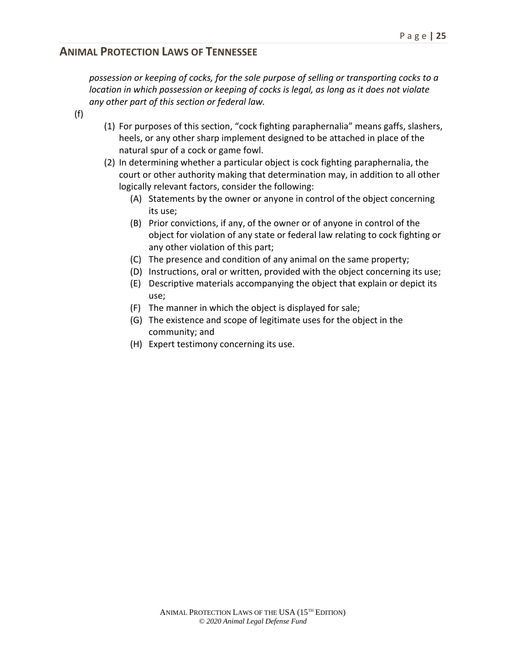*possession or keeping of cocks, for the sole purpose of selling or transporting cocks to a location in which possession or keeping of cocks is legal, as long as it does not violate any other part of this section or federal law.*

- (f)
- (1) For purposes of this section, "cock fighting paraphernalia" means gaffs, slashers, heels, or any other sharp implement designed to be attached in place of the natural spur of a cock or game fowl.
- (2) In determining whether a particular object is cock fighting paraphernalia, the court or other authority making that determination may, in addition to all other logically relevant factors, consider the following:
	- (A) Statements by the owner or anyone in control of the object concerning its use;
	- (B) Prior convictions, if any, of the owner or of anyone in control of the object for violation of any state or federal law relating to cock fighting or any other violation of this part;
	- (C) The presence and condition of any animal on the same property;
	- (D) Instructions, oral or written, provided with the object concerning its use;
	- (E) Descriptive materials accompanying the object that explain or depict its use;
	- (F) The manner in which the object is displayed for sale;
	- (G) The existence and scope of legitimate uses for the object in the community; and
	- (H) Expert testimony concerning its use.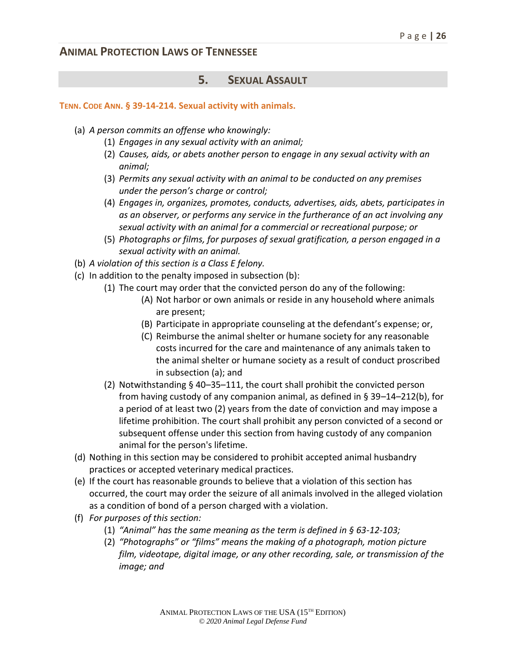#### **5. SEXUAL ASSAULT**

#### **TENN. CODE ANN. § 39-14-214. Sexual activity with animals.**

- (a) *A person commits an offense who knowingly:*
	- (1) *Engages in any sexual activity with an animal;*
	- (2) *Causes, aids, or abets another person to engage in any sexual activity with an animal;*
	- (3) *Permits any sexual activity with an animal to be conducted on any premises under the person's charge or control;*
	- (4) *Engages in, organizes, promotes, conducts, advertises, aids, abets, participates in as an observer, or performs any service in the furtherance of an act involving any sexual activity with an animal for a commercial or recreational purpose; or*
	- (5) *Photographs or films, for purposes of sexual gratification, a person engaged in a sexual activity with an animal.*
- (b) *A violation of this section is a Class E felony.*
- (c) In addition to the penalty imposed in subsection (b):
	- (1) The court may order that the convicted person do any of the following:
		- (A) Not harbor or own animals or reside in any household where animals are present;
		- (B) Participate in appropriate counseling at the defendant's expense; or,
		- (C) Reimburse the animal shelter or humane society for any reasonable costs incurred for the care and maintenance of any animals taken to the animal shelter or humane society as a result of conduct proscribed in subsection (a); and
	- (2) Notwithstanding § 40–35–111, the court shall prohibit the convicted person from having custody of any companion animal, as defined in  $\S 39-14-212(b)$ , for a period of at least two (2) years from the date of conviction and may impose a lifetime prohibition. The court shall prohibit any person convicted of a second or subsequent offense under this section from having custody of any companion animal for the person's lifetime.
- (d) Nothing in this section may be considered to prohibit accepted animal husbandry practices or accepted veterinary medical practices.
- (e) If the court has reasonable grounds to believe that a violation of this section has occurred, the court may order the seizure of all animals involved in the alleged violation as a condition of bond of a person charged with a violation.
- (f) *For purposes of this section:*
	- (1) *"Animal" has the same meaning as the term is defined in § 63-12-103;*
	- (2) *"Photographs" or "films" means the making of a photograph, motion picture film, videotape, digital image, or any other recording, sale, or transmission of the image; and*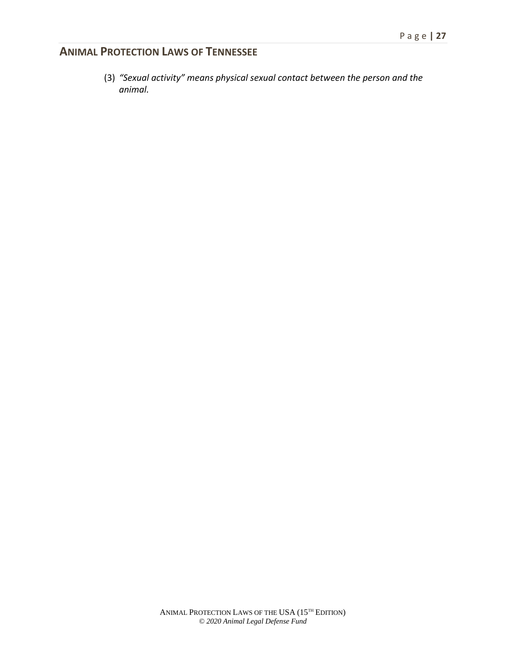(3) *"Sexual activity" means physical sexual contact between the person and the animal.*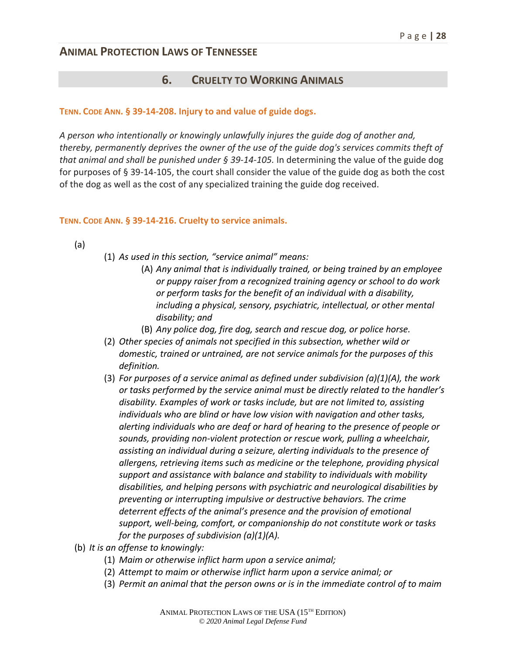#### **6. CRUELTY TO WORKING ANIMALS**

#### **TENN. CODE ANN. § 39-14-208. Injury to and value of guide dogs.**

*A person who intentionally or knowingly unlawfully injures the guide dog of another and, thereby, permanently deprives the owner of the use of the guide dog's services commits theft of that animal and shall be punished under § 39-14-105.* In determining the value of the guide dog for purposes of § 39-14-105, the court shall consider the value of the guide dog as both the cost of the dog as well as the cost of any specialized training the guide dog received.

#### **TENN. CODE ANN. § 39-14-216. Cruelty to service animals.**

- (a)
- (1) *As used in this section, "service animal" means:*
	- (A) *Any animal that is individually trained, or being trained by an employee or puppy raiser from a recognized training agency or school to do work or perform tasks for the benefit of an individual with a disability, including a physical, sensory, psychiatric, intellectual, or other mental disability; and*
		- (B) *Any police dog, fire dog, search and rescue dog, or police horse.*
- (2) *Other species of animals not specified in this subsection, whether wild or domestic, trained or untrained, are not service animals for the purposes of this definition.*
- (3) *For purposes of a service animal as defined under subdivision (a)(1)(A), the work or tasks performed by the service animal must be directly related to the handler's disability. Examples of work or tasks include, but are not limited to, assisting individuals who are blind or have low vision with navigation and other tasks, alerting individuals who are deaf or hard of hearing to the presence of people or sounds, providing non-violent protection or rescue work, pulling a wheelchair, assisting an individual during a seizure, alerting individuals to the presence of allergens, retrieving items such as medicine or the telephone, providing physical support and assistance with balance and stability to individuals with mobility disabilities, and helping persons with psychiatric and neurological disabilities by preventing or interrupting impulsive or destructive behaviors. The crime deterrent effects of the animal's presence and the provision of emotional support, well-being, comfort, or companionship do not constitute work or tasks for the purposes of subdivision (a)(1)(A).*
- (b) *It is an offense to knowingly:*
	- (1) *Maim or otherwise inflict harm upon a service animal;*
	- (2) *Attempt to maim or otherwise inflict harm upon a service animal; or*
	- (3) *Permit an animal that the person owns or is in the immediate control of to maim*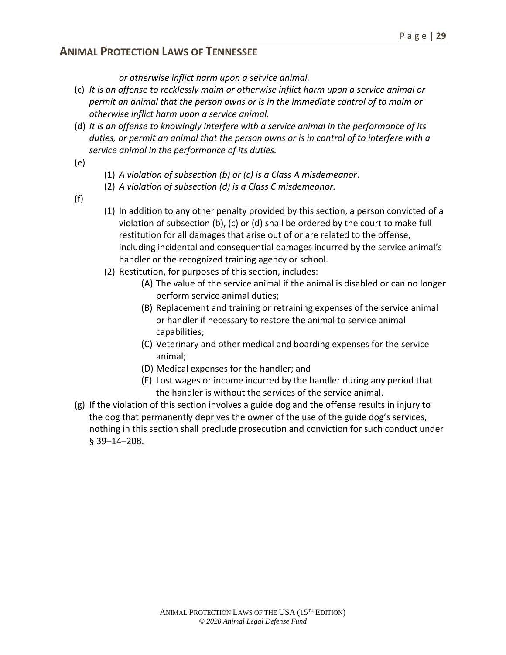*or otherwise inflict harm upon a service animal.*

- (c) *It is an offense to recklessly maim or otherwise inflict harm upon a service animal or permit an animal that the person owns or is in the immediate control of to maim or otherwise inflict harm upon a service animal.*
- (d) *It is an offense to knowingly interfere with a service animal in the performance of its duties, or permit an animal that the person owns or is in control of to interfere with a service animal in the performance of its duties.*
- (e)
- (1) *A violation of subsection (b) or (c) is a Class A misdemeanor*.
- (2) *A violation of subsection (d) is a Class C misdemeanor.*
- (f)
- (1) In addition to any other penalty provided by this section, a person convicted of a violation of subsection (b), (c) or (d) shall be ordered by the court to make full restitution for all damages that arise out of or are related to the offense, including incidental and consequential damages incurred by the service animal's handler or the recognized training agency or school.
- (2) Restitution, for purposes of this section, includes:
	- (A) The value of the service animal if the animal is disabled or can no longer perform service animal duties;
	- (B) Replacement and training or retraining expenses of the service animal or handler if necessary to restore the animal to service animal capabilities;
	- (C) Veterinary and other medical and boarding expenses for the service animal;
	- (D) Medical expenses for the handler; and
	- (E) Lost wages or income incurred by the handler during any period that the handler is without the services of the service animal.
- (g) If the violation of this section involves a guide dog and the offense results in injury to the dog that permanently deprives the owner of the use of the guide dog's services, nothing in this section shall preclude prosecution and conviction for such conduct under § 39–14–208.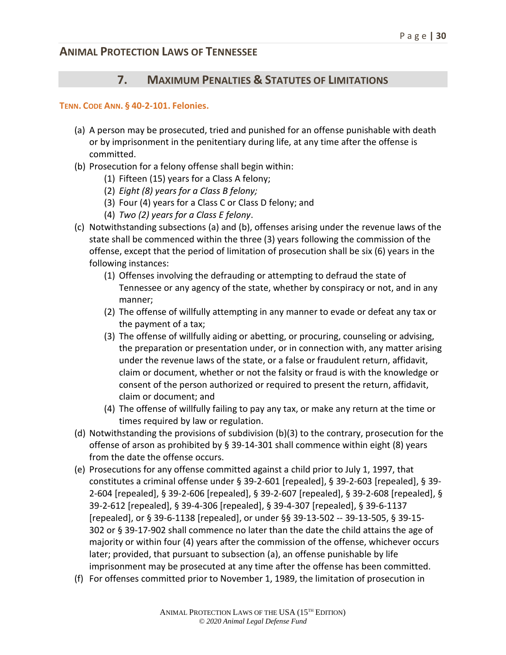#### **7. MAXIMUM PENALTIES & STATUTES OF LIMITATIONS**

#### **TENN. CODE ANN. § 40-2-101. Felonies.**

- (a) A person may be prosecuted, tried and punished for an offense punishable with death or by imprisonment in the penitentiary during life, at any time after the offense is committed.
- (b) Prosecution for a felony offense shall begin within:
	- (1) Fifteen (15) years for a Class A felony;
	- (2) *Eight (8) years for a Class B felony;*
	- (3) Four (4) years for a Class C or Class D felony; and
	- (4) *Two (2) years for a Class E felony*.
- (c) Notwithstanding subsections (a) and (b), offenses arising under the revenue laws of the state shall be commenced within the three (3) years following the commission of the offense, except that the period of limitation of prosecution shall be six (6) years in the following instances:
	- (1) Offenses involving the defrauding or attempting to defraud the state of Tennessee or any agency of the state, whether by conspiracy or not, and in any manner;
	- (2) The offense of willfully attempting in any manner to evade or defeat any tax or the payment of a tax;
	- (3) The offense of willfully aiding or abetting, or procuring, counseling or advising, the preparation or presentation under, or in connection with, any matter arising under the revenue laws of the state, or a false or fraudulent return, affidavit, claim or document, whether or not the falsity or fraud is with the knowledge or consent of the person authorized or required to present the return, affidavit, claim or document; and
	- (4) The offense of willfully failing to pay any tax, or make any return at the time or times required by law or regulation.
- (d) Notwithstanding the provisions of subdivision (b)(3) to the contrary, prosecution for the offense of arson as prohibited by § 39-14-301 shall commence within eight (8) years from the date the offense occurs.
- (e) Prosecutions for any offense committed against a child prior to July 1, 1997, that constitutes a criminal offense under § 39-2-601 [repealed], § 39-2-603 [repealed], § 39- 2-604 [repealed], § 39-2-606 [repealed], § 39-2-607 [repealed], § 39-2-608 [repealed], § 39-2-612 [repealed], § 39-4-306 [repealed], § 39-4-307 [repealed], § 39-6-1137 [repealed], or § 39-6-1138 [repealed], or under §§ 39-13-502 -- 39-13-505, § 39-15- 302 or § 39-17-902 shall commence no later than the date the child attains the age of majority or within four (4) years after the commission of the offense, whichever occurs later; provided, that pursuant to subsection (a), an offense punishable by life imprisonment may be prosecuted at any time after the offense has been committed.
- (f) For offenses committed prior to November 1, 1989, the limitation of prosecution in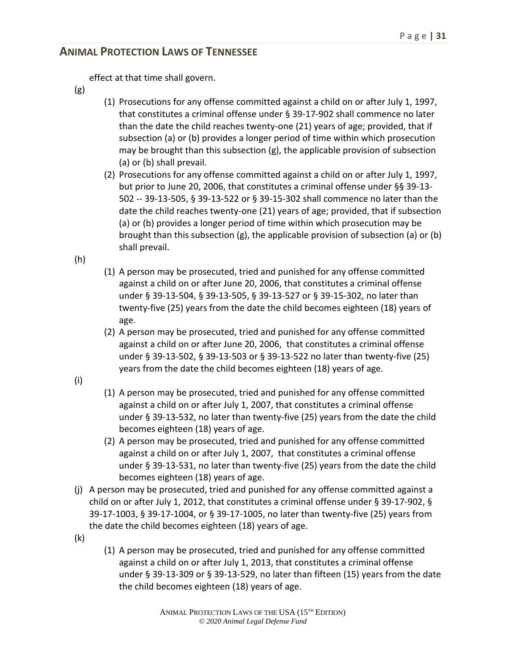effect at that time shall govern.

- (g)
- (1) Prosecutions for any offense committed against a child on or after July 1, 1997, that constitutes a criminal offense under § 39-17-902 shall commence no later than the date the child reaches twenty-one (21) years of age; provided, that if subsection (a) or (b) provides a longer period of time within which prosecution may be brought than this subsection (g), the applicable provision of subsection (a) or (b) shall prevail.
- (2) Prosecutions for any offense committed against a child on or after July 1, 1997, but prior to June 20, 2006, that constitutes a criminal offense under §§ 39-13- 502 -- 39-13-505, § 39-13-522 or § 39-15-302 shall commence no later than the date the child reaches twenty-one (21) years of age; provided, that if subsection (a) or (b) provides a longer period of time within which prosecution may be brought than this subsection (g), the applicable provision of subsection (a) or (b) shall prevail.

(h)

- (1) A person may be prosecuted, tried and punished for any offense committed against a child on or after June 20, 2006, that constitutes a criminal offense under § 39-13-504, § 39-13-505, § 39-13-527 or § 39-15-302, no later than twenty-five (25) years from the date the child becomes eighteen (18) years of age.
- (2) A person may be prosecuted, tried and punished for any offense committed against a child on or after June 20, 2006, that constitutes a criminal offense under § 39-13-502, § 39-13-503 or § 39-13-522 no later than twenty-five (25) years from the date the child becomes eighteen (18) years of age.
- (i)
- (1) A person may be prosecuted, tried and punished for any offense committed against a child on or after July 1, 2007, that constitutes a criminal offense under § 39-13-532, no later than twenty-five (25) years from the date the child becomes eighteen (18) years of age.
- (2) A person may be prosecuted, tried and punished for any offense committed against a child on or after July 1, 2007, that constitutes a criminal offense under § 39-13-531, no later than twenty-five (25) years from the date the child becomes eighteen (18) years of age.
- (j) A person may be prosecuted, tried and punished for any offense committed against a child on or after July 1, 2012, that constitutes a criminal offense under § 39-17-902, § 39-17-1003, § 39-17-1004, or § 39-17-1005, no later than twenty-five (25) years from the date the child becomes eighteen (18) years of age.
- (k)
- (1) A person may be prosecuted, tried and punished for any offense committed against a child on or after July 1, 2013, that constitutes a criminal offense under § 39-13-309 or § 39-13-529, no later than fifteen (15) years from the date the child becomes eighteen (18) years of age.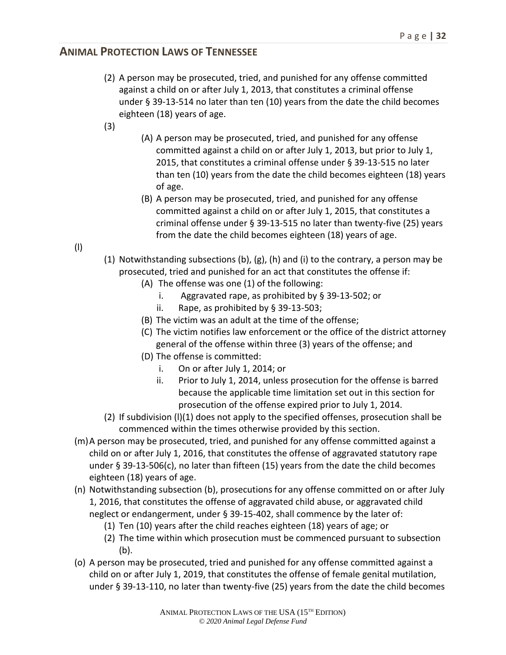- (2) A person may be prosecuted, tried, and punished for any offense committed against a child on or after July 1, 2013, that constitutes a criminal offense under § 39-13-514 no later than ten (10) years from the date the child becomes eighteen (18) years of age.
- (3)
- (A) A person may be prosecuted, tried, and punished for any offense committed against a child on or after July 1, 2013, but prior to July 1, 2015, that constitutes a criminal offense under § 39-13-515 no later than ten (10) years from the date the child becomes eighteen (18) years of age.
- (B) A person may be prosecuted, tried, and punished for any offense committed against a child on or after July 1, 2015, that constitutes a criminal offense under § 39-13-515 no later than twenty-five (25) years from the date the child becomes eighteen (18) years of age.
- (l)
- (1) Notwithstanding subsections (b),  $(g)$ , (h) and (i) to the contrary, a person may be prosecuted, tried and punished for an act that constitutes the offense if:
	- (A) The offense was one (1) of the following:
		- i. Aggravated rape, as prohibited by § 39-13-502; or
		- ii. Rape, as prohibited by § 39-13-503;
	- (B) The victim was an adult at the time of the offense;
	- (C) The victim notifies law enforcement or the office of the district attorney general of the offense within three (3) years of the offense; and
	- (D) The offense is committed:
		- i. On or after July 1, 2014; or
		- ii. Prior to July 1, 2014, unless prosecution for the offense is barred because the applicable time limitation set out in this section for prosecution of the offense expired prior to July 1, 2014.
- (2) If subdivision (l)(1) does not apply to the specified offenses, prosecution shall be commenced within the times otherwise provided by this section.
- (m)A person may be prosecuted, tried, and punished for any offense committed against a child on or after July 1, 2016, that constitutes the offense of aggravated statutory rape under § 39-13-506(c), no later than fifteen (15) years from the date the child becomes eighteen (18) years of age.
- (n) Notwithstanding subsection (b), prosecutions for any offense committed on or after July 1, 2016, that constitutes the offense of aggravated child abuse, or aggravated child neglect or endangerment, under § 39-15-402, shall commence by the later of:
	- (1) Ten (10) years after the child reaches eighteen (18) years of age; or
	- (2) The time within which prosecution must be commenced pursuant to subsection (b).
- (o) A person may be prosecuted, tried and punished for any offense committed against a child on or after July 1, 2019, that constitutes the offense of female genital mutilation, under § 39-13-110, no later than twenty-five (25) years from the date the child becomes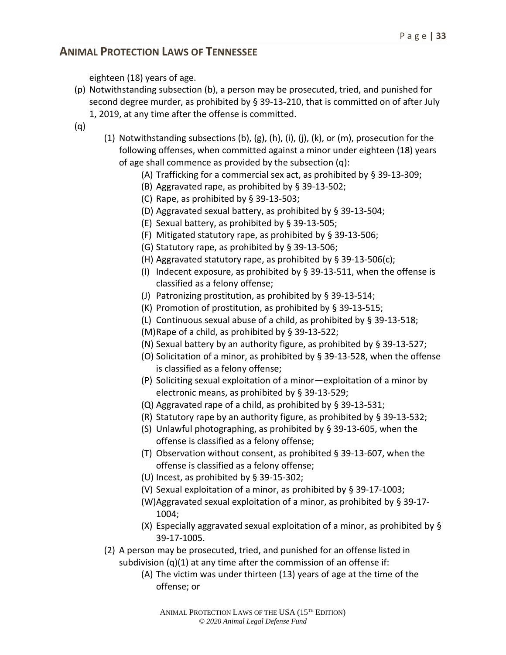eighteen (18) years of age.

- (p) Notwithstanding subsection (b), a person may be prosecuted, tried, and punished for second degree murder, as prohibited by § 39-13-210, that is committed on of after July 1, 2019, at any time after the offense is committed.
- (q)
- (1) Notwithstanding subsections (b), (g), (h), (i), (j), (k), or (m), prosecution for the following offenses, when committed against a minor under eighteen (18) years of age shall commence as provided by the subsection (q):
	- (A) Trafficking for a commercial sex act, as prohibited by § 39-13-309;
	- (B) Aggravated rape, as prohibited by § 39-13-502;
	- (C) Rape, as prohibited by § 39-13-503;
	- (D) Aggravated sexual battery, as prohibited by § 39-13-504;
	- (E) Sexual battery, as prohibited by § 39-13-505;
	- (F) Mitigated statutory rape, as prohibited by § 39-13-506;
	- (G) Statutory rape, as prohibited by § 39-13-506;
	- (H) Aggravated statutory rape, as prohibited by § 39-13-506(c);
	- (I) Indecent exposure, as prohibited by  $\S$  39-13-511, when the offense is classified as a felony offense;
	- (J) Patronizing prostitution, as prohibited by § 39-13-514;
	- (K) Promotion of prostitution, as prohibited by § 39-13-515;
	- (L) Continuous sexual abuse of a child, as prohibited by § 39-13-518;
	- (M)Rape of a child, as prohibited by § 39-13-522;
	- (N) Sexual battery by an authority figure, as prohibited by § 39-13-527;
	- (O) Solicitation of a minor, as prohibited by § 39-13-528, when the offense is classified as a felony offense;
	- (P) Soliciting sexual exploitation of a minor—exploitation of a minor by electronic means, as prohibited by § 39-13-529;
	- (Q) Aggravated rape of a child, as prohibited by § 39-13-531;
	- (R) Statutory rape by an authority figure, as prohibited by § 39-13-532;
	- (S) Unlawful photographing, as prohibited by § 39-13-605, when the offense is classified as a felony offense;
	- (T) Observation without consent, as prohibited § 39-13-607, when the offense is classified as a felony offense;
	- (U) Incest, as prohibited by § 39-15-302;
	- (V) Sexual exploitation of a minor, as prohibited by § 39-17-1003;
	- (W)Aggravated sexual exploitation of a minor, as prohibited by § 39-17- 1004;
	- (X) Especially aggravated sexual exploitation of a minor, as prohibited by § 39-17-1005.
- (2) A person may be prosecuted, tried, and punished for an offense listed in subdivision  $(q)(1)$  at any time after the commission of an offense if:
	- (A) The victim was under thirteen (13) years of age at the time of the offense; or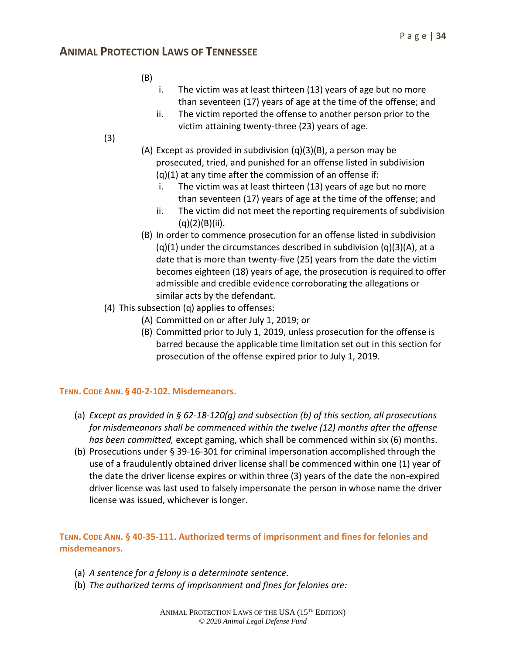- (B)
- i. The victim was at least thirteen (13) years of age but no more than seventeen (17) years of age at the time of the offense; and
- ii. The victim reported the offense to another person prior to the victim attaining twenty-three (23) years of age.
- (3)
- (A) Except as provided in subdivision (q)(3)(B), a person may be prosecuted, tried, and punished for an offense listed in subdivision  $(q)(1)$  at any time after the commission of an offense if:
	- i. The victim was at least thirteen (13) years of age but no more than seventeen (17) years of age at the time of the offense; and
	- ii. The victim did not meet the reporting requirements of subdivision (q)(2)(B)(ii).
- (B) In order to commence prosecution for an offense listed in subdivision  $(q)(1)$  under the circumstances described in subdivision  $(q)(3)(A)$ , at a date that is more than twenty-five (25) years from the date the victim becomes eighteen (18) years of age, the prosecution is required to offer admissible and credible evidence corroborating the allegations or similar acts by the defendant.
- (4) This subsection (q) applies to offenses:
	- (A) Committed on or after July 1, 2019; or
	- (B) Committed prior to July 1, 2019, unless prosecution for the offense is barred because the applicable time limitation set out in this section for prosecution of the offense expired prior to July 1, 2019.

#### **TENN. CODE ANN. § 40-2-102. Misdemeanors.**

- (a) *Except as provided in § 62-18-120(g) and subsection (b) of this section, all prosecutions for misdemeanors shall be commenced within the twelve (12) months after the offense has been committed,* except gaming, which shall be commenced within six (6) months.
- (b) Prosecutions under § 39-16-301 for criminal impersonation accomplished through the use of a fraudulently obtained driver license shall be commenced within one (1) year of the date the driver license expires or within three (3) years of the date the non-expired driver license was last used to falsely impersonate the person in whose name the driver license was issued, whichever is longer.

**TENN. CODE ANN. § 40-35-111. Authorized terms of imprisonment and fines for felonies and misdemeanors.**

- (a) *A sentence for a felony is a determinate sentence.*
- (b) *The authorized terms of imprisonment and fines for felonies are:*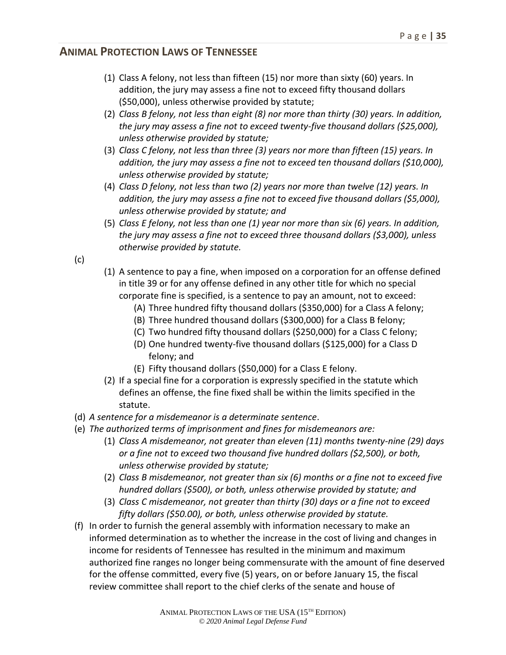- (1) Class A felony, not less than fifteen (15) nor more than sixty (60) years. In addition, the jury may assess a fine not to exceed fifty thousand dollars (\$50,000), unless otherwise provided by statute;
- (2) *Class B felony, not less than eight (8) nor more than thirty (30) years. In addition, the jury may assess a fine not to exceed twenty-five thousand dollars (\$25,000), unless otherwise provided by statute;*
- (3) *Class C felony, not less than three (3) years nor more than fifteen (15) years. In addition, the jury may assess a fine not to exceed ten thousand dollars (\$10,000), unless otherwise provided by statute;*
- (4) *Class D felony, not less than two (2) years nor more than twelve (12) years. In addition, the jury may assess a fine not to exceed five thousand dollars (\$5,000), unless otherwise provided by statute; and*
- (5) *Class E felony, not less than one (1) year nor more than six (6) years. In addition, the jury may assess a fine not to exceed three thousand dollars (\$3,000), unless otherwise provided by statute.*
- (c)
- (1) A sentence to pay a fine, when imposed on a corporation for an offense defined in title 39 or for any offense defined in any other title for which no special corporate fine is specified, is a sentence to pay an amount, not to exceed:
	- (A) Three hundred fifty thousand dollars (\$350,000) for a Class A felony;
	- (B) Three hundred thousand dollars (\$300,000) for a Class B felony;
	- (C) Two hundred fifty thousand dollars (\$250,000) for a Class C felony;
	- (D) One hundred twenty-five thousand dollars (\$125,000) for a Class D felony; and
	- (E) Fifty thousand dollars (\$50,000) for a Class E felony.
- (2) If a special fine for a corporation is expressly specified in the statute which defines an offense, the fine fixed shall be within the limits specified in the statute.
- (d) *A sentence for a misdemeanor is a determinate sentence*.
- (e) *The authorized terms of imprisonment and fines for misdemeanors are:*
	- (1) *Class A misdemeanor, not greater than eleven (11) months twenty-nine (29) days or a fine not to exceed two thousand five hundred dollars (\$2,500), or both, unless otherwise provided by statute;*
	- (2) *Class B misdemeanor, not greater than six (6) months or a fine not to exceed five hundred dollars (\$500), or both, unless otherwise provided by statute; and*
	- (3) *Class C misdemeanor, not greater than thirty (30) days or a fine not to exceed fifty dollars (\$50.00), or both, unless otherwise provided by statute.*
- (f) In order to furnish the general assembly with information necessary to make an informed determination as to whether the increase in the cost of living and changes in income for residents of Tennessee has resulted in the minimum and maximum authorized fine ranges no longer being commensurate with the amount of fine deserved for the offense committed, every five (5) years, on or before January 15, the fiscal review committee shall report to the chief clerks of the senate and house of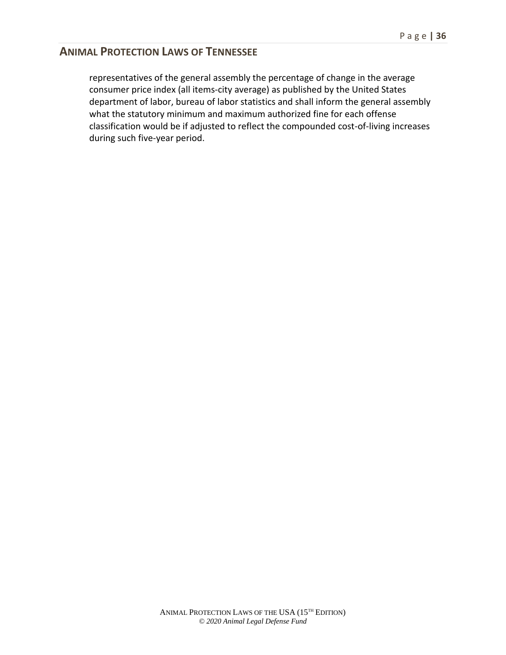representatives of the general assembly the percentage of change in the average consumer price index (all items-city average) as published by the United States department of labor, bureau of labor statistics and shall inform the general assembly what the statutory minimum and maximum authorized fine for each offense classification would be if adjusted to reflect the compounded cost-of-living increases during such five-year period.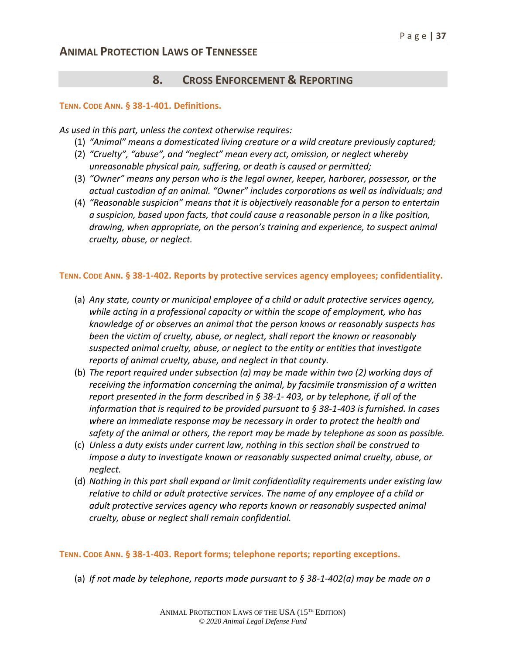## **8. CROSS ENFORCEMENT & REPORTING**

#### **TENN. CODE ANN. § 38-1-401. Definitions.**

*As used in this part, unless the context otherwise requires:*

- (1) *"Animal" means a domesticated living creature or a wild creature previously captured;*
- (2) *"Cruelty", "abuse", and "neglect" mean every act, omission, or neglect whereby unreasonable physical pain, suffering, or death is caused or permitted;*
- (3) *"Owner" means any person who is the legal owner, keeper, harborer, possessor, or the actual custodian of an animal. "Owner" includes corporations as well as individuals; and*
- (4) *"Reasonable suspicion" means that it is objectively reasonable for a person to entertain a suspicion, based upon facts, that could cause a reasonable person in a like position, drawing, when appropriate, on the person's training and experience, to suspect animal cruelty, abuse, or neglect.*

#### **TENN. CODE ANN. § 38-1-402. Reports by protective services agency employees; confidentiality.**

- (a) *Any state, county or municipal employee of a child or adult protective services agency, while acting in a professional capacity or within the scope of employment, who has knowledge of or observes an animal that the person knows or reasonably suspects has been the victim of cruelty, abuse, or neglect, shall report the known or reasonably suspected animal cruelty, abuse, or neglect to the entity or entities that investigate reports of animal cruelty, abuse, and neglect in that county.*
- (b) *The report required under subsection (a) may be made within two (2) working days of receiving the information concerning the animal, by facsimile transmission of a written report presented in the form described in § 38-1- 403, or by telephone, if all of the information that is required to be provided pursuant to § 38-1-403 is furnished. In cases where an immediate response may be necessary in order to protect the health and safety of the animal or others, the report may be made by telephone as soon as possible.*
- (c) *Unless a duty exists under current law, nothing in this section shall be construed to impose a duty to investigate known or reasonably suspected animal cruelty, abuse, or neglect.*
- (d) *Nothing in this part shall expand or limit confidentiality requirements under existing law relative to child or adult protective services. The name of any employee of a child or adult protective services agency who reports known or reasonably suspected animal cruelty, abuse or neglect shall remain confidential.*

#### **TENN. CODE ANN. § 38-1-403. Report forms; telephone reports; reporting exceptions.**

(a) *If not made by telephone, reports made pursuant to § 38-1-402(a) may be made on a*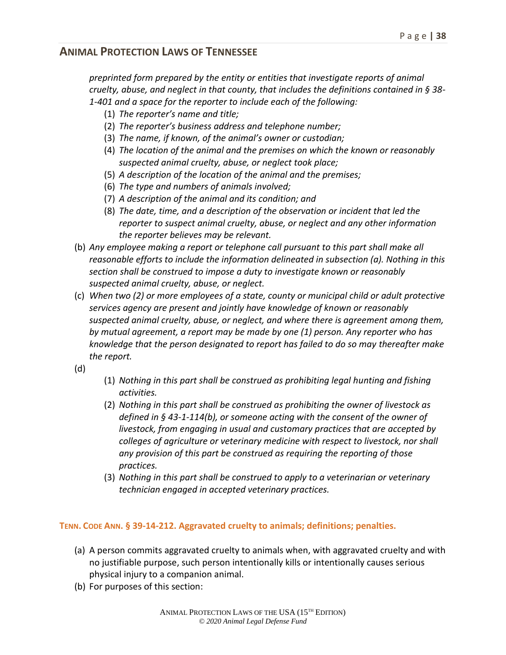*preprinted form prepared by the entity or entities that investigate reports of animal cruelty, abuse, and neglect in that county, that includes the definitions contained in § 38- 1-401 and a space for the reporter to include each of the following:*

- (1) *The reporter's name and title;*
- (2) *The reporter's business address and telephone number;*
- (3) *The name, if known, of the animal's owner or custodian;*
- (4) *The location of the animal and the premises on which the known or reasonably suspected animal cruelty, abuse, or neglect took place;*
- (5) *A description of the location of the animal and the premises;*
- (6) *The type and numbers of animals involved;*
- (7) *A description of the animal and its condition; and*
- (8) *The date, time, and a description of the observation or incident that led the reporter to suspect animal cruelty, abuse, or neglect and any other information the reporter believes may be relevant.*
- (b) *Any employee making a report or telephone call pursuant to this part shall make all reasonable efforts to include the information delineated in subsection (a). Nothing in this section shall be construed to impose a duty to investigate known or reasonably suspected animal cruelty, abuse, or neglect.*
- (c) *When two (2) or more employees of a state, county or municipal child or adult protective services agency are present and jointly have knowledge of known or reasonably suspected animal cruelty, abuse, or neglect, and where there is agreement among them, by mutual agreement, a report may be made by one (1) person. Any reporter who has knowledge that the person designated to report has failed to do so may thereafter make the report.*
- (d)
- (1) *Nothing in this part shall be construed as prohibiting legal hunting and fishing activities.*
- (2) *Nothing in this part shall be construed as prohibiting the owner of livestock as defined in § 43-1-114(b), or someone acting with the consent of the owner of livestock, from engaging in usual and customary practices that are accepted by colleges of agriculture or veterinary medicine with respect to livestock, nor shall any provision of this part be construed as requiring the reporting of those practices.*
- (3) *Nothing in this part shall be construed to apply to a veterinarian or veterinary technician engaged in accepted veterinary practices.*

#### **TENN. CODE ANN. § 39-14-212. Aggravated cruelty to animals; definitions; penalties.**

- (a) A person commits aggravated cruelty to animals when, with aggravated cruelty and with no justifiable purpose, such person intentionally kills or intentionally causes serious physical injury to a companion animal.
- (b) For purposes of this section: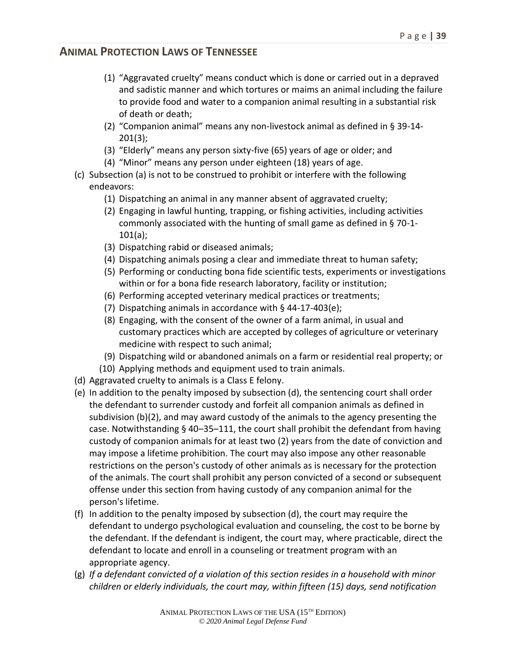- (1) "Aggravated cruelty" means conduct which is done or carried out in a depraved and sadistic manner and which tortures or maims an animal including the failure to provide food and water to a companion animal resulting in a substantial risk of death or death;
- (2) "Companion animal" means any non-livestock animal as defined in § 39-14- 201(3);
- (3) "Elderly" means any person sixty-five (65) years of age or older; and
- (4) "Minor" means any person under eighteen (18) years of age.
- (c) Subsection (a) is not to be construed to prohibit or interfere with the following endeavors:
	- (1) Dispatching an animal in any manner absent of aggravated cruelty;
	- (2) Engaging in lawful hunting, trapping, or fishing activities, including activities commonly associated with the hunting of small game as defined in § 70-1- 101(a);
	- (3) Dispatching rabid or diseased animals;
	- (4) Dispatching animals posing a clear and immediate threat to human safety;
	- (5) Performing or conducting bona fide scientific tests, experiments or investigations within or for a bona fide research laboratory, facility or institution;
	- (6) Performing accepted veterinary medical practices or treatments;
	- (7) Dispatching animals in accordance with § 44-17-403(e);
	- (8) Engaging, with the consent of the owner of a farm animal, in usual and customary practices which are accepted by colleges of agriculture or veterinary medicine with respect to such animal;
	- (9) Dispatching wild or abandoned animals on a farm or residential real property; or
	- (10) Applying methods and equipment used to train animals.
- (d) Aggravated cruelty to animals is a Class E felony.
- (e) In addition to the penalty imposed by subsection (d), the sentencing court shall order the defendant to surrender custody and forfeit all companion animals as defined in subdivision (b)(2), and may award custody of the animals to the agency presenting the case. Notwithstanding § 40–35–111, the court shall prohibit the defendant from having custody of companion animals for at least two (2) years from the date of conviction and may impose a lifetime prohibition. The court may also impose any other reasonable restrictions on the person's custody of other animals as is necessary for the protection of the animals. The court shall prohibit any person convicted of a second or subsequent offense under this section from having custody of any companion animal for the person's lifetime.
- (f) In addition to the penalty imposed by subsection (d), the court may require the defendant to undergo psychological evaluation and counseling, the cost to be borne by the defendant. If the defendant is indigent, the court may, where practicable, direct the defendant to locate and enroll in a counseling or treatment program with an appropriate agency.
- (g) *If a defendant convicted of a violation of this section resides in a household with minor children or elderly individuals, the court may, within fifteen (15) days, send notification*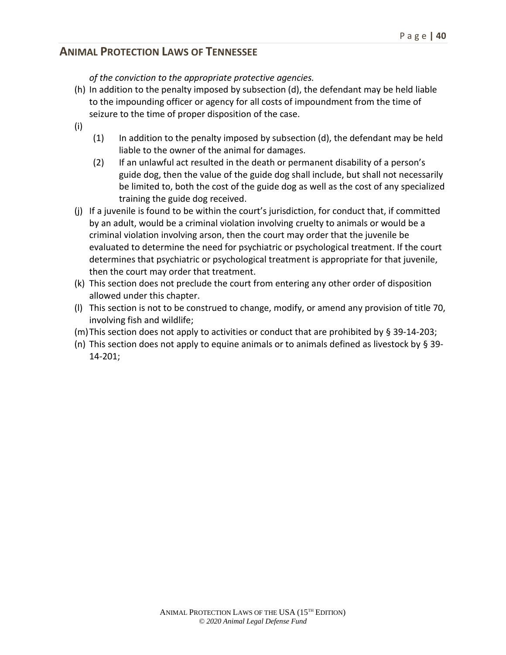*of the conviction to the appropriate protective agencies.*

- (h) In addition to the penalty imposed by subsection (d), the defendant may be held liable to the impounding officer or agency for all costs of impoundment from the time of seizure to the time of proper disposition of the case.
- (i)
- $(1)$  In addition to the penalty imposed by subsection  $(d)$ , the defendant may be held liable to the owner of the animal for damages.
- (2) If an unlawful act resulted in the death or permanent disability of a person's guide dog, then the value of the guide dog shall include, but shall not necessarily be limited to, both the cost of the guide dog as well as the cost of any specialized training the guide dog received.
- (j) If a juvenile is found to be within the court's jurisdiction, for conduct that, if committed by an adult, would be a criminal violation involving cruelty to animals or would be a criminal violation involving arson, then the court may order that the juvenile be evaluated to determine the need for psychiatric or psychological treatment. If the court determines that psychiatric or psychological treatment is appropriate for that juvenile, then the court may order that treatment.
- (k) This section does not preclude the court from entering any other order of disposition allowed under this chapter.
- (l) This section is not to be construed to change, modify, or amend any provision of title 70, involving fish and wildlife;
- (m)This section does not apply to activities or conduct that are prohibited by § 39-14-203;
- (n) This section does not apply to equine animals or to animals defined as livestock by  $\S 39$ -14-201;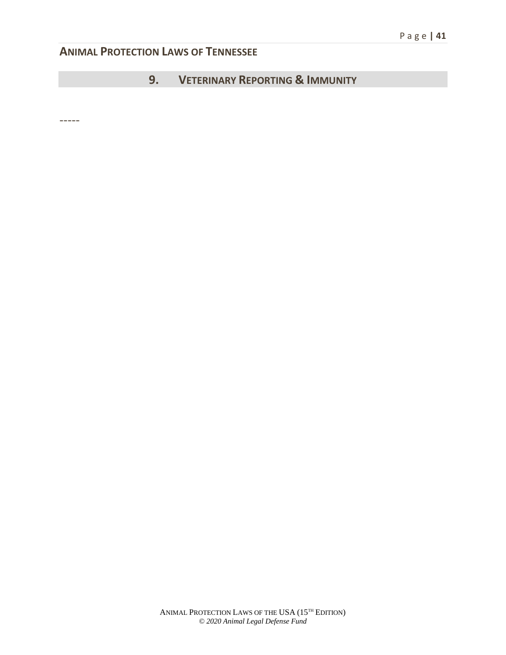# **9. VETERINARY REPORTING & IMMUNITY**

-----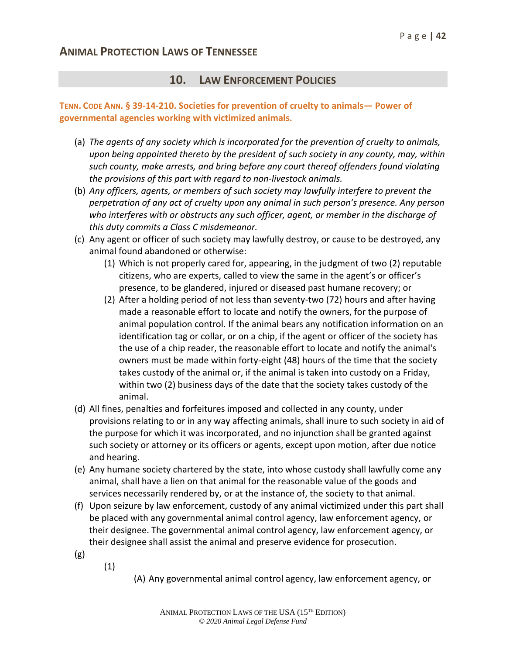#### **10. LAW ENFORCEMENT POLICIES**

#### **TENN. CODE ANN. § 39-14-210. Societies for prevention of cruelty to animals— Power of governmental agencies working with victimized animals.**

- (a) *The agents of any society which is incorporated for the prevention of cruelty to animals, upon being appointed thereto by the president of such society in any county, may, within such county, make arrests, and bring before any court thereof offenders found violating the provisions of this part with regard to non-livestock animals.*
- (b) *Any officers, agents, or members of such society may lawfully interfere to prevent the perpetration of any act of cruelty upon any animal in such person's presence. Any person who interferes with or obstructs any such officer, agent, or member in the discharge of this duty commits a Class C misdemeanor.*
- (c) Any agent or officer of such society may lawfully destroy, or cause to be destroyed, any animal found abandoned or otherwise:
	- (1) Which is not properly cared for, appearing, in the judgment of two (2) reputable citizens, who are experts, called to view the same in the agent's or officer's presence, to be glandered, injured or diseased past humane recovery; or
	- (2) After a holding period of not less than seventy-two (72) hours and after having made a reasonable effort to locate and notify the owners, for the purpose of animal population control. If the animal bears any notification information on an identification tag or collar, or on a chip, if the agent or officer of the society has the use of a chip reader, the reasonable effort to locate and notify the animal's owners must be made within forty-eight (48) hours of the time that the society takes custody of the animal or, if the animal is taken into custody on a Friday, within two (2) business days of the date that the society takes custody of the animal.
- (d) All fines, penalties and forfeitures imposed and collected in any county, under provisions relating to or in any way affecting animals, shall inure to such society in aid of the purpose for which it was incorporated, and no injunction shall be granted against such society or attorney or its officers or agents, except upon motion, after due notice and hearing.
- (e) Any humane society chartered by the state, into whose custody shall lawfully come any animal, shall have a lien on that animal for the reasonable value of the goods and services necessarily rendered by, or at the instance of, the society to that animal.
- (f) Upon seizure by law enforcement, custody of any animal victimized under this part shall be placed with any governmental animal control agency, law enforcement agency, or their designee. The governmental animal control agency, law enforcement agency, or their designee shall assist the animal and preserve evidence for prosecution.
- (g)
- (1)

(A) Any governmental animal control agency, law enforcement agency, or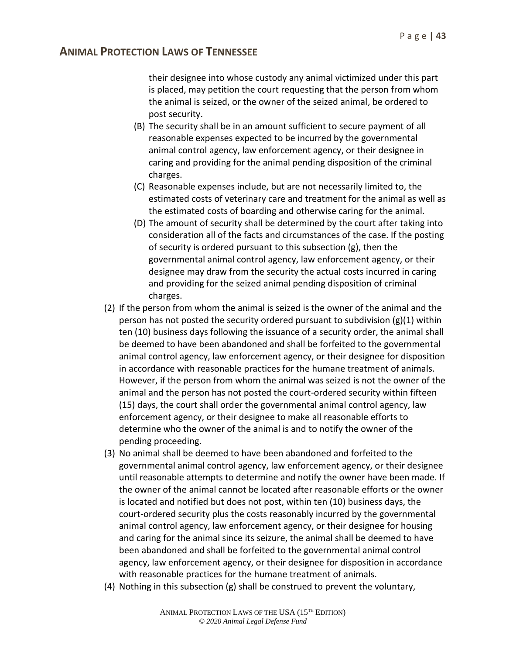their designee into whose custody any animal victimized under this part is placed, may petition the court requesting that the person from whom the animal is seized, or the owner of the seized animal, be ordered to post security.

- (B) The security shall be in an amount sufficient to secure payment of all reasonable expenses expected to be incurred by the governmental animal control agency, law enforcement agency, or their designee in caring and providing for the animal pending disposition of the criminal charges.
- (C) Reasonable expenses include, but are not necessarily limited to, the estimated costs of veterinary care and treatment for the animal as well as the estimated costs of boarding and otherwise caring for the animal.
- (D) The amount of security shall be determined by the court after taking into consideration all of the facts and circumstances of the case. If the posting of security is ordered pursuant to this subsection (g), then the governmental animal control agency, law enforcement agency, or their designee may draw from the security the actual costs incurred in caring and providing for the seized animal pending disposition of criminal charges.
- (2) If the person from whom the animal is seized is the owner of the animal and the person has not posted the security ordered pursuant to subdivision  $(g)(1)$  within ten (10) business days following the issuance of a security order, the animal shall be deemed to have been abandoned and shall be forfeited to the governmental animal control agency, law enforcement agency, or their designee for disposition in accordance with reasonable practices for the humane treatment of animals. However, if the person from whom the animal was seized is not the owner of the animal and the person has not posted the court-ordered security within fifteen (15) days, the court shall order the governmental animal control agency, law enforcement agency, or their designee to make all reasonable efforts to determine who the owner of the animal is and to notify the owner of the pending proceeding.
- (3) No animal shall be deemed to have been abandoned and forfeited to the governmental animal control agency, law enforcement agency, or their designee until reasonable attempts to determine and notify the owner have been made. If the owner of the animal cannot be located after reasonable efforts or the owner is located and notified but does not post, within ten (10) business days, the court-ordered security plus the costs reasonably incurred by the governmental animal control agency, law enforcement agency, or their designee for housing and caring for the animal since its seizure, the animal shall be deemed to have been abandoned and shall be forfeited to the governmental animal control agency, law enforcement agency, or their designee for disposition in accordance with reasonable practices for the humane treatment of animals.
- (4) Nothing in this subsection (g) shall be construed to prevent the voluntary,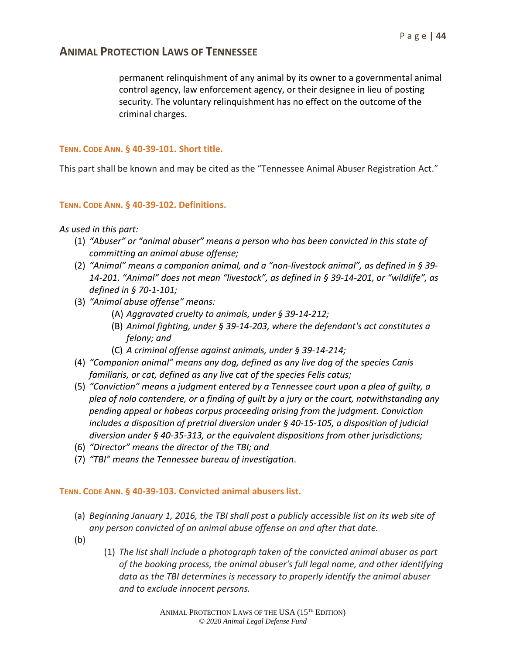permanent relinquishment of any animal by its owner to a governmental animal control agency, law enforcement agency, or their designee in lieu of posting security. The voluntary relinquishment has no effect on the outcome of the criminal charges.

#### **TENN. CODE ANN. § 40-39-101. Short title.**

This part shall be known and may be cited as the "Tennessee Animal Abuser Registration Act."

#### **TENN. CODE ANN. § 40-39-102. Definitions.**

#### *As used in this part:*

- (1) *"Abuser" or "animal abuser" means a person who has been convicted in this state of committing an animal abuse offense;*
- (2) *"Animal" means a companion animal, and a "non-livestock animal", as defined in § 39- 14-201. "Animal" does not mean "livestock", as defined in § 39-14-201, or "wildlife", as defined in § 70-1-101;*
- (3) *"Animal abuse offense" means:*
	- (A) *Aggravated cruelty to animals, under § 39-14-212;*
	- (B) *Animal fighting, under § 39-14-203, where the defendant's act constitutes a felony; and*
	- (C) *A criminal offense against animals, under § 39-14-214;*
- (4) *"Companion animal" means any dog, defined as any live dog of the species Canis familiaris, or cat, defined as any live cat of the species Felis catus;*
- (5) *"Conviction" means a judgment entered by a Tennessee court upon a plea of guilty, a plea of nolo contendere, or a finding of guilt by a jury or the court, notwithstanding any pending appeal or habeas corpus proceeding arising from the judgment. Conviction includes a disposition of pretrial diversion under § 40-15-105, a disposition of judicial diversion under § 40-35-313, or the equivalent dispositions from other jurisdictions;*
- (6) *"Director" means the director of the TBI; and*
- (7) *"TBI" means the Tennessee bureau of investigation*.

#### **TENN. CODE ANN. § 40-39-103. Convicted animal abusers list.**

- (a) *Beginning January 1, 2016, the TBI shall post a publicly accessible list on its web site of any person convicted of an animal abuse offense on and after that date.*
- (b)
- (1) *The list shall include a photograph taken of the convicted animal abuser as part of the booking process, the animal abuser's full legal name, and other identifying data as the TBI determines is necessary to properly identify the animal abuser and to exclude innocent persons.*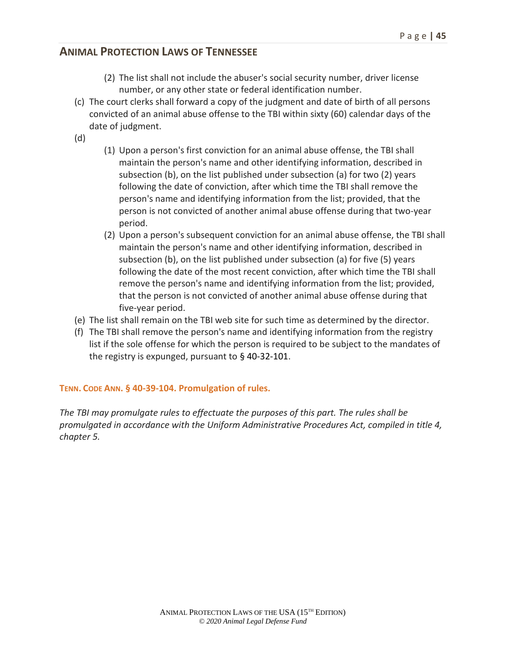- (2) The list shall not include the abuser's social security number, driver license number, or any other state or federal identification number.
- (c) The court clerks shall forward a copy of the judgment and date of birth of all persons convicted of an animal abuse offense to the TBI within sixty (60) calendar days of the date of judgment.
- (d)
- (1) Upon a person's first conviction for an animal abuse offense, the TBI shall maintain the person's name and other identifying information, described in subsection (b), on the list published under subsection (a) for two (2) years following the date of conviction, after which time the TBI shall remove the person's name and identifying information from the list; provided, that the person is not convicted of another animal abuse offense during that two-year period.
- (2) Upon a person's subsequent conviction for an animal abuse offense, the TBI shall maintain the person's name and other identifying information, described in subsection (b), on the list published under subsection (a) for five (5) years following the date of the most recent conviction, after which time the TBI shall remove the person's name and identifying information from the list; provided, that the person is not convicted of another animal abuse offense during that five-year period.
- (e) The list shall remain on the TBI web site for such time as determined by the director.
- (f) The TBI shall remove the person's name and identifying information from the registry list if the sole offense for which the person is required to be subject to the mandates of the registry is expunged, pursuant to § 40-32-101.

#### **TENN. CODE ANN. § 40-39-104. Promulgation of rules.**

*The TBI may promulgate rules to effectuate the purposes of this part. The rules shall be promulgated in accordance with the Uniform Administrative Procedures Act, compiled in title 4, chapter 5.*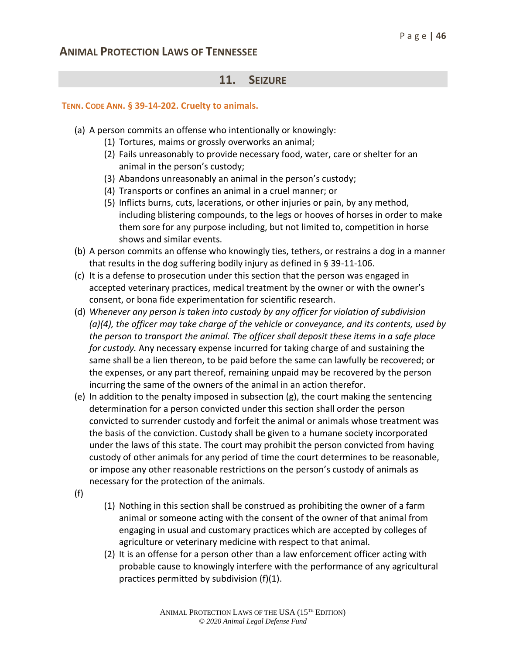#### **11. SEIZURE**

#### **TENN. CODE ANN. § 39-14-202. Cruelty to animals.**

- (a) A person commits an offense who intentionally or knowingly:
	- (1) Tortures, maims or grossly overworks an animal;
	- (2) Fails unreasonably to provide necessary food, water, care or shelter for an animal in the person's custody;
	- (3) Abandons unreasonably an animal in the person's custody;
	- (4) Transports or confines an animal in a cruel manner; or
	- (5) Inflicts burns, cuts, lacerations, or other injuries or pain, by any method, including blistering compounds, to the legs or hooves of horses in order to make them sore for any purpose including, but not limited to, competition in horse shows and similar events.
- (b) A person commits an offense who knowingly ties, tethers, or restrains a dog in a manner that results in the dog suffering bodily injury as defined in § 39-11-106.
- (c) It is a defense to prosecution under this section that the person was engaged in accepted veterinary practices, medical treatment by the owner or with the owner's consent, or bona fide experimentation for scientific research.
- (d) *Whenever any person is taken into custody by any officer for violation of subdivision (a)(4), the officer may take charge of the vehicle or conveyance, and its contents, used by the person to transport the animal. The officer shall deposit these items in a safe place for custody.* Any necessary expense incurred for taking charge of and sustaining the same shall be a lien thereon, to be paid before the same can lawfully be recovered; or the expenses, or any part thereof, remaining unpaid may be recovered by the person incurring the same of the owners of the animal in an action therefor.
- (e) In addition to the penalty imposed in subsection (g), the court making the sentencing determination for a person convicted under this section shall order the person convicted to surrender custody and forfeit the animal or animals whose treatment was the basis of the conviction. Custody shall be given to a humane society incorporated under the laws of this state. The court may prohibit the person convicted from having custody of other animals for any period of time the court determines to be reasonable, or impose any other reasonable restrictions on the person's custody of animals as necessary for the protection of the animals.
- (f)
- (1) Nothing in this section shall be construed as prohibiting the owner of a farm animal or someone acting with the consent of the owner of that animal from engaging in usual and customary practices which are accepted by colleges of agriculture or veterinary medicine with respect to that animal.
- (2) It is an offense for a person other than a law enforcement officer acting with probable cause to knowingly interfere with the performance of any agricultural practices permitted by subdivision (f)(1).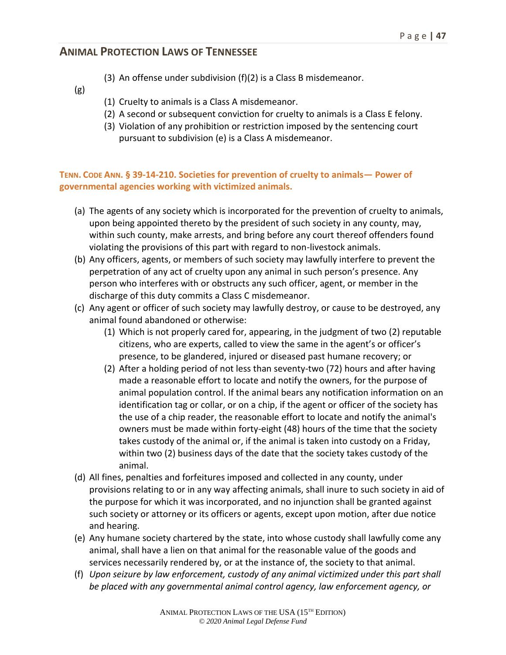- (3) An offense under subdivision (f)(2) is a Class B misdemeanor.
- (g)
- (1) Cruelty to animals is a Class A misdemeanor.
- (2) A second or subsequent conviction for cruelty to animals is a Class E felony.
- (3) Violation of any prohibition or restriction imposed by the sentencing court pursuant to subdivision (e) is a Class A misdemeanor.

#### **TENN. CODE ANN. § 39-14-210. Societies for prevention of cruelty to animals— Power of governmental agencies working with victimized animals.**

- (a) The agents of any society which is incorporated for the prevention of cruelty to animals, upon being appointed thereto by the president of such society in any county, may, within such county, make arrests, and bring before any court thereof offenders found violating the provisions of this part with regard to non-livestock animals.
- (b) Any officers, agents, or members of such society may lawfully interfere to prevent the perpetration of any act of cruelty upon any animal in such person's presence. Any person who interferes with or obstructs any such officer, agent, or member in the discharge of this duty commits a Class C misdemeanor.
- (c) Any agent or officer of such society may lawfully destroy, or cause to be destroyed, any animal found abandoned or otherwise:
	- (1) Which is not properly cared for, appearing, in the judgment of two (2) reputable citizens, who are experts, called to view the same in the agent's or officer's presence, to be glandered, injured or diseased past humane recovery; or
	- (2) After a holding period of not less than seventy-two (72) hours and after having made a reasonable effort to locate and notify the owners, for the purpose of animal population control. If the animal bears any notification information on an identification tag or collar, or on a chip, if the agent or officer of the society has the use of a chip reader, the reasonable effort to locate and notify the animal's owners must be made within forty-eight (48) hours of the time that the society takes custody of the animal or, if the animal is taken into custody on a Friday, within two (2) business days of the date that the society takes custody of the animal.
- (d) All fines, penalties and forfeitures imposed and collected in any county, under provisions relating to or in any way affecting animals, shall inure to such society in aid of the purpose for which it was incorporated, and no injunction shall be granted against such society or attorney or its officers or agents, except upon motion, after due notice and hearing.
- (e) Any humane society chartered by the state, into whose custody shall lawfully come any animal, shall have a lien on that animal for the reasonable value of the goods and services necessarily rendered by, or at the instance of, the society to that animal.
- (f) *Upon seizure by law enforcement, custody of any animal victimized under this part shall be placed with any governmental animal control agency, law enforcement agency, or*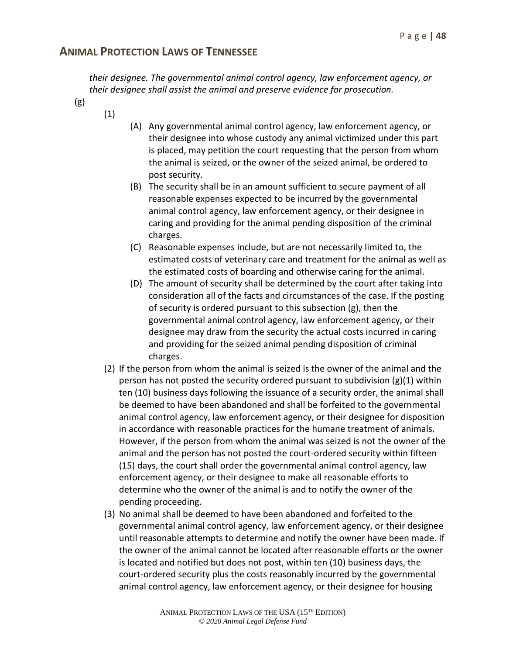*their designee. The governmental animal control agency, law enforcement agency, or their designee shall assist the animal and preserve evidence for prosecution.*

(g)

(1)

- (A) Any governmental animal control agency, law enforcement agency, or their designee into whose custody any animal victimized under this part is placed, may petition the court requesting that the person from whom the animal is seized, or the owner of the seized animal, be ordered to post security.
- (B) The security shall be in an amount sufficient to secure payment of all reasonable expenses expected to be incurred by the governmental animal control agency, law enforcement agency, or their designee in caring and providing for the animal pending disposition of the criminal charges.
- (C) Reasonable expenses include, but are not necessarily limited to, the estimated costs of veterinary care and treatment for the animal as well as the estimated costs of boarding and otherwise caring for the animal.
- (D) The amount of security shall be determined by the court after taking into consideration all of the facts and circumstances of the case. If the posting of security is ordered pursuant to this subsection (g), then the governmental animal control agency, law enforcement agency, or their designee may draw from the security the actual costs incurred in caring and providing for the seized animal pending disposition of criminal charges.
- (2) If the person from whom the animal is seized is the owner of the animal and the person has not posted the security ordered pursuant to subdivision  $(g)(1)$  within ten (10) business days following the issuance of a security order, the animal shall be deemed to have been abandoned and shall be forfeited to the governmental animal control agency, law enforcement agency, or their designee for disposition in accordance with reasonable practices for the humane treatment of animals. However, if the person from whom the animal was seized is not the owner of the animal and the person has not posted the court-ordered security within fifteen (15) days, the court shall order the governmental animal control agency, law enforcement agency, or their designee to make all reasonable efforts to determine who the owner of the animal is and to notify the owner of the pending proceeding.
- (3) No animal shall be deemed to have been abandoned and forfeited to the governmental animal control agency, law enforcement agency, or their designee until reasonable attempts to determine and notify the owner have been made. If the owner of the animal cannot be located after reasonable efforts or the owner is located and notified but does not post, within ten (10) business days, the court-ordered security plus the costs reasonably incurred by the governmental animal control agency, law enforcement agency, or their designee for housing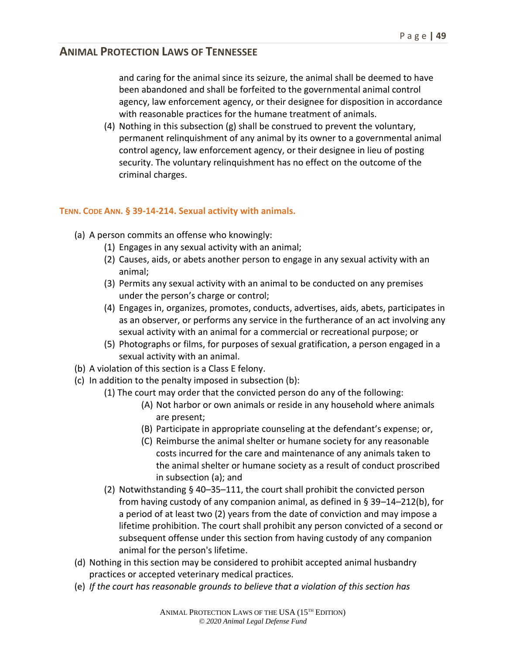and caring for the animal since its seizure, the animal shall be deemed to have been abandoned and shall be forfeited to the governmental animal control agency, law enforcement agency, or their designee for disposition in accordance with reasonable practices for the humane treatment of animals.

(4) Nothing in this subsection (g) shall be construed to prevent the voluntary, permanent relinquishment of any animal by its owner to a governmental animal control agency, law enforcement agency, or their designee in lieu of posting security. The voluntary relinquishment has no effect on the outcome of the criminal charges.

#### **TENN. CODE ANN. § 39-14-214. Sexual activity with animals.**

- (a) A person commits an offense who knowingly:
	- (1) Engages in any sexual activity with an animal;
	- (2) Causes, aids, or abets another person to engage in any sexual activity with an animal;
	- (3) Permits any sexual activity with an animal to be conducted on any premises under the person's charge or control;
	- (4) Engages in, organizes, promotes, conducts, advertises, aids, abets, participates in as an observer, or performs any service in the furtherance of an act involving any sexual activity with an animal for a commercial or recreational purpose; or
	- (5) Photographs or films, for purposes of sexual gratification, a person engaged in a sexual activity with an animal.
- (b) A violation of this section is a Class E felony.
- (c) In addition to the penalty imposed in subsection (b):
	- (1) The court may order that the convicted person do any of the following:
		- (A) Not harbor or own animals or reside in any household where animals are present;
		- (B) Participate in appropriate counseling at the defendant's expense; or,
		- (C) Reimburse the animal shelter or humane society for any reasonable costs incurred for the care and maintenance of any animals taken to the animal shelter or humane society as a result of conduct proscribed in subsection (a); and
	- (2) Notwithstanding § 40–35–111, the court shall prohibit the convicted person from having custody of any companion animal, as defined in § 39–14–212(b), for a period of at least two (2) years from the date of conviction and may impose a lifetime prohibition. The court shall prohibit any person convicted of a second or subsequent offense under this section from having custody of any companion animal for the person's lifetime.
- (d) Nothing in this section may be considered to prohibit accepted animal husbandry practices or accepted veterinary medical practices.
- (e) *If the court has reasonable grounds to believe that a violation of this section has*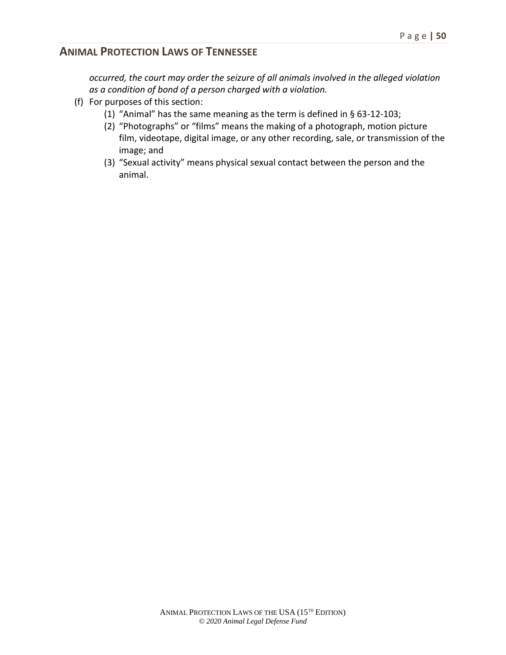*occurred, the court may order the seizure of all animals involved in the alleged violation as a condition of bond of a person charged with a violation.*

- (f) For purposes of this section:
	- (1) "Animal" has the same meaning as the term is defined in § 63-12-103;
	- (2) "Photographs" or "films" means the making of a photograph, motion picture film, videotape, digital image, or any other recording, sale, or transmission of the image; and
	- (3) "Sexual activity" means physical sexual contact between the person and the animal.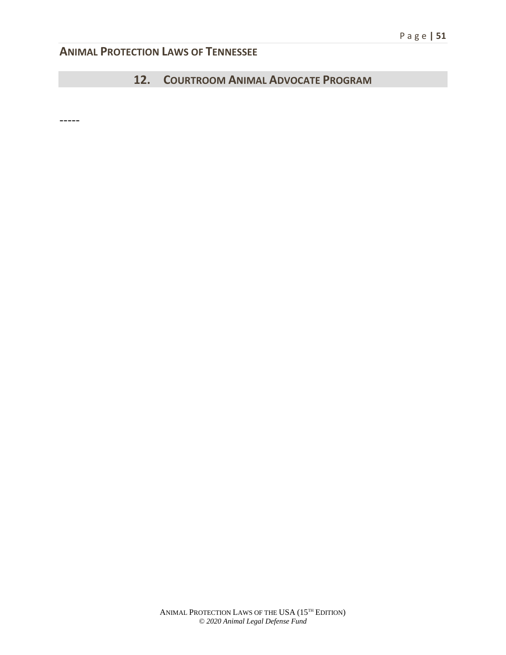# **12. COURTROOM ANIMAL ADVOCATE PROGRAM**

-----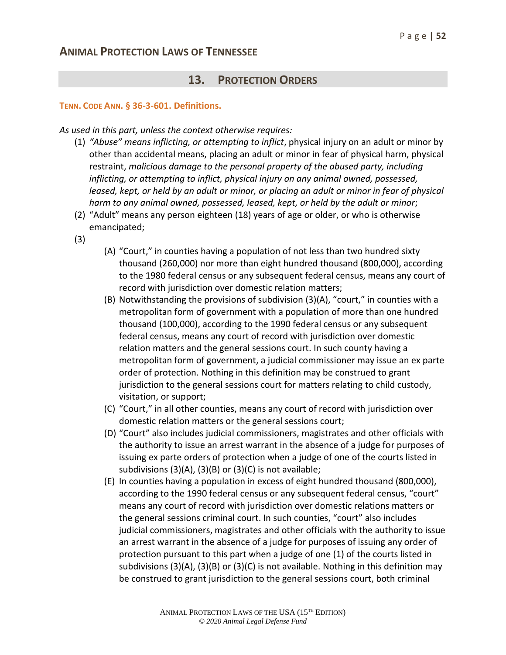### **13. PROTECTION ORDERS**

#### **TENN. CODE ANN. § 36-3-601. Definitions.**

*As used in this part, unless the context otherwise requires:*

- (1) *"Abuse" means inflicting, or attempting to inflict*, physical injury on an adult or minor by other than accidental means, placing an adult or minor in fear of physical harm, physical restraint, *malicious damage to the personal property of the abused party, including inflicting, or attempting to inflict, physical injury on any animal owned, possessed,*  leased, kept, or held by an adult or minor, or placing an adult or minor in fear of physical *harm to any animal owned, possessed, leased, kept, or held by the adult or minor*;
- (2) "Adult" means any person eighteen (18) years of age or older, or who is otherwise emancipated;
- (3)
- (A) "Court," in counties having a population of not less than two hundred sixty thousand (260,000) nor more than eight hundred thousand (800,000), according to the 1980 federal census or any subsequent federal census, means any court of record with jurisdiction over domestic relation matters;
- (B) Notwithstanding the provisions of subdivision (3)(A), "court," in counties with a metropolitan form of government with a population of more than one hundred thousand (100,000), according to the 1990 federal census or any subsequent federal census, means any court of record with jurisdiction over domestic relation matters and the general sessions court. In such county having a metropolitan form of government, a judicial commissioner may issue an ex parte order of protection. Nothing in this definition may be construed to grant jurisdiction to the general sessions court for matters relating to child custody, visitation, or support;
- (C) "Court," in all other counties, means any court of record with jurisdiction over domestic relation matters or the general sessions court;
- (D) "Court" also includes judicial commissioners, magistrates and other officials with the authority to issue an arrest warrant in the absence of a judge for purposes of issuing ex parte orders of protection when a judge of one of the courts listed in subdivisions (3)(A), (3)(B) or (3)(C) is not available;
- (E) In counties having a population in excess of eight hundred thousand (800,000), according to the 1990 federal census or any subsequent federal census, "court" means any court of record with jurisdiction over domestic relations matters or the general sessions criminal court. In such counties, "court" also includes judicial commissioners, magistrates and other officials with the authority to issue an arrest warrant in the absence of a judge for purposes of issuing any order of protection pursuant to this part when a judge of one (1) of the courts listed in subdivisions (3)(A), (3)(B) or (3)(C) is not available. Nothing in this definition may be construed to grant jurisdiction to the general sessions court, both criminal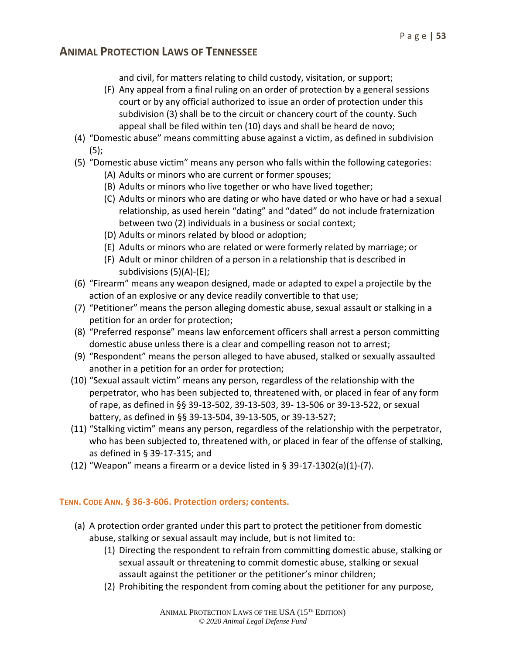and civil, for matters relating to child custody, visitation, or support;

- (F) Any appeal from a final ruling on an order of protection by a general sessions court or by any official authorized to issue an order of protection under this subdivision (3) shall be to the circuit or chancery court of the county. Such appeal shall be filed within ten (10) days and shall be heard de novo;
- (4) "Domestic abuse" means committing abuse against a victim, as defined in subdivision (5);
- (5) "Domestic abuse victim" means any person who falls within the following categories:
	- (A) Adults or minors who are current or former spouses;
	- (B) Adults or minors who live together or who have lived together;
	- (C) Adults or minors who are dating or who have dated or who have or had a sexual relationship, as used herein "dating" and "dated" do not include fraternization between two (2) individuals in a business or social context;
	- (D) Adults or minors related by blood or adoption;
	- (E) Adults or minors who are related or were formerly related by marriage; or
	- (F) Adult or minor children of a person in a relationship that is described in subdivisions (5)(A)-(E);
- (6) "Firearm" means any weapon designed, made or adapted to expel a projectile by the action of an explosive or any device readily convertible to that use;
- (7) "Petitioner" means the person alleging domestic abuse, sexual assault or stalking in a petition for an order for protection;
- (8) "Preferred response" means law enforcement officers shall arrest a person committing domestic abuse unless there is a clear and compelling reason not to arrest;
- (9) "Respondent" means the person alleged to have abused, stalked or sexually assaulted another in a petition for an order for protection;
- (10) "Sexual assault victim" means any person, regardless of the relationship with the perpetrator, who has been subjected to, threatened with, or placed in fear of any form of rape, as defined in §§ 39-13-502, 39-13-503, 39- 13-506 or 39-13-522, or sexual battery, as defined in §§ 39-13-504, 39-13-505, or 39-13-527;
- (11) "Stalking victim" means any person, regardless of the relationship with the perpetrator, who has been subjected to, threatened with, or placed in fear of the offense of stalking, as defined in § 39-17-315; and
- (12) "Weapon" means a firearm or a device listed in § 39-17-1302(a)(1)-(7).

#### **TENN. CODE ANN. § 36-3-606. Protection orders; contents.**

- (a) A protection order granted under this part to protect the petitioner from domestic abuse, stalking or sexual assault may include, but is not limited to:
	- (1) Directing the respondent to refrain from committing domestic abuse, stalking or sexual assault or threatening to commit domestic abuse, stalking or sexual assault against the petitioner or the petitioner's minor children;
	- (2) Prohibiting the respondent from coming about the petitioner for any purpose,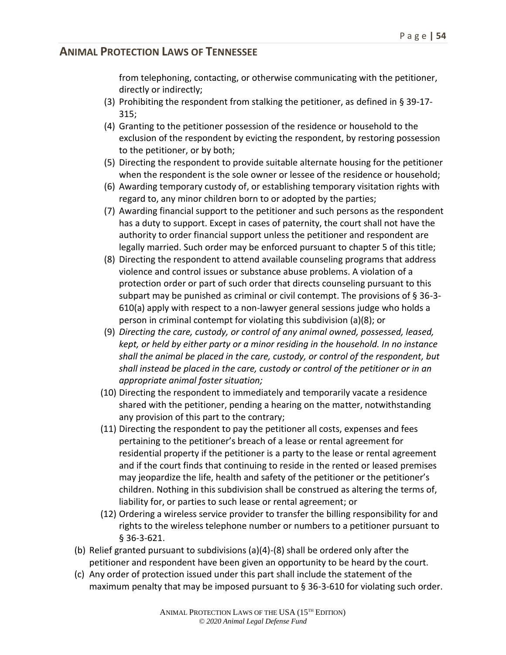from telephoning, contacting, or otherwise communicating with the petitioner, directly or indirectly;

- (3) Prohibiting the respondent from stalking the petitioner, as defined in § 39-17- 315;
- (4) Granting to the petitioner possession of the residence or household to the exclusion of the respondent by evicting the respondent, by restoring possession to the petitioner, or by both;
- (5) Directing the respondent to provide suitable alternate housing for the petitioner when the respondent is the sole owner or lessee of the residence or household;
- (6) Awarding temporary custody of, or establishing temporary visitation rights with regard to, any minor children born to or adopted by the parties;
- (7) Awarding financial support to the petitioner and such persons as the respondent has a duty to support. Except in cases of paternity, the court shall not have the authority to order financial support unless the petitioner and respondent are legally married. Such order may be enforced pursuant to chapter 5 of this title;
- (8) Directing the respondent to attend available counseling programs that address violence and control issues or substance abuse problems. A violation of a protection order or part of such order that directs counseling pursuant to this subpart may be punished as criminal or civil contempt. The provisions of § 36-3- 610(a) apply with respect to a non-lawyer general sessions judge who holds a person in criminal contempt for violating this subdivision (a)(8); or
- (9) *Directing the care, custody, or control of any animal owned, possessed, leased, kept, or held by either party or a minor residing in the household. In no instance shall the animal be placed in the care, custody, or control of the respondent, but shall instead be placed in the care, custody or control of the petitioner or in an appropriate animal foster situation;*
- (10) Directing the respondent to immediately and temporarily vacate a residence shared with the petitioner, pending a hearing on the matter, notwithstanding any provision of this part to the contrary;
- (11) Directing the respondent to pay the petitioner all costs, expenses and fees pertaining to the petitioner's breach of a lease or rental agreement for residential property if the petitioner is a party to the lease or rental agreement and if the court finds that continuing to reside in the rented or leased premises may jeopardize the life, health and safety of the petitioner or the petitioner's children. Nothing in this subdivision shall be construed as altering the terms of, liability for, or parties to such lease or rental agreement; or
- (12) Ordering a wireless service provider to transfer the billing responsibility for and rights to the wireless telephone number or numbers to a petitioner pursuant to § 36-3-621.
- (b) Relief granted pursuant to subdivisions (a)(4)-(8) shall be ordered only after the petitioner and respondent have been given an opportunity to be heard by the court.
- (c) Any order of protection issued under this part shall include the statement of the maximum penalty that may be imposed pursuant to § 36-3-610 for violating such order.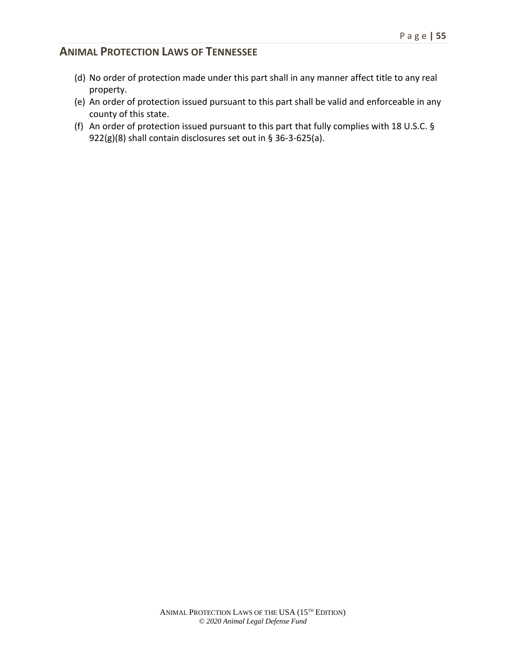- (d) No order of protection made under this part shall in any manner affect title to any real property.
- (e) An order of protection issued pursuant to this part shall be valid and enforceable in any county of this state.
- (f) An order of protection issued pursuant to this part that fully complies with 18 U.S.C. § 922(g)(8) shall contain disclosures set out in § 36-3-625(a).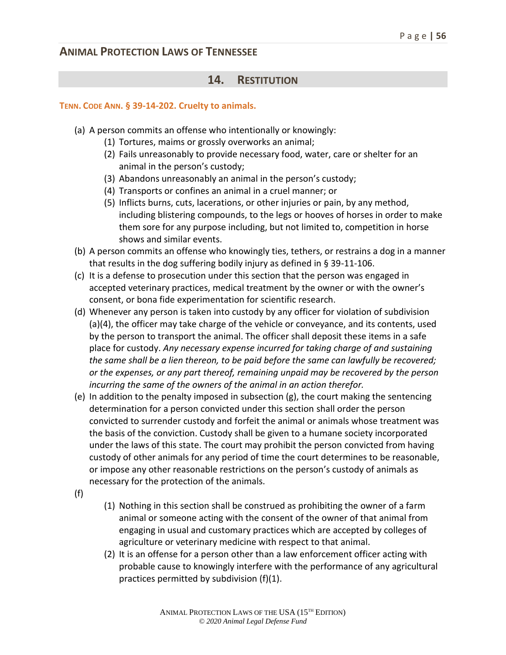#### **14. RESTITUTION**

#### **TENN. CODE ANN. § 39-14-202. Cruelty to animals.**

- (a) A person commits an offense who intentionally or knowingly:
	- (1) Tortures, maims or grossly overworks an animal;
	- (2) Fails unreasonably to provide necessary food, water, care or shelter for an animal in the person's custody;
	- (3) Abandons unreasonably an animal in the person's custody;
	- (4) Transports or confines an animal in a cruel manner; or
	- (5) Inflicts burns, cuts, lacerations, or other injuries or pain, by any method, including blistering compounds, to the legs or hooves of horses in order to make them sore for any purpose including, but not limited to, competition in horse shows and similar events.
- (b) A person commits an offense who knowingly ties, tethers, or restrains a dog in a manner that results in the dog suffering bodily injury as defined in § 39-11-106.
- (c) It is a defense to prosecution under this section that the person was engaged in accepted veterinary practices, medical treatment by the owner or with the owner's consent, or bona fide experimentation for scientific research.
- (d) Whenever any person is taken into custody by any officer for violation of subdivision (a)(4), the officer may take charge of the vehicle or conveyance, and its contents, used by the person to transport the animal. The officer shall deposit these items in a safe place for custody. *Any necessary expense incurred for taking charge of and sustaining the same shall be a lien thereon, to be paid before the same can lawfully be recovered; or the expenses, or any part thereof, remaining unpaid may be recovered by the person incurring the same of the owners of the animal in an action therefor.*
- (e) In addition to the penalty imposed in subsection (g), the court making the sentencing determination for a person convicted under this section shall order the person convicted to surrender custody and forfeit the animal or animals whose treatment was the basis of the conviction. Custody shall be given to a humane society incorporated under the laws of this state. The court may prohibit the person convicted from having custody of other animals for any period of time the court determines to be reasonable, or impose any other reasonable restrictions on the person's custody of animals as necessary for the protection of the animals.
- (f)
- (1) Nothing in this section shall be construed as prohibiting the owner of a farm animal or someone acting with the consent of the owner of that animal from engaging in usual and customary practices which are accepted by colleges of agriculture or veterinary medicine with respect to that animal.
- (2) It is an offense for a person other than a law enforcement officer acting with probable cause to knowingly interfere with the performance of any agricultural practices permitted by subdivision (f)(1).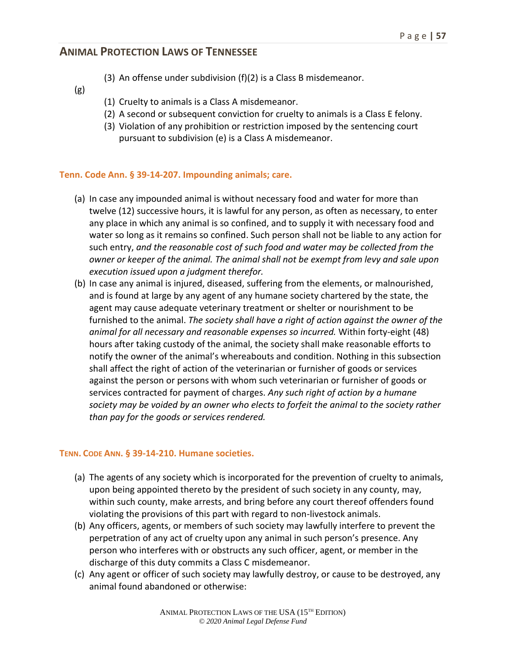- (3) An offense under subdivision (f)(2) is a Class B misdemeanor.
- (g)
- (1) Cruelty to animals is a Class A misdemeanor.
- (2) A second or subsequent conviction for cruelty to animals is a Class E felony.
- (3) Violation of any prohibition or restriction imposed by the sentencing court pursuant to subdivision (e) is a Class A misdemeanor.

#### **Tenn. Code Ann. § 39-14-207. Impounding animals; care.**

- (a) In case any impounded animal is without necessary food and water for more than twelve (12) successive hours, it is lawful for any person, as often as necessary, to enter any place in which any animal is so confined, and to supply it with necessary food and water so long as it remains so confined. Such person shall not be liable to any action for such entry, *and the reasonable cost of such food and water may be collected from the owner or keeper of the animal. The animal shall not be exempt from levy and sale upon execution issued upon a judgment therefor.*
- (b) In case any animal is injured, diseased, suffering from the elements, or malnourished, and is found at large by any agent of any humane society chartered by the state, the agent may cause adequate veterinary treatment or shelter or nourishment to be furnished to the animal. *The society shall have a right of action against the owner of the animal for all necessary and reasonable expenses so incurred.* Within forty-eight (48) hours after taking custody of the animal, the society shall make reasonable efforts to notify the owner of the animal's whereabouts and condition. Nothing in this subsection shall affect the right of action of the veterinarian or furnisher of goods or services against the person or persons with whom such veterinarian or furnisher of goods or services contracted for payment of charges. *Any such right of action by a humane society may be voided by an owner who elects to forfeit the animal to the society rather than pay for the goods or services rendered.*

#### **TENN. CODE ANN. § 39-14-210. Humane societies.**

- (a) The agents of any society which is incorporated for the prevention of cruelty to animals, upon being appointed thereto by the president of such society in any county, may, within such county, make arrests, and bring before any court thereof offenders found violating the provisions of this part with regard to non-livestock animals.
- (b) Any officers, agents, or members of such society may lawfully interfere to prevent the perpetration of any act of cruelty upon any animal in such person's presence. Any person who interferes with or obstructs any such officer, agent, or member in the discharge of this duty commits a Class C misdemeanor.
- (c) Any agent or officer of such society may lawfully destroy, or cause to be destroyed, any animal found abandoned or otherwise: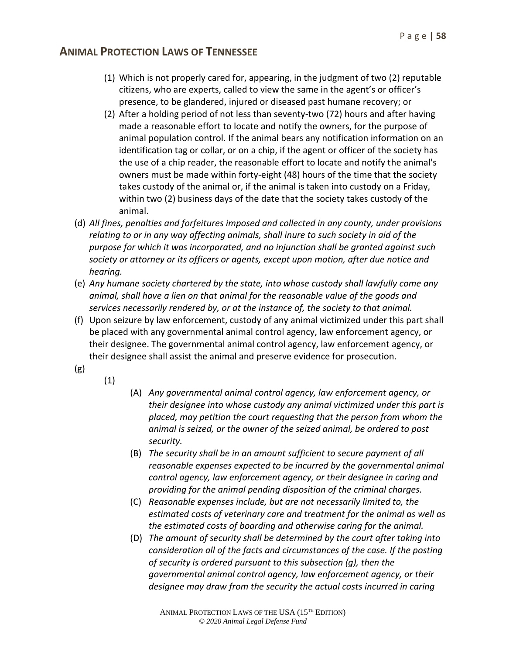- (1) Which is not properly cared for, appearing, in the judgment of two (2) reputable citizens, who are experts, called to view the same in the agent's or officer's presence, to be glandered, injured or diseased past humane recovery; or
- (2) After a holding period of not less than seventy-two (72) hours and after having made a reasonable effort to locate and notify the owners, for the purpose of animal population control. If the animal bears any notification information on an identification tag or collar, or on a chip, if the agent or officer of the society has the use of a chip reader, the reasonable effort to locate and notify the animal's owners must be made within forty-eight (48) hours of the time that the society takes custody of the animal or, if the animal is taken into custody on a Friday, within two (2) business days of the date that the society takes custody of the animal.
- (d) *All fines, penalties and forfeitures imposed and collected in any county, under provisions relating to or in any way affecting animals, shall inure to such society in aid of the purpose for which it was incorporated, and no injunction shall be granted against such society or attorney or its officers or agents, except upon motion, after due notice and hearing.*
- (e) *Any humane society chartered by the state, into whose custody shall lawfully come any animal, shall have a lien on that animal for the reasonable value of the goods and services necessarily rendered by, or at the instance of, the society to that animal.*
- (f) Upon seizure by law enforcement, custody of any animal victimized under this part shall be placed with any governmental animal control agency, law enforcement agency, or their designee. The governmental animal control agency, law enforcement agency, or their designee shall assist the animal and preserve evidence for prosecution.
- (g)
- (1)
- (A) *Any governmental animal control agency, law enforcement agency, or their designee into whose custody any animal victimized under this part is placed, may petition the court requesting that the person from whom the animal is seized, or the owner of the seized animal, be ordered to post security.*
- (B) *The security shall be in an amount sufficient to secure payment of all reasonable expenses expected to be incurred by the governmental animal control agency, law enforcement agency, or their designee in caring and providing for the animal pending disposition of the criminal charges.*
- (C) *Reasonable expenses include, but are not necessarily limited to, the estimated costs of veterinary care and treatment for the animal as well as the estimated costs of boarding and otherwise caring for the animal.*
- (D) *The amount of security shall be determined by the court after taking into consideration all of the facts and circumstances of the case. If the posting of security is ordered pursuant to this subsection (g), then the governmental animal control agency, law enforcement agency, or their designee may draw from the security the actual costs incurred in caring*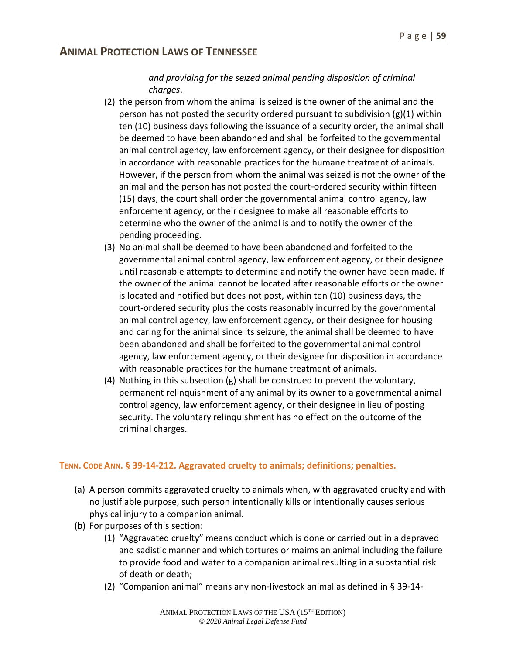#### *and providing for the seized animal pending disposition of criminal charges*.

- (2) the person from whom the animal is seized is the owner of the animal and the person has not posted the security ordered pursuant to subdivision  $(g)(1)$  within ten (10) business days following the issuance of a security order, the animal shall be deemed to have been abandoned and shall be forfeited to the governmental animal control agency, law enforcement agency, or their designee for disposition in accordance with reasonable practices for the humane treatment of animals. However, if the person from whom the animal was seized is not the owner of the animal and the person has not posted the court-ordered security within fifteen (15) days, the court shall order the governmental animal control agency, law enforcement agency, or their designee to make all reasonable efforts to determine who the owner of the animal is and to notify the owner of the pending proceeding.
- (3) No animal shall be deemed to have been abandoned and forfeited to the governmental animal control agency, law enforcement agency, or their designee until reasonable attempts to determine and notify the owner have been made. If the owner of the animal cannot be located after reasonable efforts or the owner is located and notified but does not post, within ten (10) business days, the court-ordered security plus the costs reasonably incurred by the governmental animal control agency, law enforcement agency, or their designee for housing and caring for the animal since its seizure, the animal shall be deemed to have been abandoned and shall be forfeited to the governmental animal control agency, law enforcement agency, or their designee for disposition in accordance with reasonable practices for the humane treatment of animals.
- (4) Nothing in this subsection (g) shall be construed to prevent the voluntary, permanent relinquishment of any animal by its owner to a governmental animal control agency, law enforcement agency, or their designee in lieu of posting security. The voluntary relinquishment has no effect on the outcome of the criminal charges.

#### **TENN. CODE ANN. § 39-14-212. Aggravated cruelty to animals; definitions; penalties.**

- (a) A person commits aggravated cruelty to animals when, with aggravated cruelty and with no justifiable purpose, such person intentionally kills or intentionally causes serious physical injury to a companion animal.
- (b) For purposes of this section:
	- (1) "Aggravated cruelty" means conduct which is done or carried out in a depraved and sadistic manner and which tortures or maims an animal including the failure to provide food and water to a companion animal resulting in a substantial risk of death or death;
	- (2) "Companion animal" means any non-livestock animal as defined in § 39-14-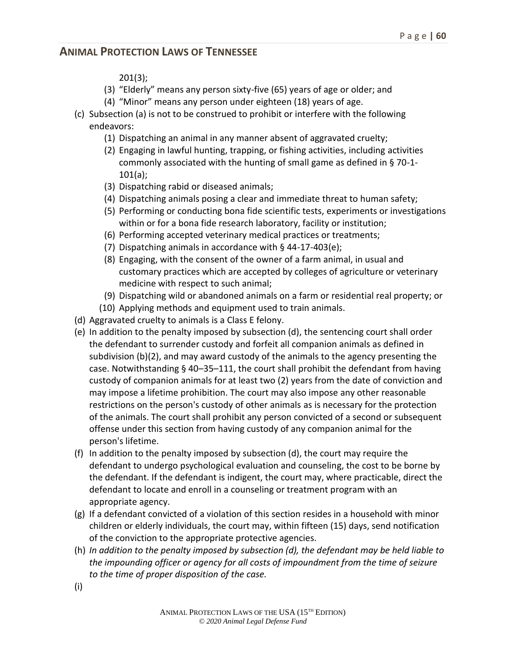201(3);

- (3) "Elderly" means any person sixty-five (65) years of age or older; and
- (4) "Minor" means any person under eighteen (18) years of age.
- (c) Subsection (a) is not to be construed to prohibit or interfere with the following endeavors:
	- (1) Dispatching an animal in any manner absent of aggravated cruelty;
	- (2) Engaging in lawful hunting, trapping, or fishing activities, including activities commonly associated with the hunting of small game as defined in § 70-1- 101(a);
	- (3) Dispatching rabid or diseased animals;
	- (4) Dispatching animals posing a clear and immediate threat to human safety;
	- (5) Performing or conducting bona fide scientific tests, experiments or investigations within or for a bona fide research laboratory, facility or institution;
	- (6) Performing accepted veterinary medical practices or treatments;
	- (7) Dispatching animals in accordance with § 44-17-403(e);
	- (8) Engaging, with the consent of the owner of a farm animal, in usual and customary practices which are accepted by colleges of agriculture or veterinary medicine with respect to such animal;
	- (9) Dispatching wild or abandoned animals on a farm or residential real property; or
	- (10) Applying methods and equipment used to train animals.
- (d) Aggravated cruelty to animals is a Class E felony.
- (e) In addition to the penalty imposed by subsection (d), the sentencing court shall order the defendant to surrender custody and forfeit all companion animals as defined in subdivision (b)(2), and may award custody of the animals to the agency presenting the case. Notwithstanding § 40–35–111, the court shall prohibit the defendant from having custody of companion animals for at least two (2) years from the date of conviction and may impose a lifetime prohibition. The court may also impose any other reasonable restrictions on the person's custody of other animals as is necessary for the protection of the animals. The court shall prohibit any person convicted of a second or subsequent offense under this section from having custody of any companion animal for the person's lifetime.
- (f) In addition to the penalty imposed by subsection (d), the court may require the defendant to undergo psychological evaluation and counseling, the cost to be borne by the defendant. If the defendant is indigent, the court may, where practicable, direct the defendant to locate and enroll in a counseling or treatment program with an appropriate agency.
- (g) If a defendant convicted of a violation of this section resides in a household with minor children or elderly individuals, the court may, within fifteen (15) days, send notification of the conviction to the appropriate protective agencies.
- (h) *In addition to the penalty imposed by subsection (d), the defendant may be held liable to the impounding officer or agency for all costs of impoundment from the time of seizure to the time of proper disposition of the case.*
- (i)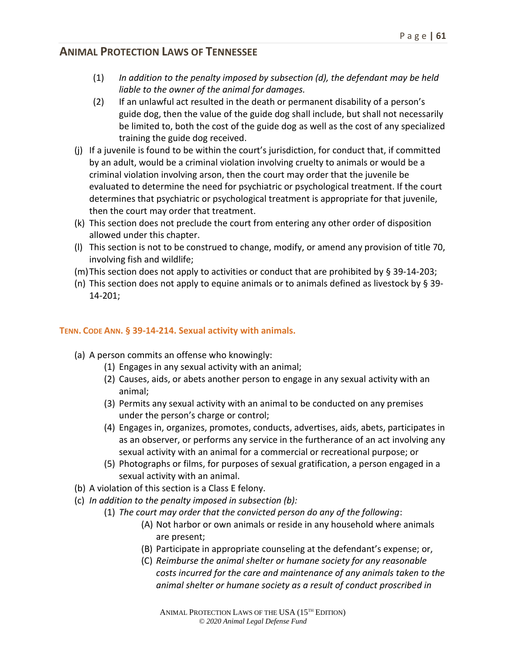- (1) *In addition to the penalty imposed by subsection (d), the defendant may be held liable to the owner of the animal for damages.*
- (2) If an unlawful act resulted in the death or permanent disability of a person's guide dog, then the value of the guide dog shall include, but shall not necessarily be limited to, both the cost of the guide dog as well as the cost of any specialized training the guide dog received.
- (j) If a juvenile is found to be within the court's jurisdiction, for conduct that, if committed by an adult, would be a criminal violation involving cruelty to animals or would be a criminal violation involving arson, then the court may order that the juvenile be evaluated to determine the need for psychiatric or psychological treatment. If the court determines that psychiatric or psychological treatment is appropriate for that juvenile, then the court may order that treatment.
- (k) This section does not preclude the court from entering any other order of disposition allowed under this chapter.
- (l) This section is not to be construed to change, modify, or amend any provision of title 70, involving fish and wildlife;
- (m)This section does not apply to activities or conduct that are prohibited by § 39-14-203;
- (n) This section does not apply to equine animals or to animals defined as livestock by  $\S 39$ -14-201;

#### **TENN. CODE ANN. § 39-14-214. Sexual activity with animals.**

- (a) A person commits an offense who knowingly:
	- (1) Engages in any sexual activity with an animal;
	- (2) Causes, aids, or abets another person to engage in any sexual activity with an animal;
	- (3) Permits any sexual activity with an animal to be conducted on any premises under the person's charge or control;
	- (4) Engages in, organizes, promotes, conducts, advertises, aids, abets, participates in as an observer, or performs any service in the furtherance of an act involving any sexual activity with an animal for a commercial or recreational purpose; or
	- (5) Photographs or films, for purposes of sexual gratification, a person engaged in a sexual activity with an animal.
- (b) A violation of this section is a Class E felony.
- (c) *In addition to the penalty imposed in subsection (b):* 
	- (1) *The court may order that the convicted person do any of the following*:
		- (A) Not harbor or own animals or reside in any household where animals are present;
		- (B) Participate in appropriate counseling at the defendant's expense; or,
		- (C) *Reimburse the animal shelter or humane society for any reasonable costs incurred for the care and maintenance of any animals taken to the animal shelter or humane society as a result of conduct proscribed in*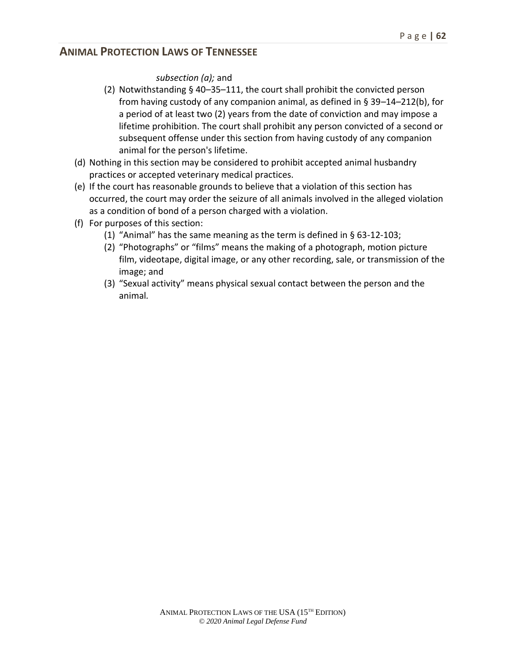*subsection (a);* and

- (2) Notwithstanding § 40–35–111, the court shall prohibit the convicted person from having custody of any companion animal, as defined in  $\S 39-14-212(b)$ , for a period of at least two (2) years from the date of conviction and may impose a lifetime prohibition. The court shall prohibit any person convicted of a second or subsequent offense under this section from having custody of any companion animal for the person's lifetime.
- (d) Nothing in this section may be considered to prohibit accepted animal husbandry practices or accepted veterinary medical practices.
- (e) If the court has reasonable grounds to believe that a violation of this section has occurred, the court may order the seizure of all animals involved in the alleged violation as a condition of bond of a person charged with a violation.
- (f) For purposes of this section:
	- (1) "Animal" has the same meaning as the term is defined in § 63-12-103;
	- (2) "Photographs" or "films" means the making of a photograph, motion picture film, videotape, digital image, or any other recording, sale, or transmission of the image; and
	- (3) "Sexual activity" means physical sexual contact between the person and the animal*.*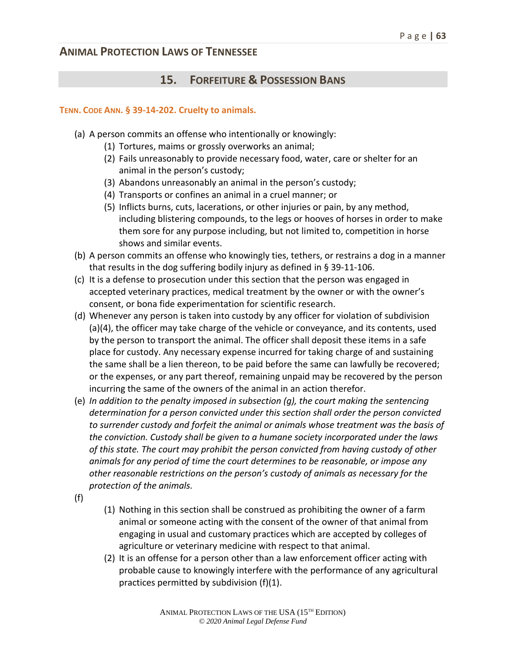# **15. FORFEITURE & POSSESSION BANS**

#### **TENN. CODE ANN. § 39-14-202. Cruelty to animals.**

- (a) A person commits an offense who intentionally or knowingly:
	- (1) Tortures, maims or grossly overworks an animal;
	- (2) Fails unreasonably to provide necessary food, water, care or shelter for an animal in the person's custody;
	- (3) Abandons unreasonably an animal in the person's custody;
	- (4) Transports or confines an animal in a cruel manner; or
	- (5) Inflicts burns, cuts, lacerations, or other injuries or pain, by any method, including blistering compounds, to the legs or hooves of horses in order to make them sore for any purpose including, but not limited to, competition in horse shows and similar events.
- (b) A person commits an offense who knowingly ties, tethers, or restrains a dog in a manner that results in the dog suffering bodily injury as defined in § 39-11-106.
- (c) It is a defense to prosecution under this section that the person was engaged in accepted veterinary practices, medical treatment by the owner or with the owner's consent, or bona fide experimentation for scientific research.
- (d) Whenever any person is taken into custody by any officer for violation of subdivision (a)(4), the officer may take charge of the vehicle or conveyance, and its contents, used by the person to transport the animal. The officer shall deposit these items in a safe place for custody. Any necessary expense incurred for taking charge of and sustaining the same shall be a lien thereon, to be paid before the same can lawfully be recovered; or the expenses, or any part thereof, remaining unpaid may be recovered by the person incurring the same of the owners of the animal in an action therefor.
- (e) *In addition to the penalty imposed in subsection (g), the court making the sentencing determination for a person convicted under this section shall order the person convicted to surrender custody and forfeit the animal or animals whose treatment was the basis of the conviction. Custody shall be given to a humane society incorporated under the laws of this state. The court may prohibit the person convicted from having custody of other animals for any period of time the court determines to be reasonable, or impose any other reasonable restrictions on the person's custody of animals as necessary for the protection of the animals.*
- (f)
- (1) Nothing in this section shall be construed as prohibiting the owner of a farm animal or someone acting with the consent of the owner of that animal from engaging in usual and customary practices which are accepted by colleges of agriculture or veterinary medicine with respect to that animal.
- (2) It is an offense for a person other than a law enforcement officer acting with probable cause to knowingly interfere with the performance of any agricultural practices permitted by subdivision (f)(1).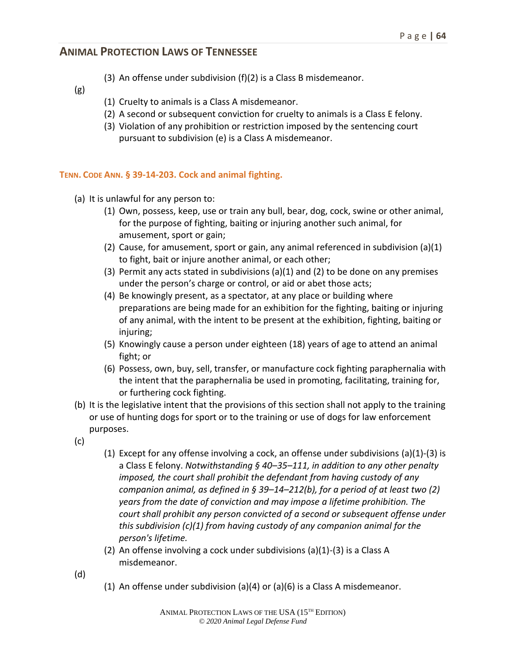- (3) An offense under subdivision (f)(2) is a Class B misdemeanor.
- (g)
- (1) Cruelty to animals is a Class A misdemeanor.
- (2) A second or subsequent conviction for cruelty to animals is a Class E felony.
- (3) Violation of any prohibition or restriction imposed by the sentencing court pursuant to subdivision (e) is a Class A misdemeanor.

#### **TENN. CODE ANN. § 39-14-203. Cock and animal fighting.**

- (a) It is unlawful for any person to:
	- (1) Own, possess, keep, use or train any bull, bear, dog, cock, swine or other animal, for the purpose of fighting, baiting or injuring another such animal, for amusement, sport or gain;
	- (2) Cause, for amusement, sport or gain, any animal referenced in subdivision (a)(1) to fight, bait or injure another animal, or each other;
	- (3) Permit any acts stated in subdivisions  $(a)(1)$  and (2) to be done on any premises under the person's charge or control, or aid or abet those acts;
	- (4) Be knowingly present, as a spectator, at any place or building where preparations are being made for an exhibition for the fighting, baiting or injuring of any animal, with the intent to be present at the exhibition, fighting, baiting or injuring;
	- (5) Knowingly cause a person under eighteen (18) years of age to attend an animal fight; or
	- (6) Possess, own, buy, sell, transfer, or manufacture cock fighting paraphernalia with the intent that the paraphernalia be used in promoting, facilitating, training for, or furthering cock fighting.
- (b) It is the legislative intent that the provisions of this section shall not apply to the training or use of hunting dogs for sport or to the training or use of dogs for law enforcement purposes.
- (c)
- (1) Except for any offense involving a cock, an offense under subdivisions  $(a)(1)-(3)$  is a Class E felony. *Notwithstanding § 40–35–111, in addition to any other penalty imposed, the court shall prohibit the defendant from having custody of any companion animal, as defined in § 39–14–212(b), for a period of at least two (2) years from the date of conviction and may impose a lifetime prohibition. The court shall prohibit any person convicted of a second or subsequent offense under this subdivision (c)(1) from having custody of any companion animal for the person's lifetime.*
- (2) An offense involving a cock under subdivisions (a)(1)-(3) is a Class A misdemeanor.
- (d)
- (1) An offense under subdivision (a)(4) or (a)(6) is a Class A misdemeanor.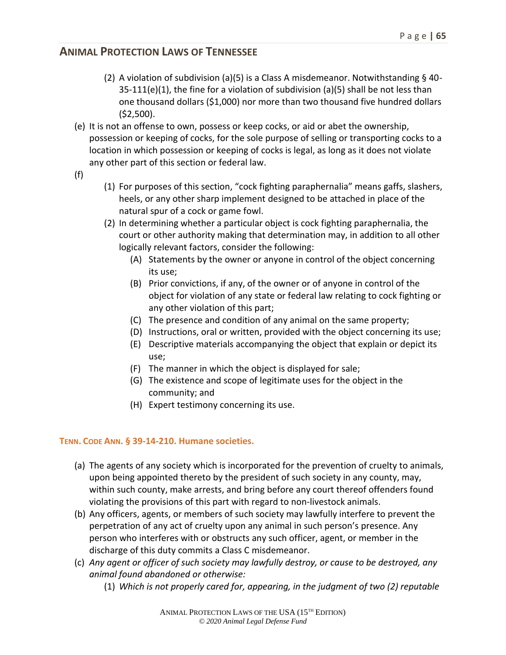- (2) A violation of subdivision (a)(5) is a Class A misdemeanor. Notwithstanding § 40-  $35-111(e)(1)$ , the fine for a violation of subdivision (a)(5) shall be not less than one thousand dollars (\$1,000) nor more than two thousand five hundred dollars (\$2,500).
- (e) It is not an offense to own, possess or keep cocks, or aid or abet the ownership, possession or keeping of cocks, for the sole purpose of selling or transporting cocks to a location in which possession or keeping of cocks is legal, as long as it does not violate any other part of this section or federal law.
- (f)
- (1) For purposes of this section, "cock fighting paraphernalia" means gaffs, slashers, heels, or any other sharp implement designed to be attached in place of the natural spur of a cock or game fowl.
- (2) In determining whether a particular object is cock fighting paraphernalia, the court or other authority making that determination may, in addition to all other logically relevant factors, consider the following:
	- (A) Statements by the owner or anyone in control of the object concerning its use;
	- (B) Prior convictions, if any, of the owner or of anyone in control of the object for violation of any state or federal law relating to cock fighting or any other violation of this part;
	- (C) The presence and condition of any animal on the same property;
	- (D) Instructions, oral or written, provided with the object concerning its use;
	- (E) Descriptive materials accompanying the object that explain or depict its use;
	- (F) The manner in which the object is displayed for sale;
	- (G) The existence and scope of legitimate uses for the object in the community; and
	- (H) Expert testimony concerning its use.

# **TENN. CODE ANN. § 39-14-210. Humane societies.**

- (a) The agents of any society which is incorporated for the prevention of cruelty to animals, upon being appointed thereto by the president of such society in any county, may, within such county, make arrests, and bring before any court thereof offenders found violating the provisions of this part with regard to non-livestock animals.
- (b) Any officers, agents, or members of such society may lawfully interfere to prevent the perpetration of any act of cruelty upon any animal in such person's presence. Any person who interferes with or obstructs any such officer, agent, or member in the discharge of this duty commits a Class C misdemeanor.
- (c) *Any agent or officer of such society may lawfully destroy, or cause to be destroyed, any animal found abandoned or otherwise:*
	- (1) *Which is not properly cared for, appearing, in the judgment of two (2) reputable*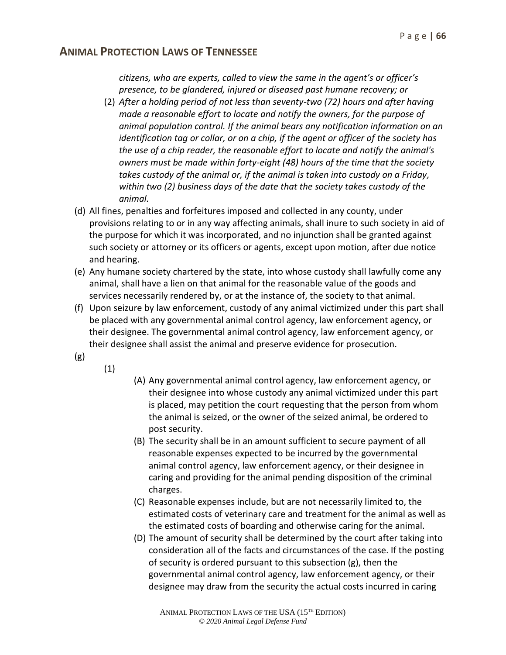*citizens, who are experts, called to view the same in the agent's or officer's presence, to be glandered, injured or diseased past humane recovery; or*

- (2) *After a holding period of not less than seventy-two (72) hours and after having made a reasonable effort to locate and notify the owners, for the purpose of animal population control. If the animal bears any notification information on an identification tag or collar, or on a chip, if the agent or officer of the society has the use of a chip reader, the reasonable effort to locate and notify the animal's owners must be made within forty-eight (48) hours of the time that the society takes custody of the animal or, if the animal is taken into custody on a Friday, within two (2) business days of the date that the society takes custody of the animal.*
- (d) All fines, penalties and forfeitures imposed and collected in any county, under provisions relating to or in any way affecting animals, shall inure to such society in aid of the purpose for which it was incorporated, and no injunction shall be granted against such society or attorney or its officers or agents, except upon motion, after due notice and hearing.
- (e) Any humane society chartered by the state, into whose custody shall lawfully come any animal, shall have a lien on that animal for the reasonable value of the goods and services necessarily rendered by, or at the instance of, the society to that animal.
- (f) Upon seizure by law enforcement, custody of any animal victimized under this part shall be placed with any governmental animal control agency, law enforcement agency, or their designee. The governmental animal control agency, law enforcement agency, or their designee shall assist the animal and preserve evidence for prosecution.
- (g)
- (1)
- (A) Any governmental animal control agency, law enforcement agency, or their designee into whose custody any animal victimized under this part is placed, may petition the court requesting that the person from whom the animal is seized, or the owner of the seized animal, be ordered to post security.
- (B) The security shall be in an amount sufficient to secure payment of all reasonable expenses expected to be incurred by the governmental animal control agency, law enforcement agency, or their designee in caring and providing for the animal pending disposition of the criminal charges.
- (C) Reasonable expenses include, but are not necessarily limited to, the estimated costs of veterinary care and treatment for the animal as well as the estimated costs of boarding and otherwise caring for the animal.
- (D) The amount of security shall be determined by the court after taking into consideration all of the facts and circumstances of the case. If the posting of security is ordered pursuant to this subsection (g), then the governmental animal control agency, law enforcement agency, or their designee may draw from the security the actual costs incurred in caring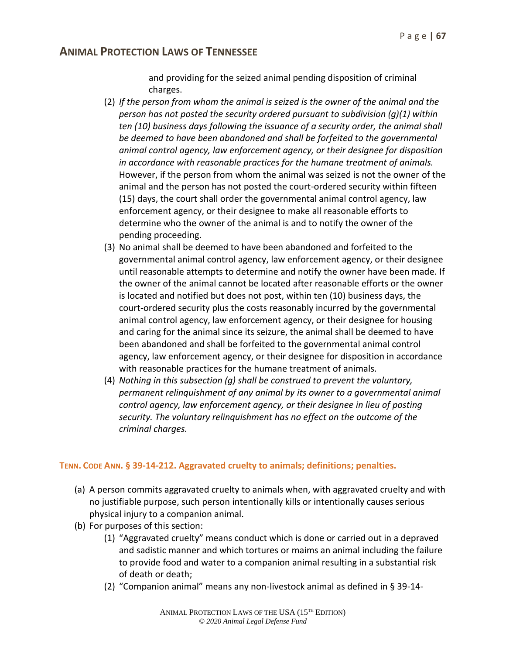and providing for the seized animal pending disposition of criminal charges.

- (2) *If the person from whom the animal is seized is the owner of the animal and the person has not posted the security ordered pursuant to subdivision (g)(1) within ten (10) business days following the issuance of a security order, the animal shall be deemed to have been abandoned and shall be forfeited to the governmental animal control agency, law enforcement agency, or their designee for disposition in accordance with reasonable practices for the humane treatment of animals.* However, if the person from whom the animal was seized is not the owner of the animal and the person has not posted the court-ordered security within fifteen (15) days, the court shall order the governmental animal control agency, law enforcement agency, or their designee to make all reasonable efforts to determine who the owner of the animal is and to notify the owner of the pending proceeding.
- (3) No animal shall be deemed to have been abandoned and forfeited to the governmental animal control agency, law enforcement agency, or their designee until reasonable attempts to determine and notify the owner have been made. If the owner of the animal cannot be located after reasonable efforts or the owner is located and notified but does not post, within ten (10) business days, the court-ordered security plus the costs reasonably incurred by the governmental animal control agency, law enforcement agency, or their designee for housing and caring for the animal since its seizure, the animal shall be deemed to have been abandoned and shall be forfeited to the governmental animal control agency, law enforcement agency, or their designee for disposition in accordance with reasonable practices for the humane treatment of animals.
- (4) *Nothing in this subsection (g) shall be construed to prevent the voluntary, permanent relinquishment of any animal by its owner to a governmental animal control agency, law enforcement agency, or their designee in lieu of posting security. The voluntary relinquishment has no effect on the outcome of the criminal charges.*

#### **TENN. CODE ANN. § 39-14-212. Aggravated cruelty to animals; definitions; penalties.**

- (a) A person commits aggravated cruelty to animals when, with aggravated cruelty and with no justifiable purpose, such person intentionally kills or intentionally causes serious physical injury to a companion animal.
- (b) For purposes of this section:
	- (1) "Aggravated cruelty" means conduct which is done or carried out in a depraved and sadistic manner and which tortures or maims an animal including the failure to provide food and water to a companion animal resulting in a substantial risk of death or death;
	- (2) "Companion animal" means any non-livestock animal as defined in § 39-14-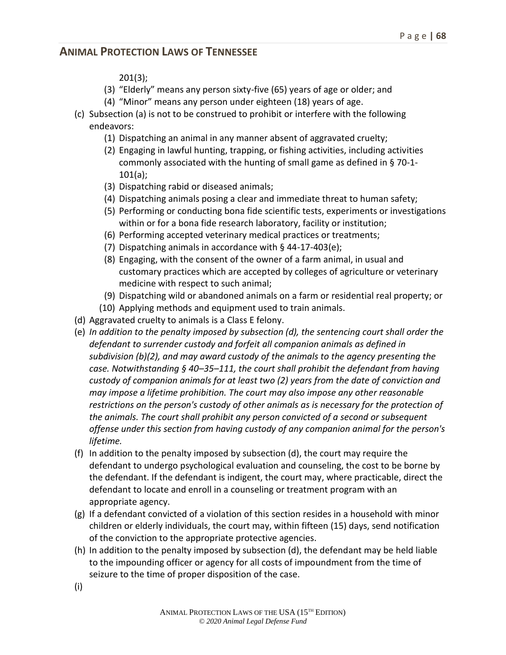201(3);

- (3) "Elderly" means any person sixty-five (65) years of age or older; and
- (4) "Minor" means any person under eighteen (18) years of age.
- (c) Subsection (a) is not to be construed to prohibit or interfere with the following endeavors:
	- (1) Dispatching an animal in any manner absent of aggravated cruelty;
	- (2) Engaging in lawful hunting, trapping, or fishing activities, including activities commonly associated with the hunting of small game as defined in § 70-1- 101(a);
	- (3) Dispatching rabid or diseased animals;
	- (4) Dispatching animals posing a clear and immediate threat to human safety;
	- (5) Performing or conducting bona fide scientific tests, experiments or investigations within or for a bona fide research laboratory, facility or institution;
	- (6) Performing accepted veterinary medical practices or treatments;
	- (7) Dispatching animals in accordance with § 44-17-403(e);
	- (8) Engaging, with the consent of the owner of a farm animal, in usual and customary practices which are accepted by colleges of agriculture or veterinary medicine with respect to such animal;
	- (9) Dispatching wild or abandoned animals on a farm or residential real property; or
	- (10) Applying methods and equipment used to train animals.
- (d) Aggravated cruelty to animals is a Class E felony.
- (e) *In addition to the penalty imposed by subsection (d), the sentencing court shall order the defendant to surrender custody and forfeit all companion animals as defined in subdivision (b)(2), and may award custody of the animals to the agency presenting the case. Notwithstanding § 40–35–111, the court shall prohibit the defendant from having custody of companion animals for at least two (2) years from the date of conviction and may impose a lifetime prohibition. The court may also impose any other reasonable restrictions on the person's custody of other animals as is necessary for the protection of the animals. The court shall prohibit any person convicted of a second or subsequent offense under this section from having custody of any companion animal for the person's lifetime.*
- (f) In addition to the penalty imposed by subsection (d), the court may require the defendant to undergo psychological evaluation and counseling, the cost to be borne by the defendant. If the defendant is indigent, the court may, where practicable, direct the defendant to locate and enroll in a counseling or treatment program with an appropriate agency.
- (g) If a defendant convicted of a violation of this section resides in a household with minor children or elderly individuals, the court may, within fifteen (15) days, send notification of the conviction to the appropriate protective agencies.
- (h) In addition to the penalty imposed by subsection (d), the defendant may be held liable to the impounding officer or agency for all costs of impoundment from the time of seizure to the time of proper disposition of the case.
- (i)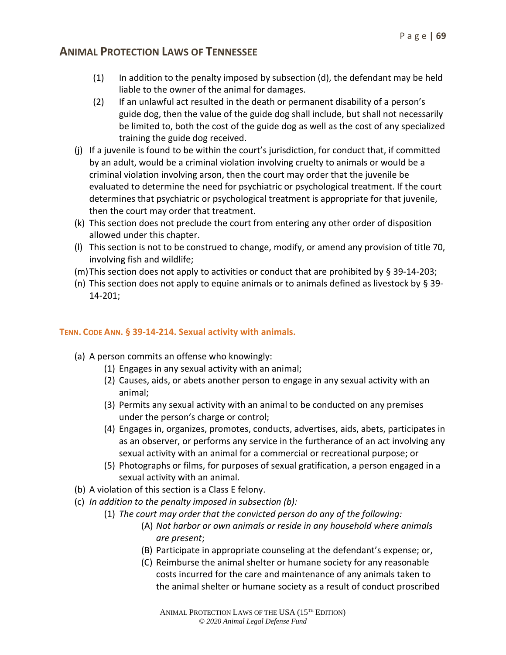- (1) In addition to the penalty imposed by subsection (d), the defendant may be held liable to the owner of the animal for damages.
- (2) If an unlawful act resulted in the death or permanent disability of a person's guide dog, then the value of the guide dog shall include, but shall not necessarily be limited to, both the cost of the guide dog as well as the cost of any specialized training the guide dog received.
- (j) If a juvenile is found to be within the court's jurisdiction, for conduct that, if committed by an adult, would be a criminal violation involving cruelty to animals or would be a criminal violation involving arson, then the court may order that the juvenile be evaluated to determine the need for psychiatric or psychological treatment. If the court determines that psychiatric or psychological treatment is appropriate for that juvenile, then the court may order that treatment.
- (k) This section does not preclude the court from entering any other order of disposition allowed under this chapter.
- (l) This section is not to be construed to change, modify, or amend any provision of title 70, involving fish and wildlife;
- (m)This section does not apply to activities or conduct that are prohibited by § 39-14-203;
- (n) This section does not apply to equine animals or to animals defined as livestock by  $\S$  39-14-201;

#### **TENN. CODE ANN. § 39-14-214. Sexual activity with animals.**

- (a) A person commits an offense who knowingly:
	- (1) Engages in any sexual activity with an animal;
	- (2) Causes, aids, or abets another person to engage in any sexual activity with an animal;
	- (3) Permits any sexual activity with an animal to be conducted on any premises under the person's charge or control;
	- (4) Engages in, organizes, promotes, conducts, advertises, aids, abets, participates in as an observer, or performs any service in the furtherance of an act involving any sexual activity with an animal for a commercial or recreational purpose; or
	- (5) Photographs or films, for purposes of sexual gratification, a person engaged in a sexual activity with an animal.
- (b) A violation of this section is a Class E felony.
- (c) *In addition to the penalty imposed in subsection (b):* 
	- (1) *The court may order that the convicted person do any of the following:*
		- (A) *Not harbor or own animals or reside in any household where animals are present*;
		- (B) Participate in appropriate counseling at the defendant's expense; or,
		- (C) Reimburse the animal shelter or humane society for any reasonable costs incurred for the care and maintenance of any animals taken to the animal shelter or humane society as a result of conduct proscribed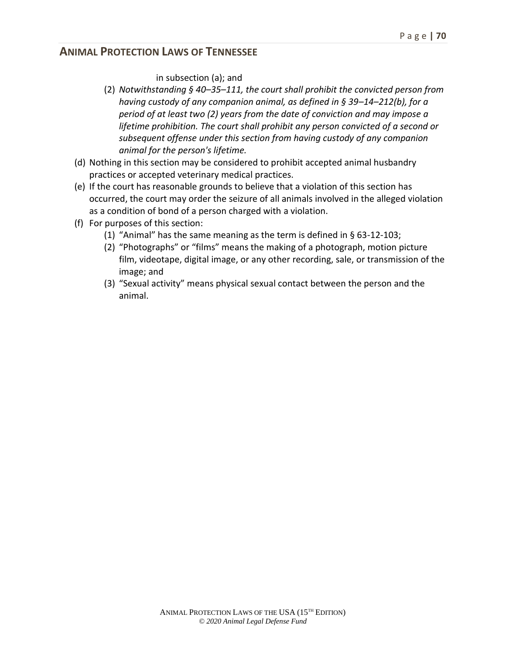in subsection (a); and

- (2) *Notwithstanding § 40–35–111, the court shall prohibit the convicted person from having custody of any companion animal, as defined in § 39–14–212(b), for a period of at least two (2) years from the date of conviction and may impose a lifetime prohibition. The court shall prohibit any person convicted of a second or subsequent offense under this section from having custody of any companion animal for the person's lifetime.*
- (d) Nothing in this section may be considered to prohibit accepted animal husbandry practices or accepted veterinary medical practices.
- (e) If the court has reasonable grounds to believe that a violation of this section has occurred, the court may order the seizure of all animals involved in the alleged violation as a condition of bond of a person charged with a violation.
- (f) For purposes of this section:
	- (1) "Animal" has the same meaning as the term is defined in § 63-12-103;
	- (2) "Photographs" or "films" means the making of a photograph, motion picture film, videotape, digital image, or any other recording, sale, or transmission of the image; and
	- (3) "Sexual activity" means physical sexual contact between the person and the animal.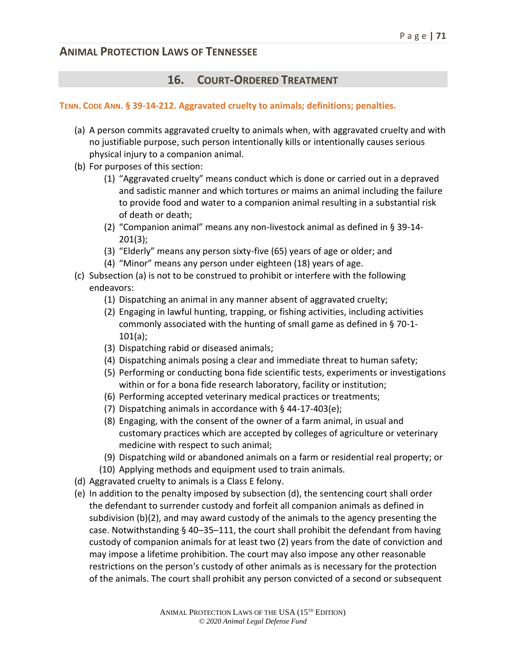# **16. COURT-ORDERED TREATMENT**

#### **TENN. CODE ANN. § 39-14-212. Aggravated cruelty to animals; definitions; penalties.**

- (a) A person commits aggravated cruelty to animals when, with aggravated cruelty and with no justifiable purpose, such person intentionally kills or intentionally causes serious physical injury to a companion animal.
- (b) For purposes of this section:
	- (1) "Aggravated cruelty" means conduct which is done or carried out in a depraved and sadistic manner and which tortures or maims an animal including the failure to provide food and water to a companion animal resulting in a substantial risk of death or death;
	- (2) "Companion animal" means any non-livestock animal as defined in § 39-14- 201(3);
	- (3) "Elderly" means any person sixty-five (65) years of age or older; and
	- (4) "Minor" means any person under eighteen (18) years of age.
- (c) Subsection (a) is not to be construed to prohibit or interfere with the following endeavors:
	- (1) Dispatching an animal in any manner absent of aggravated cruelty;
	- (2) Engaging in lawful hunting, trapping, or fishing activities, including activities commonly associated with the hunting of small game as defined in § 70-1- 101(a);
	- (3) Dispatching rabid or diseased animals;
	- (4) Dispatching animals posing a clear and immediate threat to human safety;
	- (5) Performing or conducting bona fide scientific tests, experiments or investigations within or for a bona fide research laboratory, facility or institution;
	- (6) Performing accepted veterinary medical practices or treatments;
	- (7) Dispatching animals in accordance with § 44-17-403(e);
	- (8) Engaging, with the consent of the owner of a farm animal, in usual and customary practices which are accepted by colleges of agriculture or veterinary medicine with respect to such animal;
	- (9) Dispatching wild or abandoned animals on a farm or residential real property; or
	- (10) Applying methods and equipment used to train animals.
- (d) Aggravated cruelty to animals is a Class E felony.
- (e) In addition to the penalty imposed by subsection (d), the sentencing court shall order the defendant to surrender custody and forfeit all companion animals as defined in subdivision (b)(2), and may award custody of the animals to the agency presenting the case. Notwithstanding § 40–35–111, the court shall prohibit the defendant from having custody of companion animals for at least two (2) years from the date of conviction and may impose a lifetime prohibition. The court may also impose any other reasonable restrictions on the person's custody of other animals as is necessary for the protection of the animals. The court shall prohibit any person convicted of a second or subsequent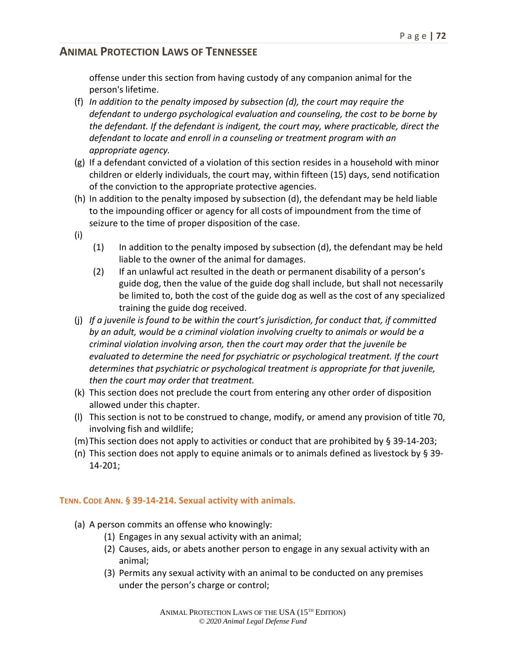offense under this section from having custody of any companion animal for the person's lifetime.

- (f) *In addition to the penalty imposed by subsection (d), the court may require the defendant to undergo psychological evaluation and counseling, the cost to be borne by the defendant. If the defendant is indigent, the court may, where practicable, direct the defendant to locate and enroll in a counseling or treatment program with an appropriate agency.*
- (g) If a defendant convicted of a violation of this section resides in a household with minor children or elderly individuals, the court may, within fifteen (15) days, send notification of the conviction to the appropriate protective agencies.
- (h) In addition to the penalty imposed by subsection (d), the defendant may be held liable to the impounding officer or agency for all costs of impoundment from the time of seizure to the time of proper disposition of the case.
- (i)
- (1) In addition to the penalty imposed by subsection (d), the defendant may be held liable to the owner of the animal for damages.
- (2) If an unlawful act resulted in the death or permanent disability of a person's guide dog, then the value of the guide dog shall include, but shall not necessarily be limited to, both the cost of the guide dog as well as the cost of any specialized training the guide dog received.
- (j) *If a juvenile is found to be within the court's jurisdiction, for conduct that, if committed by an adult, would be a criminal violation involving cruelty to animals or would be a criminal violation involving arson, then the court may order that the juvenile be evaluated to determine the need for psychiatric or psychological treatment. If the court determines that psychiatric or psychological treatment is appropriate for that juvenile, then the court may order that treatment.*
- (k) This section does not preclude the court from entering any other order of disposition allowed under this chapter.
- (l) This section is not to be construed to change, modify, or amend any provision of title 70, involving fish and wildlife;
- (m)This section does not apply to activities or conduct that are prohibited by § 39-14-203;
- (n) This section does not apply to equine animals or to animals defined as livestock by  $\S 39$ -14-201;

#### **TENN. CODE ANN. § 39-14-214. Sexual activity with animals.**

- (a) A person commits an offense who knowingly:
	- (1) Engages in any sexual activity with an animal;
	- (2) Causes, aids, or abets another person to engage in any sexual activity with an animal;
	- (3) Permits any sexual activity with an animal to be conducted on any premises under the person's charge or control;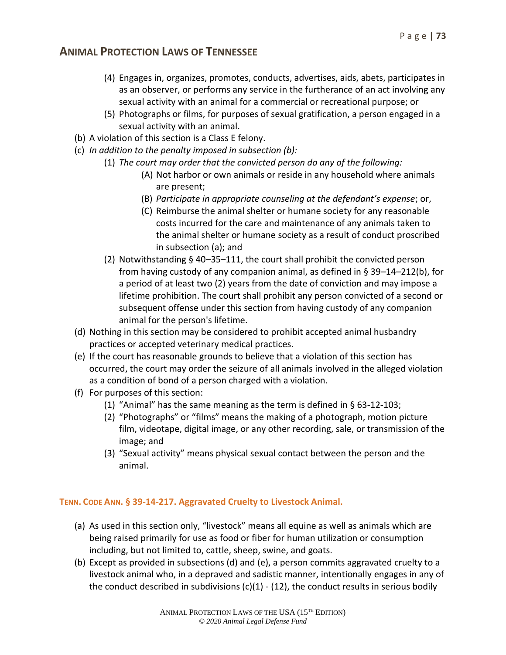- (4) Engages in, organizes, promotes, conducts, advertises, aids, abets, participates in as an observer, or performs any service in the furtherance of an act involving any sexual activity with an animal for a commercial or recreational purpose; or
- (5) Photographs or films, for purposes of sexual gratification, a person engaged in a sexual activity with an animal.
- (b) A violation of this section is a Class E felony.
- (c) *In addition to the penalty imposed in subsection (b):* 
	- (1) *The court may order that the convicted person do any of the following:*
		- (A) Not harbor or own animals or reside in any household where animals are present;
		- (B) *Participate in appropriate counseling at the defendant's expense*; or,
		- (C) Reimburse the animal shelter or humane society for any reasonable costs incurred for the care and maintenance of any animals taken to the animal shelter or humane society as a result of conduct proscribed in subsection (a); and
	- (2) Notwithstanding § 40–35–111, the court shall prohibit the convicted person from having custody of any companion animal, as defined in § 39–14–212(b), for a period of at least two (2) years from the date of conviction and may impose a lifetime prohibition. The court shall prohibit any person convicted of a second or subsequent offense under this section from having custody of any companion animal for the person's lifetime.
- (d) Nothing in this section may be considered to prohibit accepted animal husbandry practices or accepted veterinary medical practices.
- (e) If the court has reasonable grounds to believe that a violation of this section has occurred, the court may order the seizure of all animals involved in the alleged violation as a condition of bond of a person charged with a violation.
- (f) For purposes of this section:
	- (1) "Animal" has the same meaning as the term is defined in § 63-12-103;
	- (2) "Photographs" or "films" means the making of a photograph, motion picture film, videotape, digital image, or any other recording, sale, or transmission of the image; and
	- (3) "Sexual activity" means physical sexual contact between the person and the animal.

#### **TENN. CODE ANN. § 39-14-217. Aggravated Cruelty to Livestock Animal.**

- (a) As used in this section only, "livestock" means all equine as well as animals which are being raised primarily for use as food or fiber for human utilization or consumption including, but not limited to, cattle, sheep, swine, and goats.
- (b) Except as provided in subsections (d) and (e), a person commits aggravated cruelty to a livestock animal who, in a depraved and sadistic manner, intentionally engages in any of the conduct described in subdivisions  $(c)(1)$  -  $(12)$ , the conduct results in serious bodily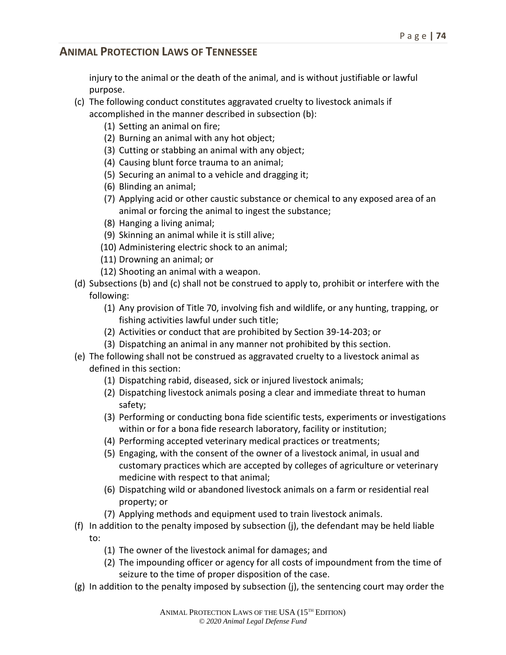injury to the animal or the death of the animal, and is without justifiable or lawful purpose.

- (c) The following conduct constitutes aggravated cruelty to livestock animals if accomplished in the manner described in subsection (b):
	- (1) Setting an animal on fire;
	- (2) Burning an animal with any hot object;
	- (3) Cutting or stabbing an animal with any object;
	- (4) Causing blunt force trauma to an animal;
	- (5) Securing an animal to a vehicle and dragging it;
	- (6) Blinding an animal;
	- (7) Applying acid or other caustic substance or chemical to any exposed area of an animal or forcing the animal to ingest the substance;
	- (8) Hanging a living animal;
	- (9) Skinning an animal while it is still alive;
	- (10) Administering electric shock to an animal;
	- (11) Drowning an animal; or
	- (12) Shooting an animal with a weapon.
- (d) Subsections (b) and (c) shall not be construed to apply to, prohibit or interfere with the following:
	- (1) Any provision of Title 70, involving fish and wildlife, or any hunting, trapping, or fishing activities lawful under such title;
	- (2) Activities or conduct that are prohibited by Section 39-14-203; or
	- (3) Dispatching an animal in any manner not prohibited by this section.
- (e) The following shall not be construed as aggravated cruelty to a livestock animal as defined in this section:
	- (1) Dispatching rabid, diseased, sick or injured livestock animals;
	- (2) Dispatching livestock animals posing a clear and immediate threat to human safety;
	- (3) Performing or conducting bona fide scientific tests, experiments or investigations within or for a bona fide research laboratory, facility or institution;
	- (4) Performing accepted veterinary medical practices or treatments;
	- (5) Engaging, with the consent of the owner of a livestock animal, in usual and customary practices which are accepted by colleges of agriculture or veterinary medicine with respect to that animal;
	- (6) Dispatching wild or abandoned livestock animals on a farm or residential real property; or
	- (7) Applying methods and equipment used to train livestock animals.
- (f) In addition to the penalty imposed by subsection (j), the defendant may be held liable to:
	- (1) The owner of the livestock animal for damages; and
	- (2) The impounding officer or agency for all costs of impoundment from the time of seizure to the time of proper disposition of the case.
- (g) In addition to the penalty imposed by subsection (j), the sentencing court may order the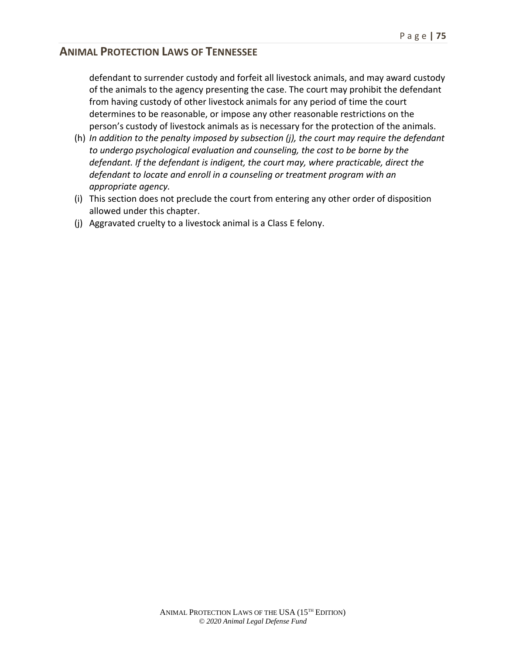defendant to surrender custody and forfeit all livestock animals, and may award custody of the animals to the agency presenting the case. The court may prohibit the defendant from having custody of other livestock animals for any period of time the court determines to be reasonable, or impose any other reasonable restrictions on the person's custody of livestock animals as is necessary for the protection of the animals.

- (h) *In addition to the penalty imposed by subsection (j), the court may require the defendant to undergo psychological evaluation and counseling, the cost to be borne by the defendant. If the defendant is indigent, the court may, where practicable, direct the defendant to locate and enroll in a counseling or treatment program with an appropriate agency.*
- (i) This section does not preclude the court from entering any other order of disposition allowed under this chapter.
- (j) Aggravated cruelty to a livestock animal is a Class E felony.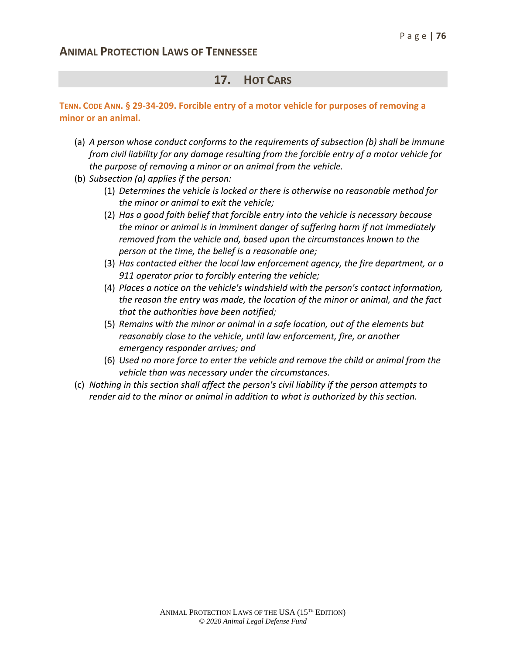### **17. HOT CARS**

#### **TENN. CODE ANN. § 29-34-209. Forcible entry of a motor vehicle for purposes of removing a minor or an animal.**

- (a) *A person whose conduct conforms to the requirements of subsection (b) shall be immune from civil liability for any damage resulting from the forcible entry of a motor vehicle for the purpose of removing a minor or an animal from the vehicle.*
- (b) *Subsection (a) applies if the person:*
	- (1) *Determines the vehicle is locked or there is otherwise no reasonable method for the minor or animal to exit the vehicle;*
	- (2) *Has a good faith belief that forcible entry into the vehicle is necessary because the minor or animal is in imminent danger of suffering harm if not immediately removed from the vehicle and, based upon the circumstances known to the person at the time, the belief is a reasonable one;*
	- (3) *Has contacted either the local law enforcement agency, the fire department, or a 911 operator prior to forcibly entering the vehicle;*
	- (4) *Places a notice on the vehicle's windshield with the person's contact information, the reason the entry was made, the location of the minor or animal, and the fact that the authorities have been notified;*
	- (5) *Remains with the minor or animal in a safe location, out of the elements but reasonably close to the vehicle, until law enforcement, fire, or another emergency responder arrives; and*
	- (6) *Used no more force to enter the vehicle and remove the child or animal from the vehicle than was necessary under the circumstances.*
- (c) *Nothing in this section shall affect the person's civil liability if the person attempts to render aid to the minor or animal in addition to what is authorized by this section.*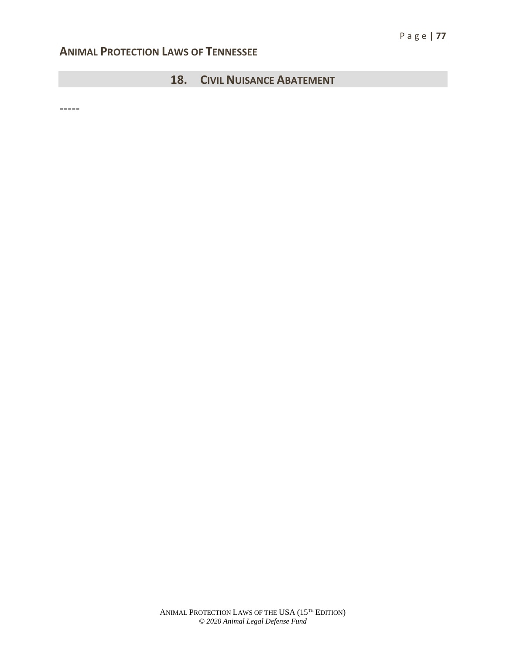# **18. CIVIL NUISANCE ABATEMENT**

-----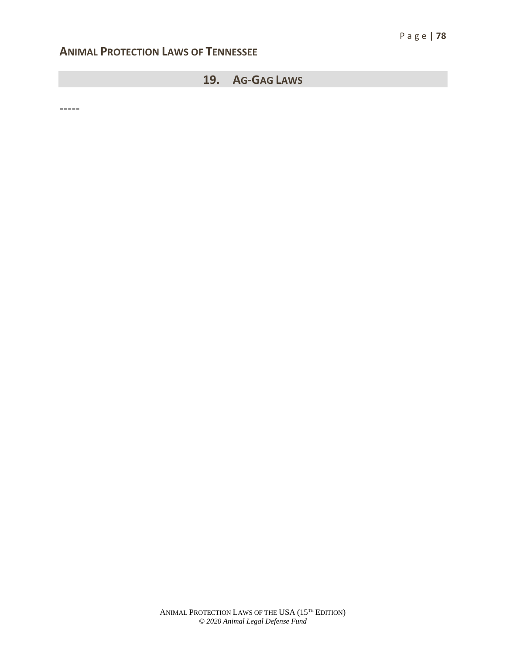# **19. AG-GAG LAWS**

-----